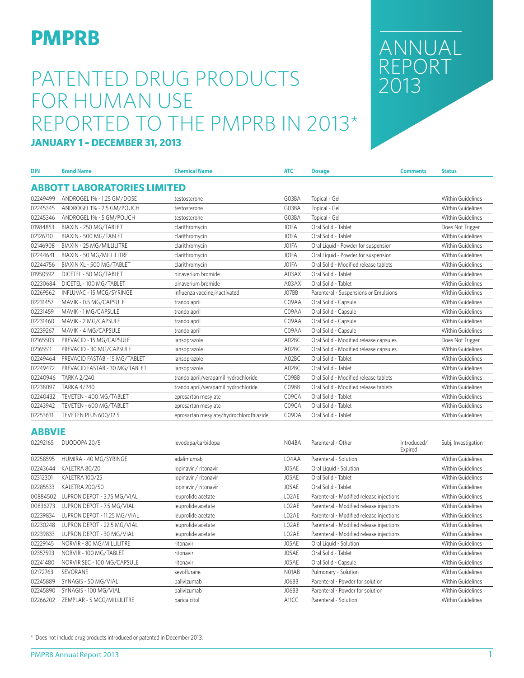# **DIMPRB** ANNUAL

# PATENTED DRUG PRODUCTS FOR HUMAN USE REPORTED TO THE PMPRB IN 2013\*

ANNUAL REPORT

#### **JANUARY 1 – DECEMBER 31, 2013**

| <b>DIN</b> | <b>Brand Name</b>                  | <b>Chemical Name</b>                    | <b>ATC</b> | <b>Dosage</b>                          | <b>Comments</b> | <b>Status</b>            |
|------------|------------------------------------|-----------------------------------------|------------|----------------------------------------|-----------------|--------------------------|
|            | <b>ABBOTT LABORATORIES LIMITED</b> |                                         |            |                                        |                 |                          |
| 02249499   | ANDROGEL 1% - 1.25 GM/DOSE         | testosterone                            | G03BA      | Topical - Gel                          |                 | <b>Within Guidelines</b> |
| 02245345   | ANDROGEL 1% - 2.5 GM/POUCH         | testosterone                            | G03BA      | Topical - Gel                          |                 | Within Guidelines        |
| 02245346   | ANDROGEL 1% - 5 GM/POUCH           | testosterone                            | G03BA      | Topical - Gel                          |                 | Within Guidelines        |
| 01984853   | BIAXIN - 250 MG/TABLET             | clarithromycin                          | JO1FA      | Oral Solid - Tablet                    |                 | Does Not Trigger         |
| 02126710   | BIAXIN - 500 MG/TABLET             | clarithromycin                          | JO1FA      | Oral Solid - Tablet                    |                 | Within Guidelines        |
| 02146908   | BIAXIN - 25 MG/MILLILITRE          | clarithromycin                          | JO1FA      | Oral Liquid - Powder for suspension    |                 | <b>Within Guidelines</b> |
| 02244641   | BIAXIN - 50 MG/MILLILITRE          | clarithromycin                          | JO1FA      | Oral Liquid - Powder for suspension    |                 | <b>Within Guidelines</b> |
| 02244756   | BIAXIN XL - 500 MG/TABLET          | clarithromycin                          | JO1FA      | Oral Solid - Modified release tablets  |                 | <b>Within Guidelines</b> |
| 01950592   | DICETEL - 50 MG/TABLET             | pinaverium bromide                      | A03AX      | Oral Solid - Tablet                    |                 | Within Guidelines        |
| 02230684   | DICETEL - 100 MG/TABLET            | pinaverium bromide                      | A03AX      | Oral Solid - Tablet                    |                 | <b>Within Guidelines</b> |
| 02269562   | INFLUVAC - 15 MCG/SYRINGE          | influenza vaccine, inactivated          | JO7BB      | Parenteral - Suspensions or Emulsions  |                 | <b>Within Guidelines</b> |
| 02231457   | MAVIK - 0.5 MG/CAPSULE             | trandolapril                            | C09AA      | Oral Solid - Capsule                   |                 | <b>Within Guidelines</b> |
| 02231459   | MAVIK - 1 MG/CAPSULE               | trandolapril                            | C09AA      | Oral Solid - Capsule                   |                 | <b>Within Guidelines</b> |
| 02231460   | MAVIK - 2 MG/CAPSULE               | trandolapril                            | C09AA      | Oral Solid - Capsule                   |                 | <b>Within Guidelines</b> |
| 02239267   | MAVIK - 4 MG/CAPSULE               | trandolapril                            | C09AA      | Oral Solid - Capsule                   |                 | <b>Within Guidelines</b> |
| 02165503   | PREVACID - 15 MG/CAPSULE           | lansoprazole                            | A02BC      | Oral Solid - Modified release capsules |                 | Does Not Trigger         |
| 02165511   | PREVACID - 30 MG/CAPSULE           | lansoprazole                            | A02BC      | Oral Solid - Modified release capsules |                 | <b>Within Guidelines</b> |
| 02249464   | PREVACID FASTAB - 15 MG/TABLET     | lansoprazole                            | A02BC      | Oral Solid - Tablet                    |                 | Within Guidelines        |
| 02249472   | PREVACID FASTAB - 30 MG/TABLET     | lansoprazole                            | A02BC      | Oral Solid - Tablet                    |                 | <b>Within Guidelines</b> |
| 02240946   | <b>TARKA 2/240</b>                 | trandolapril/verapamil hydrochloride    | CO9BB      | Oral Solid - Modified release tablets  |                 | <b>Within Guidelines</b> |
| 02238097   | <b>TARKA 4/240</b>                 | trandolapril/verapamil hydrochloride    | C09BB      | Oral Solid - Modified release tablets  |                 | <b>Within Guidelines</b> |
| 02240432   | TEVETEN - 400 MG/TABLET            | eprosartan mesylate                     | C09CA      | Oral Solid - Tablet                    |                 | <b>Within Guidelines</b> |
| 02243942   | TEVETEN - 600 MG/TABLET            | eprosartan mesylate                     | C09CA      | Oral Solid - Tablet                    |                 | <b>Within Guidelines</b> |
| 02253631   | TEVETEN PLUS 600/12.5              | eprosartan mesylate/hydrochlorothiazide | C09DA      | Oral Solid - Tablet                    |                 | <b>Within Guidelines</b> |

#### **ABBVIE**

| 02292165 | DUODOPA 20/5                 | levodopa/carbidopa    | N04BA | Parenteral - Other                       | Introduced/<br>Expired | Subj. Investigation      |
|----------|------------------------------|-----------------------|-------|------------------------------------------|------------------------|--------------------------|
| 02258595 | HUMIRA - 40 MG/SYRINGE       | adalimumab            | L04AA | Parenteral - Solution                    |                        | <b>Within Guidelines</b> |
| 02243644 | KALETRA 80/20                | lopinavir / ritonavir | J05AE | Oral Liquid - Solution                   |                        | <b>Within Guidelines</b> |
| 02312301 | <b>KALETRA 100/25</b>        | lopinavir / ritonavir | J05AE | Oral Solid - Tablet                      |                        | <b>Within Guidelines</b> |
| 02285533 | <b>KALETRA 200/50</b>        | lopinavir / ritonavir | J05AE | Oral Solid - Tablet                      |                        | <b>Within Guidelines</b> |
| 00884502 | LUPRON DEPOT - 3.75 MG/VIAL  | leuprolide acetate    | LO2AE | Parenteral - Modified release injections |                        | Within Guidelines        |
| 00836273 | LUPRON DEPOT - 7.5 MG/VIAL   | leuprolide acetate    | LO2AE | Parenteral - Modified release injections |                        | Within Guidelines        |
| 02239834 | LUPRON DEPOT - 11.25 MG/VIAL | leuprolide acetate    | LO2AE | Parenteral - Modified release injections |                        | <b>Within Guidelines</b> |
| 02230248 | LUPRON DEPOT - 22.5 MG/VIAL  | leuprolide acetate    | LO2AE | Parenteral - Modified release injections |                        | Within Guidelines        |
| 02239833 | LUPRON DEPOT - 30 MG/VIAL    | leuprolide acetate    | LO2AE | Parenteral - Modified release injections |                        | Within Guidelines        |
| 02229145 | NORVIR - 80 MG/MILLILITRE    | ritonavir             | J05AE | Oral Liquid - Solution                   |                        | Within Guidelines        |
| 02357593 | NORVIR - 100 MG/TABLET       | ritonavir             | J05AE | Oral Solid - Tablet                      |                        | Within Guidelines        |
| 02241480 | NORVIR SEC - 100 MG/CAPSULE  | ritonavir             | J05AE | Oral Solid - Capsule                     |                        | Within Guidelines        |
| 02172763 | SEVORANE                     | sevoflurane           | NO1AB | Pulmonary - Solution                     |                        | Within Guidelines        |
| 02245889 | SYNAGIS - 50 MG/VIAL         | palivizumab           | JO6BB | Parenteral - Powder for solution         |                        | Within Guidelines        |
| 02245890 | SYNAGIS - 100 MG/VIAL        | palivizumab           | JO6BB | Parenteral - Powder for solution         |                        | Within Guidelines        |
| 02266202 | ZEMPLAR - 5 MCG/MILLILITRE   | paricalcitol          | A11CC | Parenteral - Solution                    |                        | Within Guidelines        |

\* Does not include drug products introduced or patented in December 2013.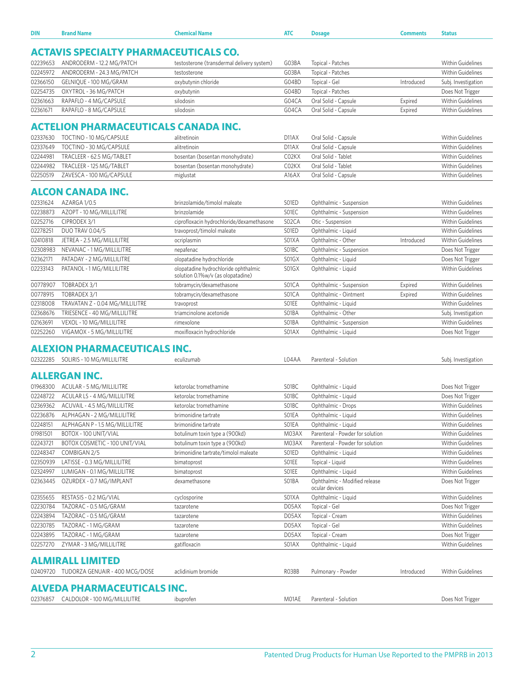| 02239653 | ANDRODERM - 12.2 MG/PATCH                   | testosterone (transdermal delivery system)                                | G03BA              | Topical - Patches                               |            | Within Guidelines        |
|----------|---------------------------------------------|---------------------------------------------------------------------------|--------------------|-------------------------------------------------|------------|--------------------------|
| 02245972 | ANDRODERM - 24.3 MG/PATCH                   | testosterone                                                              | G03BA              | Topical - Patches                               |            | Within Guidelines        |
| 02366150 | GELNIQUE - 100 MG/GRAM                      | oxybutynin chloride                                                       | G04BD              | Topical - Gel                                   | Introduced | Subj. Investigation      |
| 02254735 | OXYTROL - 36 MG/PATCH                       | oxybutynin                                                                | G04BD              | Topical - Patches                               |            | Does Not Trigger         |
| 02361663 | RAPAFLO - 4 MG/CAPSULE                      | silodosin                                                                 | G04CA              | Oral Solid - Capsule                            | Expired    | Within Guidelines        |
| 02361671 | RAPAFLO - 8 MG/CAPSULE                      | silodosin                                                                 | G04CA              | Oral Solid - Capsule                            | Expired    | Within Guidelines        |
|          |                                             |                                                                           |                    |                                                 |            |                          |
|          | <b>ACTELION PHARMACEUTICALS CANADA INC.</b> |                                                                           |                    |                                                 |            |                          |
| 02337630 | TOCTINO - 10 MG/CAPSULE                     | alitretinoin                                                              | D <sub>11</sub> AX | Oral Solid - Capsule                            |            | Within Guidelines        |
| 02337649 | TOCTINO - 30 MG/CAPSULE                     | alitretinoin                                                              | D <sub>11</sub> AX | Oral Solid - Capsule                            |            | Within Guidelines        |
| 02244981 | TRACLEER - 62.5 MG/TABLET                   | bosentan (bosentan monohydrate)                                           | C02KX              | Oral Solid - Tablet                             |            | <b>Within Guidelines</b> |
| 02244982 | TRACLEER - 125 MG/TABLET                    | bosentan (bosentan monohydrate)                                           | C02KX              | Oral Solid - Tablet                             |            | Within Guidelines        |
| 02250519 | ZAVESCA - 100 MG/CAPSULE                    | miglustat                                                                 | A16AX              | Oral Solid - Capsule                            |            | Within Guidelines        |
|          |                                             |                                                                           |                    |                                                 |            |                          |
|          | <b>ALCON CANADA INC.</b>                    |                                                                           |                    |                                                 |            |                          |
| 02331624 | AZARGA 1/0.5                                | brinzolamide/timolol maleate                                              | S01ED              | Ophthalmic - Suspension                         |            | Within Guidelines        |
| 02238873 | AZOPT - 10 MG/MILLILITRE                    | brinzolamide                                                              | SO1EC              | Ophthalmic - Suspension                         |            | Within Guidelines        |
| 02252716 | CIPRODEX 3/1                                | ciprofloxacin hydrochloride/dexamethasone                                 | S02CA              | Otic - Suspension                               |            | Within Guidelines        |
| 02278251 | <b>DUO TRAV 0.04/5</b>                      | travoprost/timolol maleate                                                | SO1ED              | Ophthalmic - Liquid                             |            | Within Guidelines        |
| 02410818 | JETREA - 2.5 MG/MILLILITRE                  | ocriplasmin                                                               | S01XA              | Ophthalmic - Other                              | Introduced | <b>Within Guidelines</b> |
| 02308983 | NEVANAC - 1 MG/MILLILITRE                   | nepafenac                                                                 | S01BC              | Ophthalmic - Suspension                         |            | Does Not Trigger         |
| 02362171 | PATADAY - 2 MG/MILLILITRE                   | olopatadine hydrochloride                                                 | S01GX              | Ophthalmic - Liquid                             |            | Does Not Trigger         |
| 02233143 | PATANOL - 1 MG/MILLILITRE                   | olopatadine hydrochloride ophthalmic<br>solution 0.1%w/v (as olopatadine) | S01GX              | Ophthalmic - Liquid                             |            | Within Guidelines        |
| 00778907 | TOBRADEX 3/1                                | tobramycin/dexamethasone                                                  | S01CA              | Ophthalmic - Suspension                         | Expired    | Within Guidelines        |
| 00778915 | TOBRADEX 3/1                                | tobramycin/dexamethasone                                                  | S01CA              | Ophthalmic - Ointment                           | Expired    | Within Guidelines        |
| 02318008 | TRAVATAN Z - 0.04 MG/MILLILITRE             | travoprost                                                                | SO1EE              | Ophthalmic - Liquid                             |            | Within Guidelines        |
| 02368676 | TRIESENCE - 40 MG/MILLILITRE                | triamcinolone acetonide                                                   | S01BA              | Ophthalmic - Other                              |            | Subj. Investigation      |
| 02163691 | VEXOL - 10 MG/MILLILITRE                    | rimexolone                                                                | S01BA              | Ophthalmic - Suspension                         |            | Within Guidelines        |
| 02252260 | VIGAMOX - 5 MG/MILLILITRE                   | moxifloxacin hydrochloride                                                | S01AX              | Ophthalmic - Liquid                             |            | Does Not Trigger         |
|          |                                             |                                                                           |                    |                                                 |            |                          |
|          |                                             |                                                                           |                    |                                                 |            |                          |
|          | <b>ALEXION PHARMACEUTICALS INC.</b>         |                                                                           |                    |                                                 |            |                          |
| 02322285 | SOLIRIS - 10 MG/MILLILITRE                  | eculizumab                                                                | L04AA              | Parenteral - Solution                           |            | Subj. Investigation      |
|          |                                             |                                                                           |                    |                                                 |            |                          |
|          | <b>ALLERGAN INC.</b>                        |                                                                           |                    |                                                 |            |                          |
| 01968300 | ACULAR - 5 MG/MILLILITRE                    | ketorolac tromethamine                                                    | S01BC              | Ophthalmic - Liquid                             |            | Does Not Trigger         |
| 02248722 | ACULAR LS - 4 MG/MILLILITRE                 | ketorolac tromethamine                                                    | S01BC              | Ophthalmic - Liquid                             |            | Does Not Trigger         |
| 02369362 | ACUVAIL - 4.5 MG/MILLILITRE                 | ketorolac tromethamine                                                    | S01BC              | Ophthalmic - Drops                              |            | Within Guidelines        |
| 02236876 | ALPHAGAN - 2 MG/MILLILITRE                  | brimonidine tartrate                                                      | SO1EA              | Ophthalmic - Liquid                             |            | <b>Within Guidelines</b> |
| 02248151 | ALPHAGAN P - 1.5 MG/MILLILITRE              | brimonidine tartrate                                                      | SO1EA              | Ophthalmic - Liquid                             |            | Within Guidelines        |
| 01981501 | BOTOX - 100 UNIT/VIAL                       | botulinum toxin type a (900kd)                                            | M03AX              | Parenteral - Powder for solution                |            | Within Guidelines        |
| 02243721 | BOTOX COSMETIC - 100 UNIT/VIAL              | botulinum toxin type a (900kd)                                            | M03AX              | Parenteral - Powder for solution                |            | <b>Within Guidelines</b> |
| 02248347 | COMBIGAN 2/5                                | brimonidine tartrate/timolol maleate                                      | S01ED              | Ophthalmic - Liquid                             |            | Within Guidelines        |
| 02350939 | LATISSE - 0.3 MG/MILLILITRE                 | bimatoprost                                                               | SO1EE              | Topical - Liquid                                |            | <b>Within Guidelines</b> |
| 02324997 | LUMIGAN - 0.1 MG/MILLILITRE                 |                                                                           | SO1EE              | Ophthalmic - Liquid                             |            | Within Guidelines        |
| 02363445 | OZURDEX - 0.7 MG/IMPLANT                    | bimatoprost<br>dexamethasone                                              | S01BA              | Ophthalmic - Modified release<br>ocular devices |            | Does Not Trigger         |
|          |                                             |                                                                           | S01XA              |                                                 |            | <b>Within Guidelines</b> |
| 02355655 | RESTASIS - 0.2 MG/VIAL                      | cyclosporine                                                              |                    | Ophthalmic - Liquid                             |            |                          |
| 02230784 | TAZORAC - 0.5 MG/GRAM                       | tazarotene                                                                | D05AX              | Topical - Gel                                   |            | Does Not Trigger         |
| 02243894 | TAZORAC - 0.5 MG/GRAM                       | tazarotene                                                                | D05AX              | Topical - Cream                                 |            | Within Guidelines        |
| 02230785 | TAZORAC - 1 MG/GRAM                         | tazarotene                                                                | D05AX              | Topical - Gel                                   |            | <b>Within Guidelines</b> |
| 02243895 | TAZORAC - 1 MG/GRAM                         | tazarotene                                                                | D05AX              | Topical - Cream                                 |            | Does Not Trigger         |
| 02257270 | ZYMAR - 3 MG/MILLILITRE                     | gatifloxacin                                                              | S01AX              | Ophthalmic - Liquid                             |            | <b>Within Guidelines</b> |
|          |                                             |                                                                           |                    |                                                 |            |                          |
|          | <b>ALMIRALL LIMITED</b>                     |                                                                           |                    |                                                 |            |                          |
| 02409720 | TUDORZA GENUAIR - 400 MCG/DOSE              | aclidinium bromide                                                        | RO3BB              | Pulmonary - Powder                              | Introduced | <b>Within Guidelines</b> |
|          |                                             |                                                                           |                    |                                                 |            |                          |
|          | <b>ALVEDA PHARMACEUTICALS INC.</b>          |                                                                           |                    |                                                 |            |                          |
| 02376857 | CALDOLOR - 100 MG/MILLILITRE                | ibuprofen                                                                 | M01AE              | Parenteral - Solution                           |            | Does Not Trigger         |

**DIN Brand Name Chemical Name ATC Dosage Comments Status**

**ACTAVIS SPECIALTY PHARMACEUTICALS CO.**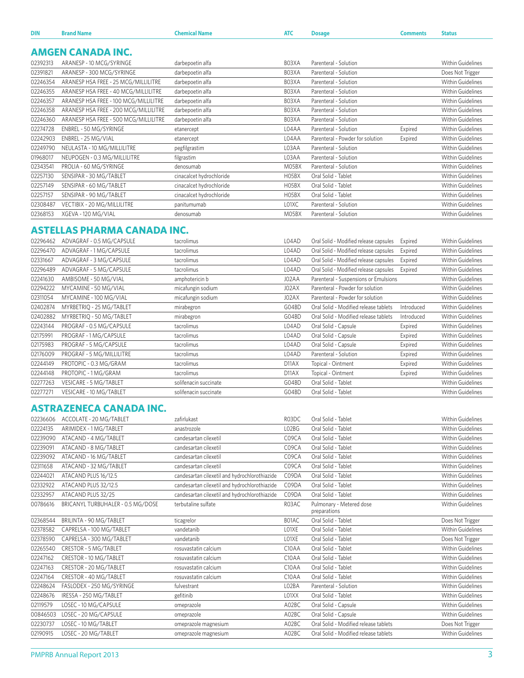| <b>DIN</b> | <b>Brand Name</b>                     | <b>Chemical Name</b>     | <b>ATC</b> | <b>Dosage</b>                    | <b>Comments</b> | <b>Status</b>            |
|------------|---------------------------------------|--------------------------|------------|----------------------------------|-----------------|--------------------------|
|            | <b>AMGEN CANADA INC.</b>              |                          |            |                                  |                 |                          |
|            |                                       |                          |            |                                  |                 |                          |
| 02392313   | ARANESP - 10 MCG/SYRINGE              | darbepoetin alfa         | B03XA      | Parenteral - Solution            |                 | <b>Within Guidelines</b> |
| 02391821   | ARANESP - 300 MCG/SYRINGE             | darbepoetin alfa         | B03XA      | Parenteral - Solution            |                 | Does Not Trigger         |
| 02246354   | ARANESP HSA FREE - 25 MCG/MILLILITRE  | darbepoetin alfa         | B03XA      | Parenteral - Solution            |                 | <b>Within Guidelines</b> |
| 02246355   | ARANESP HSA FREE - 40 MCG/MILLILITRE  | darbepoetin alfa         | B03XA      | Parenteral - Solution            |                 | <b>Within Guidelines</b> |
| 02246357   | ARANESP HSA FREE - 100 MCG/MILLILITRE | darbepoetin alfa         | B03XA      | Parenteral - Solution            |                 | <b>Within Guidelines</b> |
| 02246358   | ARANESP HSA FREE - 200 MCG/MILLILITRE | darbepoetin alfa         | B03XA      | Parenteral - Solution            |                 | <b>Within Guidelines</b> |
| 02246360   | ARANESP HSA FREE - 500 MCG/MILLILITRE | darbepoetin alfa         | B03XA      | Parenteral - Solution            |                 | Within Guidelines        |
| 02274728   | ENBREL - 50 MG/SYRINGE                | etanercept               | L04AA      | Parenteral - Solution            | Expired         | Within Guidelines        |
| 02242903   | ENBREL - 25 MG/VIAL                   | etanercept               | L04AA      | Parenteral - Powder for solution | Expired         | <b>Within Guidelines</b> |
| 02249790   | NEULASTA - 10 MG/MILLILITRE           | pegfilgrastim            | L03AA      | Parenteral - Solution            |                 | <b>Within Guidelines</b> |
| 01968017   | NEUPOGEN - 0.3 MG/MILLILITRE          | filgrastim               | L03AA      | Parenteral - Solution            |                 | Within Guidelines        |
| 02343541   | PROLIA - 60 MG/SYRINGE                | denosumab                | M05BX      | Parenteral - Solution            |                 | Within Guidelines        |
| 02257130   | SENSIPAR - 30 MG/TABLET               | cinacalcet hydrochloride | H05BX      | Oral Solid - Tablet              |                 | Within Guidelines        |
| 02257149   | SENSIPAR - 60 MG/TABLET               | cinacalcet hydrochloride | H05BX      | Oral Solid - Tablet              |                 | Within Guidelines        |
| 02257157   | SENSIPAR - 90 MG/TABLET               | cinacalcet hydrochloride | H05BX      | Oral Solid - Tablet              |                 | Within Guidelines        |
| 02308487   | VECTIBIX - 20 MG/MILLILITRE           | panitumumab              | LO1XC      | Parenteral - Solution            |                 | Within Guidelines        |
| 02368153   | XGEVA - 120 MG/VIAL                   | denosumab                | M05BX      | Parenteral - Solution            |                 | Within Guidelines        |

## **ASTELLAS PHARMA CANADA INC.**

| L04AD<br>Oral Solid - Modified release capsules<br>ADVAGRAF - 1 MG/CAPSULE<br>Expired<br>Within Guidelines<br>tacrolimus<br>ADVAGRAF - 3 MG/CAPSULE<br>L04AD<br>Oral Solid - Modified release capsules<br>Within Guidelines<br>Expired<br>tacrolimus<br>Oral Solid - Modified release capsules<br>ADVAGRAF - 5 MG/CAPSULE<br>L04AD<br>Within Guidelines<br>Expired<br>tacrolimus<br>J02AA<br>AMBISOME - 50 MG/VIAL<br>Parenteral - Suspensions or Emulsions<br>Within Guidelines<br>amphotericin b<br>MYCAMINE - 50 MG/VIAL<br>micafungin sodium<br>J02AX<br>Parenteral - Powder for solution<br>Within Guidelines<br>micafungin sodium<br>Parenteral - Powder for solution<br>MYCAMINE - 100 MG/VIAL<br>J02AX<br>Within Guidelines<br>G04BD<br>MYRBETRIQ - 25 MG/TABLET<br>Oral Solid - Modified release tablets<br>Introduced<br>Within Guidelines<br>mirabegron<br>G04BD<br>Oral Solid - Modified release tablets<br>Introduced<br>Within Guidelines<br>MYRBETRIQ - 50 MG/TABLET<br>mirabegron<br>PROGRAF - 0.5 MG/CAPSULE<br>L04AD<br>Expired<br><b>Within Guidelines</b><br>Oral Solid - Capsule<br>tacrolimus<br>PROGRAF - 1 MG/CAPSULE<br>Oral Solid - Capsule<br>Expired<br>Within Guidelines<br>L04AD<br>tacrolimus<br>PROGRAF - 5 MG/CAPSULE<br>L04AD<br>Oral Solid - Capsule<br>Expired<br>Within Guidelines<br>tacrolimus<br>L04AD<br>Parenteral - Solution<br>Expired<br>PROGRAF - 5 MG/MILLILITRE<br>Within Guidelines<br>tacrolimus<br>PROTOPIC - 0.3 MG/GRAM<br>D <sub>11</sub> AX<br>Topical - Ointment<br>Expired<br>Within Guidelines<br>tacrolimus<br>Expired<br><b>Within Guidelines</b><br>PROTOPIC - 1 MG/GRAM<br>D <sub>11</sub> AX<br>Topical - Ointment<br>tacrolimus<br>VESICARE - 5 MG/TABLET<br>Oral Solid - Tablet<br>Within Guidelines<br>G04BD<br>solifenacin succinate<br>Within Guidelines<br>VESICARE - 10 MG/TABLET<br>G04BD<br>Oral Solid - Tablet<br>solifenacin succinate | 02296462 | ADVAGRAF - 0.5 MG/CAPSULE | tacrolimus | L04AD | Oral Solid - Modified release capsules | Expired | Within Guidelines |
|------------------------------------------------------------------------------------------------------------------------------------------------------------------------------------------------------------------------------------------------------------------------------------------------------------------------------------------------------------------------------------------------------------------------------------------------------------------------------------------------------------------------------------------------------------------------------------------------------------------------------------------------------------------------------------------------------------------------------------------------------------------------------------------------------------------------------------------------------------------------------------------------------------------------------------------------------------------------------------------------------------------------------------------------------------------------------------------------------------------------------------------------------------------------------------------------------------------------------------------------------------------------------------------------------------------------------------------------------------------------------------------------------------------------------------------------------------------------------------------------------------------------------------------------------------------------------------------------------------------------------------------------------------------------------------------------------------------------------------------------------------------------------------------------------------------------------------------------------------------------------------------------------------------|----------|---------------------------|------------|-------|----------------------------------------|---------|-------------------|
|                                                                                                                                                                                                                                                                                                                                                                                                                                                                                                                                                                                                                                                                                                                                                                                                                                                                                                                                                                                                                                                                                                                                                                                                                                                                                                                                                                                                                                                                                                                                                                                                                                                                                                                                                                                                                                                                                                                  | 02296470 |                           |            |       |                                        |         |                   |
|                                                                                                                                                                                                                                                                                                                                                                                                                                                                                                                                                                                                                                                                                                                                                                                                                                                                                                                                                                                                                                                                                                                                                                                                                                                                                                                                                                                                                                                                                                                                                                                                                                                                                                                                                                                                                                                                                                                  | 02331667 |                           |            |       |                                        |         |                   |
|                                                                                                                                                                                                                                                                                                                                                                                                                                                                                                                                                                                                                                                                                                                                                                                                                                                                                                                                                                                                                                                                                                                                                                                                                                                                                                                                                                                                                                                                                                                                                                                                                                                                                                                                                                                                                                                                                                                  | 02296489 |                           |            |       |                                        |         |                   |
|                                                                                                                                                                                                                                                                                                                                                                                                                                                                                                                                                                                                                                                                                                                                                                                                                                                                                                                                                                                                                                                                                                                                                                                                                                                                                                                                                                                                                                                                                                                                                                                                                                                                                                                                                                                                                                                                                                                  | 02241630 |                           |            |       |                                        |         |                   |
|                                                                                                                                                                                                                                                                                                                                                                                                                                                                                                                                                                                                                                                                                                                                                                                                                                                                                                                                                                                                                                                                                                                                                                                                                                                                                                                                                                                                                                                                                                                                                                                                                                                                                                                                                                                                                                                                                                                  | 02294222 |                           |            |       |                                        |         |                   |
|                                                                                                                                                                                                                                                                                                                                                                                                                                                                                                                                                                                                                                                                                                                                                                                                                                                                                                                                                                                                                                                                                                                                                                                                                                                                                                                                                                                                                                                                                                                                                                                                                                                                                                                                                                                                                                                                                                                  | 02311054 |                           |            |       |                                        |         |                   |
|                                                                                                                                                                                                                                                                                                                                                                                                                                                                                                                                                                                                                                                                                                                                                                                                                                                                                                                                                                                                                                                                                                                                                                                                                                                                                                                                                                                                                                                                                                                                                                                                                                                                                                                                                                                                                                                                                                                  | 02402874 |                           |            |       |                                        |         |                   |
|                                                                                                                                                                                                                                                                                                                                                                                                                                                                                                                                                                                                                                                                                                                                                                                                                                                                                                                                                                                                                                                                                                                                                                                                                                                                                                                                                                                                                                                                                                                                                                                                                                                                                                                                                                                                                                                                                                                  | 02402882 |                           |            |       |                                        |         |                   |
|                                                                                                                                                                                                                                                                                                                                                                                                                                                                                                                                                                                                                                                                                                                                                                                                                                                                                                                                                                                                                                                                                                                                                                                                                                                                                                                                                                                                                                                                                                                                                                                                                                                                                                                                                                                                                                                                                                                  | 02243144 |                           |            |       |                                        |         |                   |
|                                                                                                                                                                                                                                                                                                                                                                                                                                                                                                                                                                                                                                                                                                                                                                                                                                                                                                                                                                                                                                                                                                                                                                                                                                                                                                                                                                                                                                                                                                                                                                                                                                                                                                                                                                                                                                                                                                                  | 02175991 |                           |            |       |                                        |         |                   |
|                                                                                                                                                                                                                                                                                                                                                                                                                                                                                                                                                                                                                                                                                                                                                                                                                                                                                                                                                                                                                                                                                                                                                                                                                                                                                                                                                                                                                                                                                                                                                                                                                                                                                                                                                                                                                                                                                                                  | 02175983 |                           |            |       |                                        |         |                   |
|                                                                                                                                                                                                                                                                                                                                                                                                                                                                                                                                                                                                                                                                                                                                                                                                                                                                                                                                                                                                                                                                                                                                                                                                                                                                                                                                                                                                                                                                                                                                                                                                                                                                                                                                                                                                                                                                                                                  | 02176009 |                           |            |       |                                        |         |                   |
|                                                                                                                                                                                                                                                                                                                                                                                                                                                                                                                                                                                                                                                                                                                                                                                                                                                                                                                                                                                                                                                                                                                                                                                                                                                                                                                                                                                                                                                                                                                                                                                                                                                                                                                                                                                                                                                                                                                  | 02244149 |                           |            |       |                                        |         |                   |
|                                                                                                                                                                                                                                                                                                                                                                                                                                                                                                                                                                                                                                                                                                                                                                                                                                                                                                                                                                                                                                                                                                                                                                                                                                                                                                                                                                                                                                                                                                                                                                                                                                                                                                                                                                                                                                                                                                                  | 02244148 |                           |            |       |                                        |         |                   |
|                                                                                                                                                                                                                                                                                                                                                                                                                                                                                                                                                                                                                                                                                                                                                                                                                                                                                                                                                                                                                                                                                                                                                                                                                                                                                                                                                                                                                                                                                                                                                                                                                                                                                                                                                                                                                                                                                                                  | 02277263 |                           |            |       |                                        |         |                   |
|                                                                                                                                                                                                                                                                                                                                                                                                                                                                                                                                                                                                                                                                                                                                                                                                                                                                                                                                                                                                                                                                                                                                                                                                                                                                                                                                                                                                                                                                                                                                                                                                                                                                                                                                                                                                                                                                                                                  | 02277271 |                           |            |       |                                        |         |                   |

#### **ASTRAZENECA CANADA INC.**

| ACCOLATE - 20 MG/TABLET           | zafirlukast                                   | R03DC              | Oral Solid - Tablet                      | <b>Within Guidelines</b> |
|-----------------------------------|-----------------------------------------------|--------------------|------------------------------------------|--------------------------|
| ARIMIDEX - 1 MG/TABLET            | anastrozole                                   | LO2BG              | Oral Solid - Tablet                      | <b>Within Guidelines</b> |
| ATACAND - 4 MG/TABLET             | candesartan cilexetil                         | C09CA              | Oral Solid - Tablet                      | <b>Within Guidelines</b> |
| ATACAND - 8 MG/TABLET             | candesartan cilexetil                         | C09CA              | Oral Solid - Tablet                      | <b>Within Guidelines</b> |
| ATACAND - 16 MG/TABLET            | candesartan cilexetil                         | C09CA              | Oral Solid - Tablet                      | <b>Within Guidelines</b> |
| ATACAND - 32 MG/TABLET            | candesartan cilexetil                         | C09CA              | Oral Solid - Tablet                      | <b>Within Guidelines</b> |
| ATACAND PLUS 16/12.5              | candesartan cilexetil and hydrochlorothiazide | C09DA              | Oral Solid - Tablet                      | <b>Within Guidelines</b> |
| ATACAND PLUS 32/12.5              | candesartan cilexetil and hydrochlorothiazide | C09DA              | Oral Solid - Tablet                      | <b>Within Guidelines</b> |
| ATACAND PLUS 32/25                | candesartan cilexetil and hydrochlorothiazide | C09DA              | Oral Solid - Tablet                      | Within Guidelines        |
| BRICANYL TURBUHALER - 0.5 MG/DOSE | terbutaline sulfate                           | R03AC              | Pulmonary - Metered dose<br>preparations | <b>Within Guidelines</b> |
| BRILINTA - 90 MG/TABLET           | ticagrelor                                    | B01AC              | Oral Solid - Tablet                      | Does Not Trigger         |
| CAPRELSA - 100 MG/TABLET          | vandetanib                                    | LO1XE              | Oral Solid - Tablet                      | Within Guidelines        |
| CAPRELSA - 300 MG/TABLET          | vandetanib                                    | LO1XE              | Oral Solid - Tablet                      | Does Not Trigger         |
| CRESTOR - 5 MG/TABLET             | rosuvastatin calcium                          | C <sub>10</sub> AA | Oral Solid - Tablet                      | Within Guidelines        |
| CRESTOR - 10 MG/TABLET            | rosuvastatin calcium                          | C <sub>10</sub> AA | Oral Solid - Tablet                      | Within Guidelines        |
| CRESTOR - 20 MG/TABLET            | rosuvastatin calcium                          | C <sub>10</sub> AA | Oral Solid - Tablet                      | <b>Within Guidelines</b> |
| CRESTOR - 40 MG/TABLET            | rosuvastatin calcium                          | C <sub>10</sub> AA | Oral Solid - Tablet                      | <b>Within Guidelines</b> |
| FASLODEX - 250 MG/SYRINGE         | fulvestrant                                   | LO2BA              | Parenteral - Solution                    | <b>Within Guidelines</b> |
| IRESSA - 250 MG/TABLET            | gefitinib                                     | LO1XX              | Oral Solid - Tablet                      | <b>Within Guidelines</b> |
| LOSEC - 10 MG/CAPSULE             | omeprazole                                    | A02BC              | Oral Solid - Capsule                     | <b>Within Guidelines</b> |
| LOSEC - 20 MG/CAPSULE             | omeprazole                                    | A02BC              | Oral Solid - Capsule                     | Within Guidelines        |
| LOSEC - 10 MG/TABLET              | omeprazole magnesium                          | A02BC              | Oral Solid - Modified release tablets    | Does Not Trigger         |
| LOSEC - 20 MG/TABLET              | omeprazole magnesium                          | A02BC              | Oral Solid - Modified release tablets    | Within Guidelines        |
|                                   |                                               |                    |                                          |                          |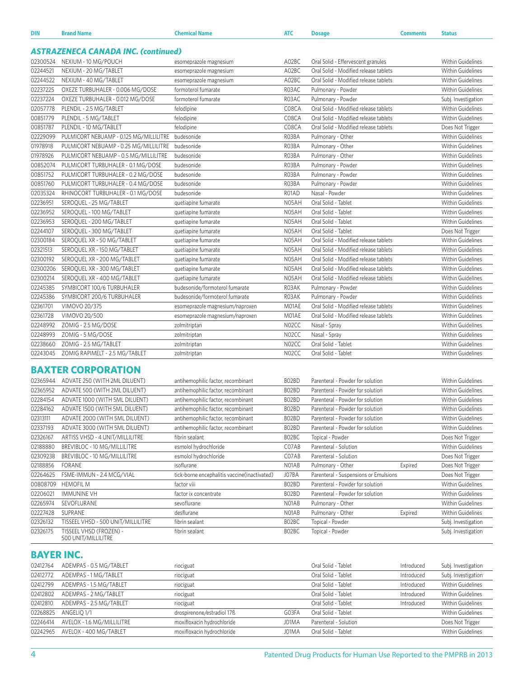| <b>DIN</b> | <b>Brand Name</b>                          | <b>Chemical Name</b>            | <b>ATC</b> | <b>Dosage</b>                         | <b>Comments</b> | <b>Status</b>            |
|------------|--------------------------------------------|---------------------------------|------------|---------------------------------------|-----------------|--------------------------|
|            | <b>ASTRAZENECA CANADA INC. (continued)</b> |                                 |            |                                       |                 |                          |
| 02300524   | NEXIUM - 10 MG/POUCH                       | esomeprazole magnesium          | A02BC      | Oral Solid - Effervescent granules    |                 | <b>Within Guidelines</b> |
| 02244521   | NEXIUM - 20 MG/TABLET                      | esomeprazole magnesium          | A02BC      | Oral Solid - Modified release tablets |                 | <b>Within Guidelines</b> |
| 02244522   | NEXIUM - 40 MG/TABLET                      | esomeprazole magnesium          | A02BC      | Oral Solid - Modified release tablets |                 | <b>Within Guidelines</b> |
| 02237225   | OXEZE TURBUHALER - 0.006 MG/DOSE           | formoterol fumarate             | R03AC      | Pulmonary - Powder                    |                 | <b>Within Guidelines</b> |
| 02237224   | OXEZE TURBUHALER - 0.012 MG/DOSE           | formoterol fumarate             | R03AC      | Pulmonary - Powder                    |                 | Subj. Investigation      |
| 02057778   | PLENDIL - 2.5 MG/TABLET                    | felodipine                      | C08CA      | Oral Solid - Modified release tablets |                 | <b>Within Guidelines</b> |
| 00851779   | PLENDIL - 5 MG/TABLET                      | felodipine                      | C08CA      | Oral Solid - Modified release tablets |                 | <b>Within Guidelines</b> |
| 00851787   | PLENDIL - 10 MG/TABLET                     | felodipine                      | C08CA      | Oral Solid - Modified release tablets |                 | Does Not Trigger         |
| 02229099   | PULMICORT NEBUAMP - 0.125 MG/MILLILITRE    | budesonide                      | R03BA      | Pulmonary - Other                     |                 | <b>Within Guidelines</b> |
| 01978918   | PULMICORT NEBUAMP - 0.25 MG/MILLILITRE     | budesonide                      | R03BA      | Pulmonary - Other                     |                 | <b>Within Guidelines</b> |
| 01978926   | PULMICORT NEBUAMP - 0.5 MG/MILLILITRE      | budesonide                      | R03BA      | Pulmonary - Other                     |                 | Within Guidelines        |
| 00852074   | PULMICORT TURBUHALER - 0.1 MG/DOSE         | budesonide                      | R03BA      | Pulmonary - Powder                    |                 | <b>Within Guidelines</b> |
| 00851752   | PULMICORT TURBUHALER - 0.2 MG/DOSE         | budesonide                      | R03BA      | Pulmonary - Powder                    |                 | <b>Within Guidelines</b> |
| 00851760   | PULMICORT TURBUHALER - 0.4 MG/DOSE         | budesonide                      | R03BA      | Pulmonary - Powder                    |                 | <b>Within Guidelines</b> |
| 02035324   | RHINOCORT TURBUHALER - 0.1 MG/DOSE         | budesonide                      | R01AD      | Nasal - Powder                        |                 | <b>Within Guidelines</b> |
| 02236951   | SEROQUEL - 25 MG/TABLET                    | quetiapine fumarate             | N05AH      | Oral Solid - Tablet                   |                 | <b>Within Guidelines</b> |
| 02236952   | SEROQUEL - 100 MG/TABLET                   | quetiapine fumarate             | N05AH      | Oral Solid - Tablet                   |                 | <b>Within Guidelines</b> |
| 02236953   | SEROQUEL - 200 MG/TABLET                   | quetiapine fumarate             | N05AH      | Oral Solid - Tablet                   |                 | <b>Within Guidelines</b> |
| 02244107   | SEROQUEL - 300 MG/TABLET                   | quetiapine fumarate             | N05AH      | Oral Solid - Tablet                   |                 | Does Not Trigger         |
| 02300184   | SEROQUEL XR - 50 MG/TABLET                 | quetiapine fumarate             | N05AH      | Oral Solid - Modified release tablets |                 | <b>Within Guidelines</b> |
| 02321513   | SEROQUEL XR - 150 MG/TABLET                | quetiapine fumarate             | N05AH      | Oral Solid - Modified release tablets |                 | <b>Within Guidelines</b> |
| 02300192   | SEROQUEL XR - 200 MG/TABLET                | quetiapine fumarate             | N05AH      | Oral Solid - Modified release tablets |                 | <b>Within Guidelines</b> |
| 02300206   | SEROQUEL XR - 300 MG/TABLET                | quetiapine fumarate             | N05AH      | Oral Solid - Modified release tablets |                 | <b>Within Guidelines</b> |
| 02300214   | SEROQUEL XR - 400 MG/TABLET                | quetiapine fumarate             | N05AH      | Oral Solid - Modified release tablets |                 | <b>Within Guidelines</b> |
| 02245385   | SYMBICORT 100/6 TURBUHALER                 | budesonide/formoterol fumarate  | R03AK      | Pulmonary - Powder                    |                 | <b>Within Guidelines</b> |
| 02245386   | SYMBICORT 200/6 TURBUHALER                 | budesonide/formoterol fumarate  | R03AK      | Pulmonary - Powder                    |                 | <b>Within Guidelines</b> |
| 02361701   | VIMOVO 20/375                              | esomeprazole magnesium/naproxen | M01AE      | Oral Solid - Modified release tablets |                 | <b>Within Guidelines</b> |
| 02361728   | VIMOVO 20/500                              | esomeprazole magnesium/naproxen | M01AE      | Oral Solid - Modified release tablets |                 | Within Guidelines        |
| 02248992   | ZOMIG - 2.5 MG/DOSE                        | zolmitriptan                    | N02CC      | Nasal - Spray                         |                 | <b>Within Guidelines</b> |
| 02248993   | ZOMIG - 5 MG/DOSE                          | zolmitriptan                    | N02CC      | Nasal - Spray                         |                 | <b>Within Guidelines</b> |
| 02238660   | ZOMIG - 2.5 MG/TABLET                      | zolmitriptan                    | N02CC      | Oral Solid - Tablet                   |                 | <b>Within Guidelines</b> |
| 02243045   | ZOMIG RAPIMELT - 2.5 MG/TABLET             | zolmitriptan                    | N02CC      | Oral Solid - Tablet                   |                 | <b>Within Guidelines</b> |
|            |                                            |                                 |            |                                       |                 |                          |

## **BAXTER CORPORATION**

| 02365944 | ADVATE 250 (WITH 2ML DILUENT)                  | antihemophilic factor, recombinant            | BO2BD                          | Parenteral - Powder for solution      |         | <b>Within Guidelines</b> |
|----------|------------------------------------------------|-----------------------------------------------|--------------------------------|---------------------------------------|---------|--------------------------|
| 02365952 | ADVATE 500 (WITH 2ML DILUENT)                  | antihemophilic factor, recombinant            | BO2BD                          | Parenteral - Powder for solution      |         | <b>Within Guidelines</b> |
| 02284154 | ADVATE 1000 (WITH 5ML DILUENT)                 | antihemophilic factor, recombinant            | BO2BD                          | Parenteral - Powder for solution      |         | Within Guidelines        |
| 02284162 | ADVATE 1500 (WITH 5ML DILUENT)                 | antihemophilic factor, recombinant            | BO <sub>2</sub> B <sub>D</sub> | Parenteral - Powder for solution      |         | <b>Within Guidelines</b> |
| 02313111 | ADVATE 2000 (WITH 5ML DILUENT)                 | antihemophilic factor, recombinant            | BO2BD                          | Parenteral - Powder for solution      |         | <b>Within Guidelines</b> |
| 02337193 | ADVATE 3000 (WITH 5ML DILUENT)                 | antihemophilic factor, recombinant            | BO2BD                          | Parenteral - Powder for solution      |         | Within Guidelines        |
| 02326167 | ARTISS VHSD - 4 UNIT/MILLILITRE                | fibrin sealant                                | BO2BC                          | Topical - Powder                      |         | Does Not Trigger         |
| 02188880 | BREVIBLOC - 10 MG/MILLILITRE                   | esmolol hydrochloride                         | C07AB                          | Parenteral - Solution                 |         | <b>Within Guidelines</b> |
| 02309238 | BREVIBLOC - 10 MG/MILLILITRE                   | esmolol hydrochloride                         | C07AB                          | Parenteral - Solution                 |         | Does Not Trigger         |
| 02188856 | <b>FORANE</b>                                  | isoflurane                                    | NO <sub>1</sub> AB             | Pulmonary - Other                     | Expired | Does Not Trigger         |
| 02264625 | FSME-IMMUN - 2.4 MCG/VIAL                      | tick-borne encephalitis vaccine (inactivated) | J07BA                          | Parenteral - Suspensions or Emulsions |         | Does Not Trigger         |
| 00808709 | <b>HEMOFIL M</b>                               | factor viii                                   | B02BD                          | Parenteral - Powder for solution      |         | <b>Within Guidelines</b> |
| 02206021 | <b>IMMUNINE VH</b>                             | factor ix concentrate                         | B02BD                          | Parenteral - Powder for solution      |         | Within Guidelines        |
| 02265974 | SEVOFLURANE                                    | sevoflurane                                   | NO <sub>1</sub> AB             | Pulmonary - Other                     |         | Within Guidelines        |
| 02227428 | SUPRANE                                        | desflurane                                    | NO <sub>1</sub> AB             | Pulmonary - Other                     | Expired | <b>Within Guidelines</b> |
| 02326132 | TISSEEL VHSD - 500 UNIT/MILLILITRE             | fibrin sealant                                | BO2BC                          | Topical - Powder                      |         | Subj. Investigation      |
| 02326175 | TISSEEL VHSD (FROZEN) -<br>500 UNIT/MILLILITRE | fibrin sealant                                | BO2BC                          | Topical - Powder                      |         | Subj. Investigation      |

## **BAYER INC.**

| 02412764 | ADEMPAS - 0.5 MG/TABLET             | riociguat                  |       | Oral Solid - Tablet   | Introduced | Subj. Investigation      |
|----------|-------------------------------------|----------------------------|-------|-----------------------|------------|--------------------------|
| 02412772 | ADEMPAS - 1 MG/TABLET               | riociguat                  |       | Oral Solid - Tablet   | Introduced | Subj. Investigation      |
| 02412799 | ADEMPAS - 1.5 MG/TABLET             | riociguat                  |       | Oral Solid - Tablet   | Introduced | <b>Within Guidelines</b> |
| 02412802 | ADEMPAS - 2 MG/TABLET               | riociguat                  |       | Oral Solid - Tablet   | Introduced | <b>Within Guidelines</b> |
| 02412810 | ADEMPAS - 2.5 MG/TABLET             | riociguat                  |       | Oral Solid - Tablet   | Introduced | <b>Within Guidelines</b> |
|          | 02268825 ANGELIQ 1/1                | drospirenone/estradiol 17ß | G03FA | Oral Solid - Tablet   |            | <b>Within Guidelines</b> |
|          | 02246414 AVELOX - 1.6 MG/MILLILITRE | moxifloxacin hydrochloride | J01MA | Parenteral - Solution |            | Does Not Trigger         |
|          | 02242965 AVELOX - 400 MG/TABLET     | moxifloxacin hydrochloride | J01MA | Oral Solid - Tablet   |            | <b>Within Guidelines</b> |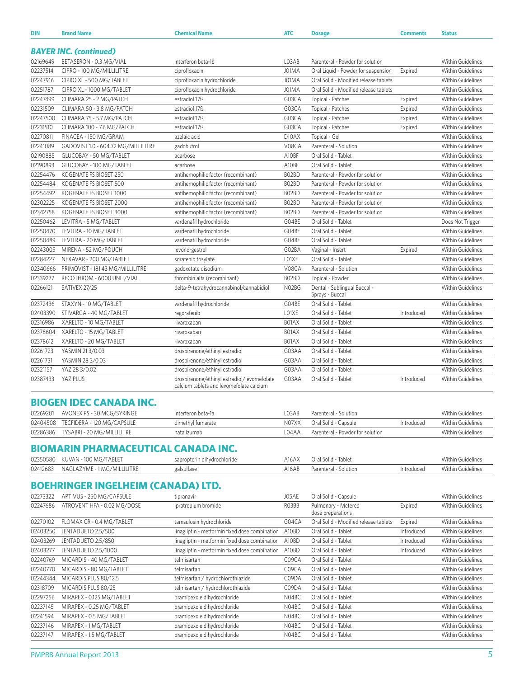| <b>DIN</b> | <b>Brand Name</b>                          | <b>Chemical Name</b>                                                                    | <b>ATC</b> | <b>Dosage</b>                                   | <b>Comments</b> | <b>Status</b>            |
|------------|--------------------------------------------|-----------------------------------------------------------------------------------------|------------|-------------------------------------------------|-----------------|--------------------------|
|            | <b>BAYER INC. (continued)</b>              |                                                                                         |            |                                                 |                 |                          |
| 02169649   | BETASERON - 0.3 MG/VIAL                    | interferon beta-1b                                                                      | L03AB      | Parenteral - Powder for solution                |                 | <b>Within Guidelines</b> |
| 02237514   | CIPRO - 100 MG/MILLILITRE                  | ciprofloxacin                                                                           | J01MA      | Oral Liquid - Powder for suspension             | Expired         | <b>Within Guidelines</b> |
| 02247916   | CIPRO XL - 500 MG/TABLET                   | ciprofloxacin hydrochloride                                                             | J01MA      | Oral Solid - Modified release tablets           |                 | Within Guidelines        |
| 02251787   | CIPRO XL - 1000 MG/TABLET                  | ciprofloxacin hydrochloride                                                             | J01MA      | Oral Solid - Modified release tablets           |                 | <b>Within Guidelines</b> |
| 02247499   | CLIMARA 25 - 2 MG/PATCH                    | estradiol 17ß                                                                           | G03CA      | Topical - Patches                               | Expired         | <b>Within Guidelines</b> |
| 02231509   | CLIMARA 50 - 3.8 MG/PATCH                  | estradiol 17ß                                                                           | G03CA      | Topical - Patches                               | Expired         | Within Guidelines        |
| 02247500   | CLIMARA 75 - 5.7 MG/PATCH                  | estradiol 17ß                                                                           | G03CA      | Topical - Patches                               | Expired         | <b>Within Guidelines</b> |
| 02231510   | CLIMARA 100 - 7.6 MG/PATCH                 | estradiol 17 <sup>B</sup>                                                               | G03CA      | Topical - Patches                               | Expired         | <b>Within Guidelines</b> |
| 02270811   | FINACEA - 150 MG/GRAM                      | azelaic acid                                                                            | D10AX      | Topical - Gel                                   |                 | <b>Within Guidelines</b> |
| 02241089   | GADOVIST 1.0 - 604.72 MG/MILLILITRE        | gadobutrol                                                                              | V08CA      | Parenteral - Solution                           |                 | <b>Within Guidelines</b> |
| 02190885   | GLUCOBAY - 50 MG/TABLET                    | acarbose                                                                                | A10BF      | Oral Solid - Tablet                             |                 | <b>Within Guidelines</b> |
| 02190893   | GLUCOBAY - 100 MG/TABLET                   | acarbose                                                                                | A10BF      | Oral Solid - Tablet                             |                 | <b>Within Guidelines</b> |
| 02254476   | KOGENATE FS BIOSET 250                     | antihemophilic factor (recombinant)                                                     | B02BD      | Parenteral - Powder for solution                |                 | <b>Within Guidelines</b> |
| 02254484   | KOGENATE FS BIOSET 500                     | antihemophilic factor (recombinant)                                                     | B02BD      | Parenteral - Powder for solution                |                 | <b>Within Guidelines</b> |
| 02254492   | KOGENATE FS BIOSET 1000                    | antihemophilic factor (recombinant)                                                     | B02BD      | Parenteral - Powder for solution                |                 | <b>Within Guidelines</b> |
| 02302225   | KOGENATE FS BIOSET 2000                    | antihemophilic factor (recombinant)                                                     | B02BD      | Parenteral - Powder for solution                |                 | <b>Within Guidelines</b> |
| 02342758   | KOGENATE FS BIOSET 3000                    | antihemophilic factor (recombinant)                                                     | B02BD      | Parenteral - Powder for solution                |                 | Within Guidelines        |
| 02250462   | LEVITRA - 5 MG/TABLET                      | vardenafil hydrochloride                                                                | G04BE      | Oral Solid - Tablet                             |                 | Does Not Trigger         |
| 02250470   | LEVITRA - 10 MG/TABLET                     | vardenafil hydrochloride                                                                | G04BE      | Oral Solid - Tablet                             |                 | Within Guidelines        |
| 02250489   | LEVITRA - 20 MG/TABLET                     | vardenafil hydrochloride                                                                | G04BE      | Oral Solid - Tablet                             |                 | <b>Within Guidelines</b> |
| 02243005   | MIRENA - 52 MG/POUCH                       | levonorgestrel                                                                          | G02BA      | Vaginal - Insert                                | Expired         | <b>Within Guidelines</b> |
| 02284227   | NEXAVAR - 200 MG/TABLET                    | sorafenib tosylate                                                                      | LO1XE      | Oral Solid - Tablet                             |                 | <b>Within Guidelines</b> |
| 02340666   | PRIMOVIST - 181.43 MG/MILLILITRE           | gadoxetate disodium                                                                     | V08CA      | Parenteral - Solution                           |                 | <b>Within Guidelines</b> |
| 02339277   | RECOTHROM - 6000 UNIT/VIAL                 | thrombin alfa (recombinant)                                                             | B02BD      | Topical - Powder                                |                 | <b>Within Guidelines</b> |
| 02266121   | SATIVEX 27/25                              | delta-9-tetrahydrocannabinol/cannabidiol                                                | N02BG      | Dental - Sublingual Buccal -<br>Sprays - Buccal |                 | Within Guidelines        |
| 02372436   | STAXYN - 10 MG/TABLET                      | vardenafil hydrochloride                                                                | G04BE      | Oral Solid - Tablet                             |                 | Within Guidelines        |
| 02403390   | STIVARGA - 40 MG/TABLET                    | regorafenib                                                                             | LO1XE      | Oral Solid - Tablet                             | Introduced      | Within Guidelines        |
| 02316986   | XARELTO - 10 MG/TABLET                     | rivaroxaban                                                                             | B01AX      | Oral Solid - Tablet                             |                 | <b>Within Guidelines</b> |
| 02378604   | XARELTO - 15 MG/TABLET                     | rivaroxaban                                                                             | B01AX      | Oral Solid - Tablet                             |                 | Within Guidelines        |
| 02378612   | XARELTO - 20 MG/TABLET                     | rivaroxaban                                                                             | B01AX      | Oral Solid - Tablet                             |                 | <b>Within Guidelines</b> |
| 02261723   | YASMIN 213/0.03                            | drospirenone/ethinyl estradiol                                                          | G03AA      | Oral Solid - Tablet                             |                 | Within Guidelines        |
| 02261731   | YASMIN 28 3/0.03                           | drospirenone/ethinyl estradiol                                                          | G03AA      | Oral Solid - Tablet                             |                 | Within Guidelines        |
| 02321157   | YAZ 28 3/0.02                              | drospirenone/ethinyl estradiol                                                          | G03AA      | Oral Solid - Tablet                             |                 | Within Guidelines        |
| 02387433   | YAZ PLUS                                   | drospirenone/ethinyl estradiol/levomefolate<br>calcium tablets and levomefolate calcium | G03AA      | Oral Solid - Tablet                             | Introduced      | Within Guidelines        |
|            | <b>BIOGEN IDEC CANADA INC.</b>             |                                                                                         |            |                                                 |                 |                          |
| 02269201   | AVONEX PS - 30 MCG/SYRINGE                 | interferon beta-1a                                                                      | L03AB      | Parenteral - Solution                           |                 | Within Guidelines        |
| 02404508   | TECFIDERA - 120 MG/CAPSULE                 | dimethyl fumarate                                                                       | N07XX      | Oral Solid - Capsule                            | Introduced      | <b>Within Guidelines</b> |
| 02286386   | TYSABRI - 20 MG/MILLILITRE                 | natalizumab                                                                             | L04AA      | Parenteral - Powder for solution                |                 | Within Guidelines        |
|            | <b>BIOMARIN PHARMACEUTICAL CANADA INC.</b> |                                                                                         |            |                                                 |                 |                          |
| 02350580   | KUVAN - 100 MG/TABLET                      | sapropterin dihydrochloride                                                             | A16AX      | Oral Solid - Tablet                             |                 | Within Guidelines        |
| 02412683   | NAGLAZYME - 1 MG/MILLILITRE                | galsulfase                                                                              | A16AB      | Parenteral - Solution                           | Introduced      | Within Guidelines        |
|            | <b>BOEHRINGER INGELHEIM (CANADA) LTD.</b>  |                                                                                         |            |                                                 |                 |                          |
| 02273322   | APTIVUS - 250 MG/CAPSULE                   | tipranavir                                                                              | J05AE      | Oral Solid - Capsule                            |                 | Within Guidelines        |
| 02247686   | ATROVENT HFA - 0.02 MG/DOSE                | ipratropium bromide                                                                     | RO3BB      | Pulmonary - Metered<br>dose preparations        | Expired         | Within Guidelines        |
| 02270102   | FLOMAX CR - 0.4 MG/TABLET                  | tamsulosin hydrochloride                                                                | G04CA      | Oral Solid - Modified release tablets           | Expired         | Within Guidelines        |
| 02403250   | JENTADUETO 2.5/500                         | linagliptin - metformin fixed dose combination                                          | A10BD      | Oral Solid - Tablet                             | Introduced      | Within Guidelines        |
|            |                                            |                                                                                         |            |                                                 |                 |                          |

| UZZTUTUZ. | TEUNAA CN F 0.4 MOZ TADLET | tampurusin nyuruchiunuc                        | 004CA | <u>UTAL JUIN - IVIUUIIIEU IEIEASE LADIELS</u> | <b>LADILCU</b> | VVILIIIII VUIUCIIIICS    |
|-----------|----------------------------|------------------------------------------------|-------|-----------------------------------------------|----------------|--------------------------|
| 02403250  | JENTADUETO 2.5/500         | linagliptin - metformin fixed dose combination | A10BD | Oral Solid - Tablet                           | Introduced     | <b>Within Guidelines</b> |
| 02403269  | JENTADUETO 2.5/850         | linagliptin - metformin fixed dose combination | A10BD | Oral Solid - Tablet                           | Introduced     | <b>Within Guidelines</b> |
| 02403277  | JENTADUETO 2.5/1000        | linagliptin - metformin fixed dose combination | A10BD | Oral Solid - Tablet                           | Introduced     | <b>Within Guidelines</b> |
| 02240769  | MICARDIS - 40 MG/TABLET    | telmisartan                                    | C09CA | Oral Solid - Tablet                           |                | <b>Within Guidelines</b> |
| 02240770  | MICARDIS - 80 MG/TABLET    | telmisartan                                    | C09CA | Oral Solid - Tablet                           |                | <b>Within Guidelines</b> |
| 02244344  | MICARDIS PLUS 80/12.5      | telmisartan / hydrochlorothiazide              | C09DA | Oral Solid - Tablet                           |                | <b>Within Guidelines</b> |
| 02318709  | MICARDIS PLUS 80/25        | telmisartan / hydrochlorothiazide              | C09DA | Oral Solid - Tablet                           |                | <b>Within Guidelines</b> |
| 02297256  | MIRAPEX - 0.125 MG/TABLET  | pramipexole dihydrochloride                    | N04BC | Oral Solid - Tablet                           |                | <b>Within Guidelines</b> |
| 02237145  | MIRAPEX - 0.25 MG/TABLET   | pramipexole dihydrochloride                    | NO4BC | Oral Solid - Tablet                           |                | <b>Within Guidelines</b> |
| 02241594  | MIRAPEX - 0.5 MG/TABLET    | pramipexole dihydrochloride                    | N04BC | Oral Solid - Tablet                           |                | <b>Within Guidelines</b> |
| 02237146  | MIRAPEX - 1 MG/TABLET      | pramipexole dihydrochloride                    | N04BC | Oral Solid - Tablet                           |                | <b>Within Guidelines</b> |
| 02237147  | MIRAPEX - 1.5 MG/TABLET    | pramipexole dihydrochloride                    | N04BC | Oral Solid - Tablet                           |                | <b>Within Guidelines</b> |
|           |                            |                                                |       |                                               |                |                          |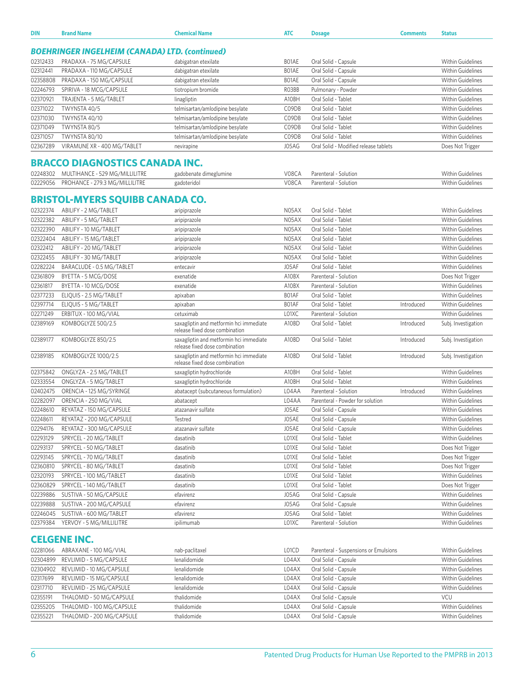| DIN                  | <b>Brand Name</b>                                     | <b>Chemical Name</b>                                                      | <b>ATC</b> | <b>Dosage</b>                         | <b>Comments</b> | <b>Status</b>            |  |  |  |  |
|----------------------|-------------------------------------------------------|---------------------------------------------------------------------------|------------|---------------------------------------|-----------------|--------------------------|--|--|--|--|
|                      | <b>BOEHRINGER INGELHEIM (CANADA) LTD. (continued)</b> |                                                                           |            |                                       |                 |                          |  |  |  |  |
| 02312433             | PRADAXA - 75 MG/CAPSULE                               | dabigatran etexilate                                                      | BO1AE      | Oral Solid - Capsule                  |                 | <b>Within Guidelines</b> |  |  |  |  |
| 02312441             | PRADAXA - 110 MG/CAPSULE                              | dabigatran etexilate                                                      | BO1AE      | Oral Solid - Capsule                  |                 | <b>Within Guidelines</b> |  |  |  |  |
| 02358808             | PRADAXA - 150 MG/CAPSULE                              | dabigatran etexilate                                                      | BO1AE      | Oral Solid - Capsule                  |                 | <b>Within Guidelines</b> |  |  |  |  |
| 02246793             | SPIRIVA - 18 MCG/CAPSULE                              | tiotropium bromide                                                        | RO3BB      | Pulmonary - Powder                    |                 | <b>Within Guidelines</b> |  |  |  |  |
| 02370921             | TRAJENTA - 5 MG/TABLET                                | linagliptin                                                               | A10BH      | Oral Solid - Tablet                   |                 | Within Guidelines        |  |  |  |  |
|                      | TWYNSTA 40/5                                          |                                                                           |            | Oral Solid - Tablet                   |                 | <b>Within Guidelines</b> |  |  |  |  |
| 02371022<br>02371030 |                                                       | telmisartan/amlodipine besylate                                           | C09DB      |                                       |                 |                          |  |  |  |  |
|                      | <b>TWYNSTA 40/10</b>                                  | telmisartan/amlodipine besylate                                           | C09DB      | Oral Solid - Tablet                   |                 | <b>Within Guidelines</b> |  |  |  |  |
| 02371049             | TWYNSTA 80/5                                          | telmisartan/amlodipine besylate                                           | C09DB      | Oral Solid - Tablet                   |                 | Within Guidelines        |  |  |  |  |
| 02371057             | TWYNSTA 80/10                                         | telmisartan/amlodipine besylate                                           | C09DB      | Oral Solid - Tablet                   |                 | <b>Within Guidelines</b> |  |  |  |  |
| 02367289             | VIRAMUNE XR - 400 MG/TABLET                           | nevirapine                                                                | J05AG      | Oral Solid - Modified release tablets |                 | Does Not Trigger         |  |  |  |  |
|                      | <b>BRACCO DIAGNOSTICS CANADA INC.</b>                 |                                                                           |            |                                       |                 |                          |  |  |  |  |
| 02248302             | MULTIHANCE - 529 MG/MILLILITRE                        | gadobenate dimeglumine                                                    | V08CA      | Parenteral - Solution                 |                 | Within Guidelines        |  |  |  |  |
| 02229056             | PROHANCE - 279.3 MG/MILLILITRE                        | gadoteridol                                                               | V08CA      | Parenteral - Solution                 |                 | <b>Within Guidelines</b> |  |  |  |  |
|                      | <b>BRISTOL-MYERS SQUIBB CANADA CO.</b>                |                                                                           |            |                                       |                 |                          |  |  |  |  |
| 02322374             | ABILIFY - 2 MG/TABLET                                 | aripiprazole                                                              | N05AX      | Oral Solid - Tablet                   |                 | <b>Within Guidelines</b> |  |  |  |  |
| 02322382             | ABILIFY - 5 MG/TABLET                                 | aripiprazole                                                              | N05AX      | Oral Solid - Tablet                   |                 | Within Guidelines        |  |  |  |  |
| 02322390             | ABILIFY - 10 MG/TABLET                                | aripiprazole                                                              | N05AX      | Oral Solid - Tablet                   |                 | <b>Within Guidelines</b> |  |  |  |  |
| 02322404             | ABILIFY - 15 MG/TABLET                                | aripiprazole                                                              | N05AX      | Oral Solid - Tablet                   |                 | <b>Within Guidelines</b> |  |  |  |  |
| 02322412             | ABILIFY - 20 MG/TABLET                                | aripiprazole                                                              | N05AX      | Oral Solid - Tablet                   |                 | <b>Within Guidelines</b> |  |  |  |  |
| 02322455             | ABILIFY - 30 MG/TABLET                                | aripiprazole                                                              | N05AX      | Oral Solid - Tablet                   |                 | <b>Within Guidelines</b> |  |  |  |  |
| 02282224             | BARACLUDE - 0.5 MG/TABLET                             | entecavir                                                                 | J05AF      | Oral Solid - Tablet                   |                 | <b>Within Guidelines</b> |  |  |  |  |
| 02361809             | BYETTA - 5 MCG/DOSE                                   | exenatide                                                                 | A10BX      | Parenteral - Solution                 |                 | Does Not Trigger         |  |  |  |  |
| 02361817             | BYETTA - 10 MCG/DOSE                                  | exenatide                                                                 | A10BX      | Parenteral - Solution                 |                 | <b>Within Guidelines</b> |  |  |  |  |
| 02377233             | ELIQUIS - 2.5 MG/TABLET                               | apixaban                                                                  | BO1AF      | Oral Solid - Tablet                   |                 | <b>Within Guidelines</b> |  |  |  |  |
| 02397714             | ELIQUIS - 5 MG/TABLET                                 | apixaban                                                                  | BO1AF      | Oral Solid - Tablet                   | Introduced      | Within Guidelines        |  |  |  |  |
| 02271249             | ERBITUX - 100 MG/VIAL                                 | cetuximab                                                                 | L01XC      | Parenteral - Solution                 |                 | <b>Within Guidelines</b> |  |  |  |  |
| 02389169             | KOMBOGLYZE 500/2.5                                    | saxagliptin and metformin hci immediate                                   | A10BD      | Oral Solid - Tablet                   | Introduced      | Subj. Investigation      |  |  |  |  |
|                      |                                                       | release fixed dose combination                                            |            |                                       |                 |                          |  |  |  |  |
| 02389177             | KOMBOGLYZE 850/2.5                                    | saxagliptin and metformin hci immediate<br>release fixed dose combination | A10BD      | Oral Solid - Tablet                   | Introduced      | Subj. Investigation      |  |  |  |  |
| 02389185             | KOMBOGLYZE 1000/2.5                                   | saxagliptin and metformin hci immediate<br>release fixed dose combination | A10BD      | Oral Solid - Tablet                   | Introduced      | Subj. Investigation      |  |  |  |  |
| 02375842             | ONGLYZA - 2.5 MG/TABLET                               | saxagliptin hydrochloride                                                 | A10BH      | Oral Solid - Tablet                   |                 | <b>Within Guidelines</b> |  |  |  |  |
| 02333554             | ONGLYZA - 5 MG/TABLET                                 | saxagliptin hydrochloride                                                 | A10BH      | Oral Solid - Tablet                   |                 | Within Guidelines        |  |  |  |  |
| 02402475             | ORENCIA - 125 MG/SYRINGE                              | abatacept (subcutaneous formulation)                                      | L04AA      | Parenteral - Solution                 | Introduced      | <b>Within Guidelines</b> |  |  |  |  |
| 02282097             | ORENCIA - 250 MG/VIAL                                 | abatacept                                                                 | L04AA      | Parenteral - Powder for solution      |                 | <b>Within Guidelines</b> |  |  |  |  |
| 02248610             | REYATAZ - 150 MG/CAPSULE                              | atazanavir sulfate                                                        | J05AE      | Oral Solid - Capsule                  |                 | <b>Within Guidelines</b> |  |  |  |  |
| 02248611             | REYATAZ - 200 MG/CAPSULE                              | Testred                                                                   | J05AE      | Oral Solid - Capsule                  |                 | <b>Within Guidelines</b> |  |  |  |  |
| 02294176             | REYATAZ - 300 MG/CAPSULE                              | atazanavir sulfate                                                        | J05AE      | Oral Solid - Capsule                  |                 | <b>Within Guidelines</b> |  |  |  |  |
| 02293129             | SPRYCEL - 20 MG/TABLET                                | dasatinib                                                                 | LO1XE      | Oral Solid - Tablet                   |                 | Within Guidelines        |  |  |  |  |
| 02293137             | SPRYCEL - 50 MG/TABLET                                | dasatinib                                                                 | LO1XE      | Oral Solid - Tablet                   |                 | Does Not Trigger         |  |  |  |  |
| 02293145             | SPRYCEL - 70 MG/TABLET                                | dasatinib                                                                 | LO1XE      | Oral Solid - Tablet                   |                 | Does Not Trigger         |  |  |  |  |
| 02360810             | SPRYCEL - 80 MG/TABLET                                | dasatinib                                                                 | LO1XE      | Oral Solid - Tablet                   |                 | Does Not Trigger         |  |  |  |  |
| 02320193             | SPRYCEL - 100 MG/TABLET                               | dasatinib                                                                 | LO1XE      | Oral Solid - Tablet                   |                 | <b>Within Guidelines</b> |  |  |  |  |
| 02360829             |                                                       |                                                                           | LO1XE      | Oral Solid - Tablet                   |                 |                          |  |  |  |  |
|                      | SPRYCEL - 140 MG/TABLET                               | dasatinib                                                                 |            |                                       |                 | Does Not Trigger         |  |  |  |  |
| 02239886             | SUSTIVA - 50 MG/CAPSULE                               | efavirenz                                                                 | J05AG      | Oral Solid - Capsule                  |                 | Within Guidelines        |  |  |  |  |
| 02239888             | SUSTIVA - 200 MG/CAPSULE                              | efavirenz                                                                 | J05AG      | Oral Solid - Capsule                  |                 | <b>Within Guidelines</b> |  |  |  |  |
| 02246045             | SUSTIVA - 600 MG/TABLET                               | efavirenz                                                                 | J05AG      | Oral Solid - Tablet                   |                 | Within Guidelines        |  |  |  |  |
| 02379384             | YERVOY - 5 MG/MILLILITRE                              | ipilimumab                                                                | L01XC      | Parenteral - Solution                 |                 | Within Guidelines        |  |  |  |  |
|                      |                                                       |                                                                           |            |                                       |                 |                          |  |  |  |  |
|                      | <b>CELGENE INC.</b>                                   |                                                                           |            |                                       |                 |                          |  |  |  |  |
| 02281066             | ABRAXANE - 100 MG/VIAL                                | nab-paclitaxel                                                            | L01CD      | Parenteral - Suspensions or Emulsions |                 | Within Guidelines        |  |  |  |  |
| 02304899             | REVLIMID - 5 MG/CAPSULE                               | lenalidomide                                                              | L04AX      | Oral Solid - Capsule                  |                 | <b>Within Guidelines</b> |  |  |  |  |
|                      |                                                       |                                                                           |            |                                       |                 | $\mathbf{v}$             |  |  |  |  |

|          | 02304899 REVLIMID - 5 MG/CAPSULE  | lenalidomide | L04AX | Oral Solid - Capsule | Within Guidelines        |
|----------|-----------------------------------|--------------|-------|----------------------|--------------------------|
|          | 02304902 REVLIMID - 10 MG/CAPSULE | lenalidomide | L04AX | Oral Solid - Capsule | <b>Within Guidelines</b> |
| 02317699 | REVLIMID - 15 MG/CAPSULE          | lenalidomide | L04AX | Oral Solid - Capsule | <b>Within Guidelines</b> |
| 02317710 | REVLIMID - 25 MG/CAPSULE          | lenalidomide | LO4AX | Oral Solid - Capsule | Within Guidelines        |
| 02355191 | THALOMID - 50 MG/CAPSULE          | thalidomide  | L04AX | Oral Solid - Capsule | VCU                      |
| 02355205 | THALOMID - 100 MG/CAPSULE         | thalidomide  | L04AX | Oral Solid - Capsule | <b>Within Guidelines</b> |
| 02355221 | THALOMID - 200 MG/CAPSULE         | thalidomide  | L04AX | Oral Solid - Capsule | Within Guidelines        |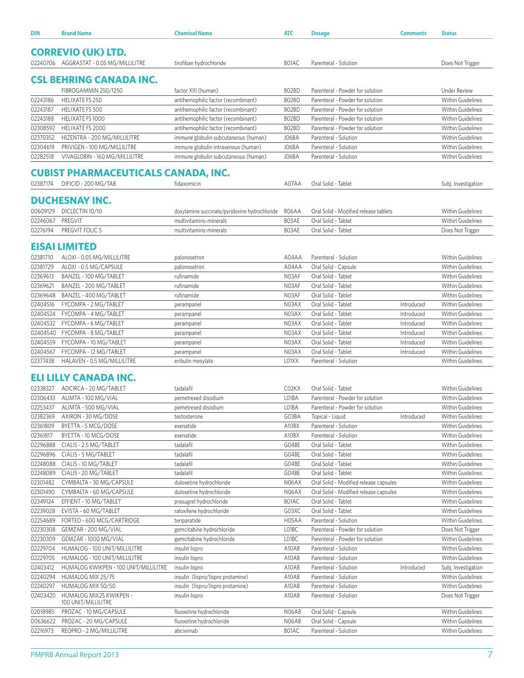| DIN      | <b>Brand Name</b>                          | <b>Chemical Name</b>                          | <b>ATC</b> | <b>Dosage</b>                          | <b>Comments</b> | <b>Status</b>            |  |  |
|----------|--------------------------------------------|-----------------------------------------------|------------|----------------------------------------|-----------------|--------------------------|--|--|
|          |                                            |                                               |            |                                        |                 |                          |  |  |
|          | <b>CORREVIO (UK) LTD.</b>                  |                                               |            |                                        |                 |                          |  |  |
|          | 02240706 AGGRASTAT - 0.05 MG/MILLILITRE    | tirofiban hydrochloride                       | B01AC      | Parenteral - Solution                  |                 | Does Not Trigger         |  |  |
|          |                                            |                                               |            |                                        |                 |                          |  |  |
|          | <b>CSL BEHRING CANADA INC.</b>             |                                               |            |                                        |                 |                          |  |  |
|          | FIBROGAMMIN 250/1250                       | factor XIII (human)                           | BO2BD      | Parenteral - Powder for solution       |                 | <b>Under Review</b>      |  |  |
| 02243186 | HELIXATE FS 250                            | antihemophilic factor (recombinant)           | BO2BD      | Parenteral - Powder for solution       |                 | <b>Within Guidelines</b> |  |  |
| 02243187 | HELIXATE FS 500                            | antihemophilic factor (recombinant)           | BO2BD      | Parenteral - Powder for solution       |                 | <b>Within Guidelines</b> |  |  |
| 02243188 | HELIXATE FS 1000                           | antihemophilic factor (recombinant)           | BO2BD      | Parenteral - Powder for solution       |                 | Within Guidelines        |  |  |
| 02308592 | HELIXATE FS 2000                           | antihemophilic factor (recombinant)           | BO2BD      | Parenteral - Powder for solution       |                 | <b>Within Guidelines</b> |  |  |
| 02370352 | HIZENTRA - 200 MG/MILLILITRE               | immune globulin subcutaneous (human)          | J06BA      | Parenteral - Solution                  |                 | <b>Within Guidelines</b> |  |  |
| 02304619 | PRIVIGEN - 100 MG/MILLILITRE               | immune globulin intravenous (human)           | J06BA      | Parenteral - Solution                  |                 | Within Guidelines        |  |  |
| 02282518 | VIVAGLOBIN - 160 MG/MILLILITRE             | immune globulin subcutaneous (human)          | J06BA      | Parenteral - Solution                  |                 | <b>Within Guidelines</b> |  |  |
|          |                                            |                                               |            |                                        |                 |                          |  |  |
|          | <b>CUBIST PHARMACEUTICALS CANADA, INC.</b> |                                               |            |                                        |                 |                          |  |  |
| 02387174 | DIFICID - 200 MG/TAB                       | fidaxomicin                                   | A07AA      | Oral Solid - Tablet                    |                 | Subj. Investigation      |  |  |
|          | <b>DUCHESNAY INC.</b>                      |                                               |            |                                        |                 |                          |  |  |
| 00609129 |                                            |                                               |            |                                        |                 |                          |  |  |
|          | DICLECTIN 10/10                            | doxylamine succinate/pyridoxine hydrochloride | R06AA      | Oral Solid - Modified release tablets  |                 | Within Guidelines        |  |  |
| 02246067 | PREGVIT                                    | multivitamins-minerals                        | B03AE      | Oral Solid - Tablet                    |                 | <b>Within Guidelines</b> |  |  |
| 02276194 | PREGVIT FOLIC 5                            | multivitamins-minerals                        | B03AE      | Oral Solid - Tablet                    |                 | Does Not Trigger         |  |  |
|          | <b>EISAI LIMITED</b>                       |                                               |            |                                        |                 |                          |  |  |
| 02381710 | ALOXI - 0.05 MG/MILLILITRE                 | palonosetron                                  | A04AA      | Parenteral - Solution                  |                 | Within Guidelines        |  |  |
| 02381729 | ALOXI - 0.5 MG/CAPSULE                     | palonosetron                                  | A04AA      | Oral Solid - Capsule                   |                 | <b>Within Guidelines</b> |  |  |
| 02369613 | BANZEL - 100 MG/TABLET                     | rufinamide                                    | N03AF      | Oral Solid - Tablet                    |                 | <b>Within Guidelines</b> |  |  |
| 02369621 | BANZEL - 200 MG/TABLET                     | rufinamide                                    | N03AF      | Oral Solid - Tablet                    |                 | <b>Within Guidelines</b> |  |  |
| 02369648 | BANZEL - 400 MG/TABLET                     | rufinamide                                    | N03AF      | Oral Solid - Tablet                    |                 | <b>Within Guidelines</b> |  |  |
| 02404516 | FYCOMPA - 2 MG/TABLET                      | perampanel                                    | N03AX      | Oral Solid - Tablet                    | Introduced      | <b>Within Guidelines</b> |  |  |
| 02404524 | FYCOMPA - 4 MG/TABLET                      | perampanel                                    | N03AX      | Oral Solid - Tablet                    | Introduced      | Within Guidelines        |  |  |
| 02404532 | FYCOMPA - 6 MG/TABLET                      | perampanel                                    | N03AX      | Oral Solid - Tablet                    | Introduced      | <b>Within Guidelines</b> |  |  |
| 02404540 | FYCOMPA - 8 MG/TABLET                      | perampanel                                    | N03AX      | Oral Solid - Tablet                    | Introduced      | <b>Within Guidelines</b> |  |  |
| 02404559 | FYCOMPA - 10 MG/TABLET                     | perampanel                                    | N03AX      | Oral Solid - Tablet                    | Introduced      | Within Guidelines        |  |  |
| 02404567 | FYCOMPA - 12 MG/TABLET                     | perampanel                                    | N03AX      | Oral Solid - Tablet                    | Introduced      | Within Guidelines        |  |  |
| 02377438 | HALAVEN - 0.5 MG/MILLILITRE                | eribulin mesylate                             | LO1XX      | Parenteral - Solution                  |                 | <b>Within Guidelines</b> |  |  |
|          |                                            |                                               |            |                                        |                 |                          |  |  |
|          | ELI LILLY CANADA INC.                      |                                               |            |                                        |                 |                          |  |  |
| 02338327 | ADCIRCA - 20 MG/TABLET                     | tadalafil                                     | C02KX      | Oral Solid - Tablet                    |                 | Within Guidelines        |  |  |
| 02306433 | ALIMTA - 100 MG/VIAL                       | pemetrexed disodium                           | L01BA      | Parenteral - Powder for solution       |                 | <b>Within Guidelines</b> |  |  |
| 02253437 | ALIMTA - 500 MG/VIAL                       | pemetrexed disodium                           | L01BA      | Parenteral - Powder for solution       |                 | <b>Within Guidelines</b> |  |  |
| 02382369 | AXIRON - 30 MG/DOSE                        | testosterone                                  | G03BA      | Topical - Liquid                       | Introduced      | Within Guidelines        |  |  |
| 02361809 | BYETTA - 5 MCG/DOSE                        | exenatide                                     | A10BX      | Parenteral - Solution                  |                 | Within Guidelines        |  |  |
| 02361817 | BYETTA - 10 MCG/DOSE                       | exenatide                                     | A10BX      | Parenteral - Solution                  |                 | Within Guidelines        |  |  |
| 02296888 | CIALIS - 2.5 MG/TABLET                     | tadalafil                                     | G04BE      | Oral Solid - Tablet                    |                 | Within Guidelines        |  |  |
| 02296896 | CIALIS - 5 MG/TABLET                       | tadalafil                                     | G04BE      | Oral Solid - Tablet                    |                 | Within Guidelines        |  |  |
| 02248088 | CIALIS - 10 MG/TABLET                      | tadalafil                                     | G04BE      | Oral Solid - Tablet                    |                 | Within Guidelines        |  |  |
| 02248089 | CIALIS - 20 MG/TABLET                      | tadalafil                                     | G04BE      | Oral Solid - Tablet                    |                 | Within Guidelines        |  |  |
| 02301482 | CYMBALTA - 30 MG/CAPSULE                   | duloxetine hydrochloride                      | N06AX      | Oral Solid - Modified release capsules |                 | Within Guidelines        |  |  |
| 02301490 | CYMBALTA - 60 MG/CAPSULE                   | duloxetine hydrochloride                      | N06AX      | Oral Solid - Modified release capsules |                 | Within Guidelines        |  |  |
| 02349124 | EFFIENT - 10 MG/TABLET                     | prasugrel hydrochloride                       | B01AC      | Oral Solid - Tablet                    |                 | <b>Within Guidelines</b> |  |  |
| 02239028 | EVISTA - 60 MG/TABLET                      | raloxifene hydrochloride                      | G03XC      | Oral Solid - Tablet                    |                 | Within Guidelines        |  |  |
| 02254689 | FORTEO - 600 MCG/CARTRIDGE                 | teriparatide                                  | H05AA      | Parenteral - Solution                  |                 | Within Guidelines        |  |  |
| 02230308 | GEMZAR - 200 MG/VIAL                       | gemcitabine hydrochloride                     | L01BC      | Parenteral - Powder for solution       |                 | Does Not Trigger         |  |  |
| 02230309 | GEMZAR - 1000 MG/VIAL                      | gemcitabine hydrochloride                     | L01BC      | Parenteral - Powder for solution       |                 | Within Guidelines        |  |  |
| 02229704 | HUMALOG - 100 UNIT/MILLILITRE              | insulin lispro                                | A10AB      | Parenteral - Solution                  |                 | Within Guidelines        |  |  |
| 02229705 | HUMALOG - 100 UNIT/MILLILITRE              | insulin lispro                                | A10AB      | Parenteral - Solution                  |                 | Within Guidelines        |  |  |
| 02403412 | HUMALOG KWIKPEN - 100 UNIT/MILLILITRE      | insulin lispro                                | A10AB      | Parenteral - Solution                  | Introduced      | Subj. Investigation      |  |  |
| 02240294 | HUMALOG MIX 25/75                          | insulin (lispro/lispro protamine)             | A10AB      | Parenteral - Solution                  |                 | Within Guidelines        |  |  |
| 02240297 | HUMALOG MIX 50/50                          | insulin (lispro/lispro protamine)             | A10AB      | Parenteral - Solution                  |                 | Within Guidelines        |  |  |
| 02403420 | HUMALOG MIX25 KWIKPEN -                    | insulin lispro                                | A10AB      | Parenteral - Solution                  |                 | Does Not Trigger         |  |  |
|          | 100 UNIT/MILLILITRE                        |                                               |            |                                        |                 |                          |  |  |
| 02018985 | PROZAC - 10 MG/CAPSULE                     | fluoxetine hydrochloride                      | N06AB      | Oral Solid - Capsule                   |                 | Within Guidelines        |  |  |
| 00636622 | PROZAC - 20 MG/CAPSULE                     | fluoxetine hydrochloride                      | N06AB      | Oral Solid - Capsule                   |                 | Within Guidelines        |  |  |
| 02216973 | REOPRO - 2 MG/MILLILITRE                   | abciximab                                     | B01AC      | Parenteral - Solution                  |                 | Within Guidelines        |  |  |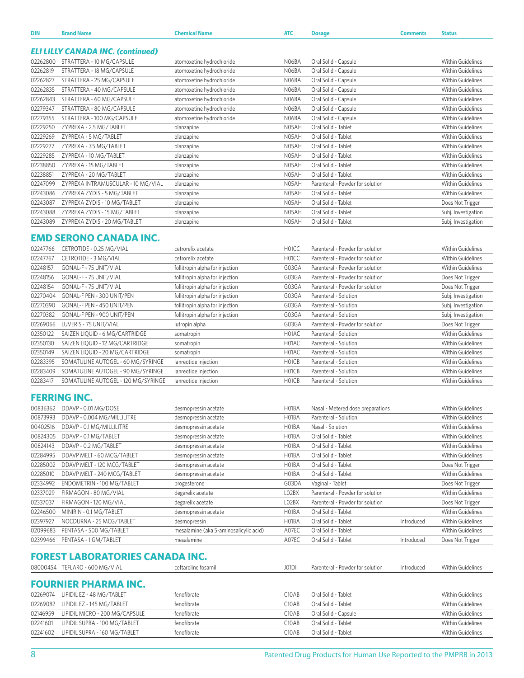| <b>DIN</b>      | <b>Brand Name</b>                        | <b>Chemical Name</b>      | <b>ATC</b>         | <b>Dosage</b>                    | <b>Comments</b> | <b>Status</b>            |
|-----------------|------------------------------------------|---------------------------|--------------------|----------------------------------|-----------------|--------------------------|
|                 |                                          |                           |                    |                                  |                 |                          |
|                 | <b>ELI LILLY CANADA INC. (continued)</b> |                           |                    |                                  |                 |                          |
| 02262800        | STRATTERA - 10 MG/CAPSULE                | atomoxetine hydrochloride | NO6BA              | Oral Solid - Capsule             |                 | <b>Within Guidelines</b> |
| 02262819        | STRATTERA - 18 MG/CAPSULE                | atomoxetine hydrochloride | N06BA              | Oral Solid - Capsule             |                 | <b>Within Guidelines</b> |
| 02262827        | STRATTERA - 25 MG/CAPSULE                | atomoxetine hydrochloride | N06BA              | Oral Solid - Capsule             |                 | <b>Within Guidelines</b> |
| 02262835        | STRATTERA - 40 MG/CAPSULE                | atomoxetine hydrochloride | N06BA              | Oral Solid - Capsule             |                 | <b>Within Guidelines</b> |
| 02262843        | STRATTERA - 60 MG/CAPSULE                | atomoxetine hydrochloride | N06BA              | Oral Solid - Capsule             |                 | <b>Within Guidelines</b> |
| 02279347        | STRATTERA - 80 MG/CAPSULE                | atomoxetine hydrochloride | N06BA              | Oral Solid - Capsule             |                 | <b>Within Guidelines</b> |
| 02279355        | STRATTERA - 100 MG/CAPSULE               | atomoxetine hydrochloride | N06BA              | Oral Solid - Capsule             |                 | <b>Within Guidelines</b> |
| 02229250        | ZYPREXA - 2.5 MG/TABLET                  | olanzapine                | N05AH              | Oral Solid - Tablet              |                 | <b>Within Guidelines</b> |
| 02229269        | ZYPREXA - 5 MG/TABLET                    | olanzapine                | N05AH              | Oral Solid - Tablet              |                 | <b>Within Guidelines</b> |
| 02229277        | ZYPREXA - 7.5 MG/TABLET                  | olanzapine                | N05AH              | Oral Solid - Tablet              |                 | <b>Within Guidelines</b> |
| 02229285        | ZYPREXA - 10 MG/TABLET                   | olanzapine                | N05AH              | Oral Solid - Tablet              |                 | <b>Within Guidelines</b> |
| 02238850        | ZYPREXA - 15 MG/TABLET                   | olanzapine                | N05AH              | Oral Solid - Tablet              |                 | <b>Within Guidelines</b> |
| 02238851        | ZYPREXA - 20 MG/TABLET                   | olanzapine                | N05AH              | Oral Solid - Tablet              |                 | <b>Within Guidelines</b> |
| 02247099        | ZYPREXA INTRAMUSCULAR - 10 MG/VIAL       | olanzapine                | N05AH              | Parenteral - Powder for solution |                 | <b>Within Guidelines</b> |
| 02243086        | ZYPREXA ZYDIS - 5 MG/TABLET              | olanzapine                | N05AH              | Oral Solid - Tablet              |                 | <b>Within Guidelines</b> |
| 02243087        | ZYPREXA ZYDIS - 10 MG/TABLET             | olanzapine                | N05AH              | Oral Solid - Tablet              |                 | Does Not Trigger         |
| 02243088        | ZYPREXA ZYDIS - 15 MG/TABLET             | olanzapine                | N05AH              | Oral Solid - Tablet              |                 | Subj. Investigation      |
| 02243089        | ZYPREXA ZYDIS - 20 MG/TABLET             | olanzapine                | N05AH              | Oral Solid - Tablet              |                 | Subj. Investigation      |
|                 |                                          |                           |                    |                                  |                 |                          |
|                 | <b>EMD SERONO CANADA INC.</b>            |                           |                    |                                  |                 |                          |
| 02247766        | CETROTIDE - 0.25 MG/VIAL                 | cetrorelix acetate        | H <sub>0</sub> 1CC | Parenteral - Powder for solution |                 | <b>Within Guidelines</b> |
| <b>02247747</b> | $CETDOTIDE = 3 MCA NIAI$                 | cotroroliv acotato        | HOMC               | Paranteral - Powder for colution |                 | <i>Mithin Guidolinos</i> |

| 02247767 | CETROTIDE - 3 MG/VIAL               | cetrorelix acetate              | H <sub>0</sub> 1CC             | Parenteral - Powder for solution | <b>Within Guidelines</b> |
|----------|-------------------------------------|---------------------------------|--------------------------------|----------------------------------|--------------------------|
| 02248157 | GONAL-F - 75 UNIT/VIAL              | follitropin alpha for injection | G03GA                          | Parenteral - Powder for solution | <b>Within Guidelines</b> |
| 02248156 | GONAL-F - 75 UNIT/VIAL              | follitropin alpha for injection | G03GA                          | Parenteral - Powder for solution | Does Not Trigger         |
| 02248154 | GONAL-F - 75 UNIT/VIAL              | follitropin alpha for injection | G03GA                          | Parenteral - Powder for solution | Does Not Trigger         |
| 02270404 | GONAL-F PEN - 300 UNIT/PEN          | follitropin alpha for injection | G03GA                          | Parenteral - Solution            | Subj. Investigation      |
| 02270390 | GONAL-F PEN - 450 UNIT/PEN          | follitropin alpha for injection | G03GA                          | Parenteral - Solution            | Subj. Investigation      |
| 02270382 | GONAL-F PEN - 900 UNIT/PEN          | follitropin alpha for injection | G03GA                          | Parenteral - Solution            | Subj. Investigation      |
| 02269066 | LUVERIS - 75 UNIT/VIAL              | lutropin alpha                  | G03GA                          | Parenteral - Powder for solution | Does Not Trigger         |
| 02350122 | SAIZEN LIOUID - 6 MG/CARTRIDGE      | somatropin                      | H01AC                          | Parenteral - Solution            | <b>Within Guidelines</b> |
| 02350130 | SAIZEN LIOUID - 12 MG/CARTRIDGE     | somatropin                      | H01AC                          | Parenteral - Solution            | <b>Within Guidelines</b> |
| 02350149 | SAIZEN LIQUID - 20 MG/CARTRIDGE     | somatropin                      | H01AC                          | Parenteral - Solution            | <b>Within Guidelines</b> |
| 02283395 | SOMATULINE AUTOGEL - 60 MG/SYRINGE  | lanreotide injection            | H <sub>0</sub> 1C <sub>B</sub> | Parenteral - Solution            | <b>Within Guidelines</b> |
| 02283409 | SOMATULINE AUTOGEL - 90 MG/SYRINGE  | lanreotide injection            | H <sub>01</sub> CB             | Parenteral - Solution            | Within Guidelines        |
| 02283417 | SOMATULINE AUTOGEL - 120 MG/SYRINGE | lanreotide injection            | H <sub>0</sub> 1C <sub>B</sub> | Parenteral - Solution            | <b>Within Guidelines</b> |

## **FERRING INC.**

| 00836362 | DDAVP - 0.01 MG/DOSE        | desmopressin acetate                   | H01BA | Nasal - Metered dose preparations |            | <b>Within Guidelines</b> |
|----------|-----------------------------|----------------------------------------|-------|-----------------------------------|------------|--------------------------|
| 00873993 | DDAVP - 0.004 MG/MILLILITRE | desmopressin acetate                   | H01BA | Parenteral - Solution             |            | Within Guidelines        |
| 00402516 | DDAVP - 0.1 MG/MILLILITRE   | desmopressin acetate                   | H01BA | Nasal - Solution                  |            | <b>Within Guidelines</b> |
| 00824305 | DDAVP - 0.1 MG/TABLET       | desmopressin acetate                   | H01BA | Oral Solid - Tablet               |            | Within Guidelines        |
| 00824143 | DDAVP - 0.2 MG/TABLET       | desmopressin acetate                   | H01BA | Oral Solid - Tablet               |            | <b>Within Guidelines</b> |
| 02284995 | DDAVP MELT - 60 MCG/TABLET  | desmopressin acetate                   | H01BA | Oral Solid - Tablet               |            | Within Guidelines        |
| 02285002 | DDAVP MELT - 120 MCG/TABLET | desmopressin acetate                   | H01BA | Oral Solid - Tablet               |            | Does Not Trigger         |
| 02285010 | DDAVP MELT - 240 MCG/TABLET | desmopressin acetate                   | H01BA | Oral Solid - Tablet               |            | <b>Within Guidelines</b> |
| 02334992 | ENDOMETRIN - 100 MG/TABLET  | progesterone                           | G03DA | Vaginal - Tablet                  |            | Does Not Trigger         |
| 02337029 | FIRMAGON - 80 MG/VIAL       | degarelix acetate                      | LO2BX | Parenteral - Powder for solution  |            | Within Guidelines        |
| 02337037 | FIRMAGON - 120 MG/VIAL      | degarelix acetate                      | LO2BX | Parenteral - Powder for solution  |            | Does Not Trigger         |
| 02246500 | MINIRIN - 0.1 MG/TABLET     | desmopressin acetate                   | H01BA | Oral Solid - Tablet               |            | <b>Within Guidelines</b> |
| 02397927 | NOCDURNA - 25 MCG/TABLET    | desmopressin                           | H01BA | Oral Solid - Tablet               | Introduced | <b>Within Guidelines</b> |
| 02099683 | PENTASA - 500 MG/TABLET     | mesalamine (aka 5-aminosalicylic acid) | A07EC | Oral Solid - Tablet               |            | <b>Within Guidelines</b> |
| 02399466 | PENTASA - 1 GM/TABLET       | mesalamine                             | A07EC | Oral Solid - Tablet               | Introduced | Does Not Trigger         |

## **FOREST LABORATORIES CANADA INC.**

|          | 08000454 TEFLARO - 600 MG/VIAL      | ceftaroline fosamil | J01DI              | Parenteral - Powder for solution | Introduced | <b>Within Guidelines</b> |
|----------|-------------------------------------|---------------------|--------------------|----------------------------------|------------|--------------------------|
|          | <b>FOURNIER PHARMA INC.</b>         |                     |                    |                                  |            |                          |
| 02269074 | LIPIDIL EZ - 48 MG/TABLET           | fenofibrate         | C10AB              | Oral Solid - Tablet              |            | Within Guidelines        |
|          | 02269082 LIPIDIL EZ - 145 MG/TABLET | fenofibrate         | C10AB              | Oral Solid - Tablet              |            | <b>Within Guidelines</b> |
| 02146959 | LIPIDIL MICRO - 200 MG/CAPSULE      | fenofibrate         | C10AB              | Oral Solid - Capsule             |            | <b>Within Guidelines</b> |
| 02241601 | LIPIDIL SUPRA - 100 MG/TABLET       | fenofibrate         | C <sub>10</sub> AB | Oral Solid - Tablet              |            | <b>Within Guidelines</b> |
| 02241602 | LIPIDIL SUPRA - 160 MG/TABLET       | fenofibrate         | C10AB              | Oral Solid - Tablet              |            | <b>Within Guidelines</b> |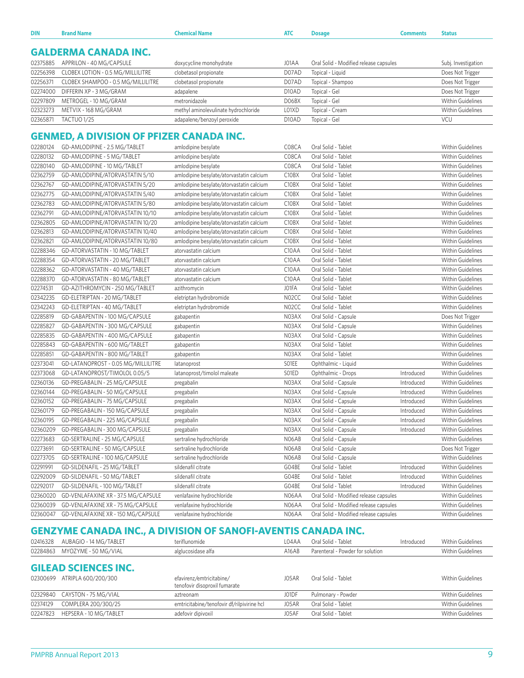| DIN      | <b>Brand Name</b>                                                | Chemical Name                            | <b>ATC</b>                     | <b>Dosage</b>                          | Comments   | <b>Status</b>            |
|----------|------------------------------------------------------------------|------------------------------------------|--------------------------------|----------------------------------------|------------|--------------------------|
|          | <b>GALDERMA CANADA INC.</b>                                      |                                          |                                |                                        |            |                          |
| 02375885 | APPRILON - 40 MG/CAPSULE                                         | doxycycline monohydrate                  | J01AA                          | Oral Solid - Modified release capsules |            | Subj. Investigation      |
| 02256398 | CLOBEX LOTION - 0.5 MG/MILLILITRE                                | clobetasol propionate                    | D07AD                          | Topical - Liquid                       |            | Does Not Trigger         |
| 02256371 | CLOBEX SHAMPOO - 0.5 MG/MILLILITRE                               | clobetasol propionate                    | D07AD                          | Topical - Shampoo                      |            | Does Not Trigger         |
| 02274000 | DIFFERIN XP - 3 MG/GRAM                                          | adapalene                                | D <sub>10</sub> AD             | Topical - Gel                          |            | Does Not Trigger         |
| 02297809 | METROGEL - 10 MG/GRAM                                            | metronidazole                            | D06BX                          | Topical - Gel                          |            | Within Guidelines        |
| 02323273 | METVIX - 168 MG/GRAM                                             | methyl aminolevulinate hydrochloride     | L01XD                          | Topical - Cream                        |            | <b>Within Guidelines</b> |
| 02365871 | TACTUO <sub>1/25</sub>                                           | adapalene/benzoyl peroxide               | D <sub>10</sub> AD             | Topical - Gel                          |            | VCU                      |
|          |                                                                  |                                          |                                |                                        |            |                          |
|          | <b>GENMED, A DIVISION OF PFIZER CANADA INC.</b>                  |                                          |                                |                                        |            |                          |
| 02280124 | GD-AMLODIPINE - 2.5 MG/TABLET                                    | amlodipine besylate                      | C08CA                          | Oral Solid - Tablet                    |            | <b>Within Guidelines</b> |
| 02280132 | GD-AMLODIPINE - 5 MG/TABLET                                      | amlodipine besylate                      | C08CA                          | Oral Solid - Tablet                    |            | <b>Within Guidelines</b> |
| 02280140 | GD-AMLODIPINE - 10 MG/TABLET                                     | amlodipine besylate                      | C08CA                          | Oral Solid - Tablet                    |            | Within Guidelines        |
| 02362759 | GD-AMLODIPINE/ATORVASTATIN 5/10                                  | amlodipine besylate/atorvastatin calcium | C <sub>10</sub> B <sub>X</sub> | Oral Solid - Tablet                    |            | Within Guidelines        |
| 02362767 | GD-AMLODIPINE/ATORVASTATIN 5/20                                  | amlodipine besylate/atorvastatin calcium | C10BX                          | Oral Solid - Tablet                    |            | <b>Within Guidelines</b> |
| 02362775 | GD-AMLODIPINE/ATORVASTATIN 5/40                                  | amlodipine besylate/atorvastatin calcium | C <sub>10</sub> B <sub>X</sub> | Oral Solid - Tablet                    |            | <b>Within Guidelines</b> |
| 02362783 | GD-AMLODIPINE/ATORVASTATIN 5/80                                  | amlodipine besylate/atorvastatin calcium | C <sub>10</sub> B <sub>X</sub> | Oral Solid - Tablet                    |            | Within Guidelines        |
| 02362791 | GD-AMLODIPINE/ATORVASTATIN 10/10                                 | amlodipine besylate/atorvastatin calcium | C <sub>10</sub> B <sub>X</sub> | Oral Solid - Tablet                    |            | <b>Within Guidelines</b> |
| 02362805 | GD-AMLODIPINE/ATORVASTATIN 10/20                                 | amlodipine besylate/atorvastatin calcium | C <sub>10</sub> B <sub>X</sub> | Oral Solid - Tablet                    |            | Within Guidelines        |
| 02362813 | GD-AMLODIPINE/ATORVASTATIN 10/40                                 | amlodipine besylate/atorvastatin calcium | C <sub>10</sub> B <sub>X</sub> | Oral Solid - Tablet                    |            | Within Guidelines        |
| 02362821 | GD-AMLODIPINE/ATORVASTATIN 10/80                                 | amlodipine besylate/atorvastatin calcium | C10BX                          | Oral Solid - Tablet                    |            | <b>Within Guidelines</b> |
| 02288346 | GD-ATORVASTATIN - 10 MG/TABLET                                   | atorvastatin calcium                     | C <sub>10</sub> AA             | Oral Solid - Tablet                    |            | <b>Within Guidelines</b> |
| 02288354 | GD-ATORVASTATIN - 20 MG/TABLET                                   | atorvastatin calcium                     | C10AA                          | Oral Solid - Tablet                    |            | <b>Within Guidelines</b> |
| 02288362 | GD-ATORVASTATIN - 40 MG/TABLET                                   | atorvastatin calcium                     | C <sub>10</sub> AA             | Oral Solid - Tablet                    |            | <b>Within Guidelines</b> |
| 02288370 | GD-ATORVASTATIN - 80 MG/TABLET                                   | atorvastatin calcium                     | C <sub>10</sub> AA             | Oral Solid - Tablet                    |            | Within Guidelines        |
| 02274531 | GD-AZITHROMYCIN - 250 MG/TABLET                                  | azithromycin                             | JO1FA                          | Oral Solid - Tablet                    |            | Within Guidelines        |
| 02342235 | GD-ELETRIPTAN - 20 MG/TABLET                                     | eletriptan hydrobromide                  | N02CC                          | Oral Solid - Tablet                    |            | Within Guidelines        |
| 02342243 | GD-ELETRIPTAN - 40 MG/TABLET                                     | eletriptan hydrobromide                  | N02CC                          | Oral Solid - Tablet                    |            | <b>Within Guidelines</b> |
| 02285819 | GD-GABAPENTIN - 100 MG/CAPSULE                                   | gabapentin                               | N03AX                          | Oral Solid - Capsule                   |            | Does Not Trigger         |
| 02285827 | GD-GABAPENTIN - 300 MG/CAPSULE                                   | gabapentin                               | N03AX                          | Oral Solid - Capsule                   |            | <b>Within Guidelines</b> |
| 02285835 | GD-GABAPENTIN - 400 MG/CAPSULE                                   | gabapentin                               | N03AX                          | Oral Solid - Capsule                   |            | Within Guidelines        |
| 02285843 | GD-GABAPENTIN - 600 MG/TABLET                                    | gabapentin                               | N03AX                          | Oral Solid - Tablet                    |            | <b>Within Guidelines</b> |
| 02285851 | GD-GABAPENTIN - 800 MG/TABLET                                    | gabapentin                               | N03AX                          | Oral Solid - Tablet                    |            | Within Guidelines        |
| 02373041 | GD-LATANOPROST - 0.05 MG/MILLILITRE                              | latanoprost                              | SO1EE                          | Ophthalmic - Liquid                    |            | Within Guidelines        |
| 02373068 | GD-LATANOPROST/TIMOLOL 0.05/5                                    | latanoprost/timolol maleate              | SO1ED                          | Ophthalmic - Drops                     | Introduced | <b>Within Guidelines</b> |
| 02360136 | GD-PREGABALIN - 25 MG/CAPSULE                                    | pregabalin                               | N03AX                          | Oral Solid - Capsule                   | Introduced | <b>Within Guidelines</b> |
| 02360144 | GD-PREGABALIN - 50 MG/CAPSULE                                    | pregabalin                               | N03AX                          | Oral Solid - Capsule                   | Introduced | Within Guidelines        |
| 02360152 | GD-PREGABALIN - 75 MG/CAPSULE                                    | pregabalin                               | N03AX                          | Oral Solid - Capsule                   | Introduced | Within Guidelines        |
| 02360179 | GD-PREGABALIN - 150 MG/CAPSULE                                   | pregabalin                               | N03AX                          | Oral Solid - Capsule                   | Introduced | <b>Within Guidelines</b> |
| 02360195 |                                                                  | pregabalin                               | N03AX                          | Oral Solid - Capsule                   | Introduced | Within Guidelines        |
| 02360209 | GD-PREGABALIN - 225 MG/CAPSULE<br>GD-PREGABALIN - 300 MG/CAPSULE |                                          | N03AX                          |                                        | Introduced | Within Guidelines        |
|          |                                                                  | pregabalin                               |                                | Oral Solid - Capsule                   |            |                          |
| 02273683 | GD-SERTRALINE - 25 MG/CAPSULE                                    | sertraline hydrochloride                 | N06AB                          | Oral Solid - Capsule                   |            | Within Guidelines        |
| 02273691 | GD-SERTRALINE - 50 MG/CAPSULE                                    | sertraline hydrochloride                 | N06AB                          | Oral Solid - Capsule                   |            | Does Not Trigger         |
| 02273705 | GD-SERTRALINE - 100 MG/CAPSULE                                   | sertraline hydrochloride                 | N06AB                          | Oral Solid - Capsule                   |            | Within Guidelines        |
| 02291991 | GD-SILDENAFIL - 25 MG/TABLET                                     | sildenafil citrate                       | G04BE                          | Oral Solid - Tablet                    | Introduced | Within Guidelines        |
| 02292009 | GD-SILDENAFIL - 50 MG/TABLET                                     | sildenafil citrate                       | G04BE                          | Oral Solid - Tablet                    | Introduced | Within Guidelines        |
| 02292017 | GD-SILDENAFIL - 100 MG/TABLET                                    | sildenafil citrate                       | G04BE                          | Oral Solid - Tablet                    | Introduced | <b>Within Guidelines</b> |
| 02360020 | GD-VENLAFAXINE XR - 37.5 MG/CAPSULE                              | venlafaxine hydrochloride                | N06AA                          | Oral Solid - Modified release capsules |            | Within Guidelines        |
| 02360039 | GD-VENLAFAXINE XR - 75 MG/CAPSULE                                | venlafaxine hydrochloride                | N06AA                          | Oral Solid - Modified release capsules |            | Within Guidelines        |
| 02360047 | GD-VENLAFAXINE XR - 150 MG/CAPSULE                               | venlafaxine hydrochloride                | N06AA                          | Oral Solid - Modified release capsules |            | Within Guidelines        |

## **GENZYME CANADA INC., A DIVISION OF SANOFI-AVENTIS CANADA INC.**

| 02416328 | AUBAGIO - 14 MG/TABLET        | teriflunomide                                             | L04AA | Oral Solid - Tablet              | Introduced | Within Guidelines        |
|----------|-------------------------------|-----------------------------------------------------------|-------|----------------------------------|------------|--------------------------|
| 02284863 | MYOZYME - 50 MG/VIAL          | alglucosidase alfa                                        | A16AB | Parenteral - Powder for solution |            | <b>Within Guidelines</b> |
|          | <b>GILEAD SCIENCES INC.</b>   |                                                           |       |                                  |            |                          |
| 02300699 | ATRIPLA 600/200/300           | efavirenz/emtricitabine/<br>tenofovir disoproxil fumarate | J05AR | Oral Solid - Tablet              |            | Within Guidelines        |
|          | 02329840 CAYSTON - 75 MG/VIAL | aztreonam                                                 | J01DF | Pulmonary - Powder               |            | Within Guidelines        |
| 02374129 | COMPLERA 200/300/25           | emtricitabine/tenofovir df/rilpivirine hcl                | J05AR | Oral Solid - Tablet              |            | <b>Within Guidelines</b> |
| 02247823 | HEPSERA - 10 MG/TABLET        | adefovir dipivoxil                                        | J05AF | Oral Solid - Tablet              |            | <b>Within Guidelines</b> |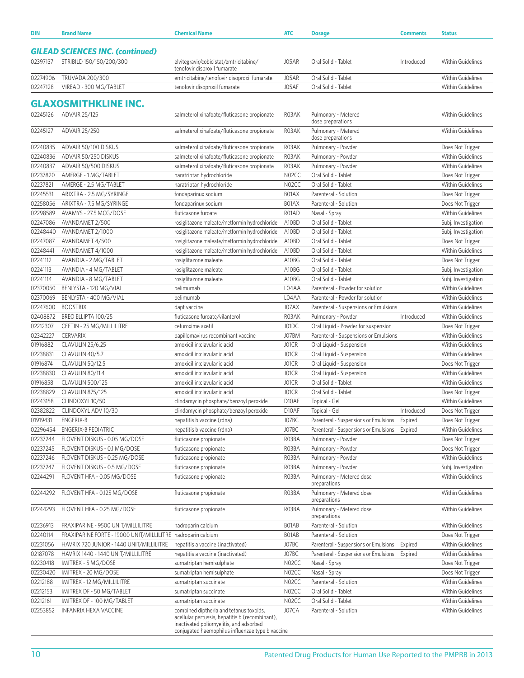| DIN      | <b>Brand Name</b>                                            | <b>Chemical Name</b>                                                                       | <b>ATC</b>         | <b>Dosage</b>                            | <b>Comments</b> | <b>Status</b>            |
|----------|--------------------------------------------------------------|--------------------------------------------------------------------------------------------|--------------------|------------------------------------------|-----------------|--------------------------|
|          | <b>GILEAD SCIENCES INC. (continued)</b>                      |                                                                                            |                    |                                          |                 |                          |
| 02397137 | STRIBILD 150/150/200/300                                     | elvitegravir/cobicistat/emtricitabine/<br>tenofovir disproxil fumarate                     | J05AR              | Oral Solid - Tablet                      | Introduced      | Within Guidelines        |
| 02274906 | TRUVADA 200/300                                              | emtricitabine/tenofovir disoproxil fumarate                                                | J05AR              | Oral Solid - Tablet                      |                 | Within Guidelines        |
| 02247128 | VIREAD - 300 MG/TABLET                                       | tenofovir disoproxil fumarate                                                              | J05AF              | Oral Solid - Tablet                      |                 | Within Guidelines        |
|          |                                                              |                                                                                            |                    |                                          |                 |                          |
|          | <b>GLAXOSMITHKLINE INC.</b>                                  |                                                                                            |                    |                                          |                 |                          |
| 02245126 | ADVAIR 25/125                                                | salmeterol xinafoate/fluticasone propionate                                                | R03AK              | Pulmonary - Metered<br>dose preparations |                 | Within Guidelines        |
| 02245127 | ADVAIR 25/250                                                | salmeterol xinafoate/fluticasone propionate                                                | R03AK              | Pulmonary - Metered<br>dose preparations |                 | Within Guidelines        |
| 02240835 | ADVAIR 50/100 DISKUS                                         | salmeterol xinafoate/fluticasone propionate                                                | R03AK              | Pulmonary - Powder                       |                 | Does Not Trigger         |
| 02240836 | ADVAIR 50/250 DISKUS                                         | salmeterol xinafoate/fluticasone propionate                                                | R03AK              | Pulmonary - Powder                       |                 | Within Guidelines        |
| 02240837 | ADVAIR 50/500 DISKUS                                         | salmeterol xinafoate/fluticasone propionate                                                | R03AK              | Pulmonary - Powder                       |                 | <b>Within Guidelines</b> |
| 02237820 | AMERGE - 1 MG/TABLET                                         | naratriptan hydrochloride                                                                  | N02CC              | Oral Solid - Tablet                      |                 | Does Not Trigger         |
| 02237821 | AMERGE - 2.5 MG/TABLET                                       | naratriptan hydrochloride                                                                  | N02CC              | Oral Solid - Tablet                      |                 | Within Guidelines        |
| 02245531 | ARIXTRA - 2.5 MG/SYRINGE                                     | fondaparinux sodium                                                                        | B01AX              | Parenteral - Solution                    |                 | Does Not Trigger         |
| 02258056 | ARIXTRA - 7.5 MG/SYRINGE                                     | fondaparinux sodium                                                                        | B01AX              | Parenteral - Solution                    |                 | Does Not Trigger         |
| 02298589 | AVAMYS - 27.5 MCG/DOSE                                       | fluticasone furoate                                                                        | R01AD              | Nasal - Spray                            |                 | Within Guidelines        |
| 02247086 | AVANDAMET 2/500                                              | rosiglitazone maleate/metformin hydrochloride                                              | A10BD              | Oral Solid - Tablet                      |                 | Subj. Investigation      |
| 02248440 | AVANDAMET 2/1000                                             | rosiglitazone maleate/metformin hydrochloride                                              | A10BD              | Oral Solid - Tablet                      |                 | Subj. Investigation      |
| 02247087 | AVANDAMET 4/500                                              | rosiglitazone maleate/metformin hydrochloride                                              | A10BD              | Oral Solid - Tablet                      |                 | Does Not Trigger         |
| 02248441 | AVANDAMET 4/1000                                             | rosiglitazone maleate/metformin hydrochloride                                              | A10BD              | Oral Solid - Tablet                      |                 | Within Guidelines        |
| 02241112 | AVANDIA - 2 MG/TABLET                                        | rosiglitazone maleate                                                                      | A10BG              | Oral Solid - Tablet                      |                 | Does Not Trigger         |
| 02241113 | AVANDIA - 4 MG/TABLET                                        | rosiglitazone maleate                                                                      | A10BG              | Oral Solid - Tablet                      |                 | Subj. Investigation      |
| 02241114 | AVANDIA - 8 MG/TABLET                                        | rosiglitazone maleate                                                                      | A10BG              | Oral Solid - Tablet                      |                 | Subj. Investigation      |
| 02370050 | BENLYSTA - 120 MG/VIAL                                       | belimumab                                                                                  | L04AA              | Parenteral - Powder for solution         |                 | Within Guidelines        |
| 02370069 | BENLYSTA - 400 MG/VIAL                                       | belimumab                                                                                  | L04AA              | Parenteral - Powder for solution         |                 | Within Guidelines        |
| 02247600 | <b>BOOSTRIX</b>                                              | dapt vaccine                                                                               | J07AX              | Parenteral - Suspensions or Emulsions    |                 | <b>Within Guidelines</b> |
| 02408872 | BREO ELLIPTA 100/25                                          | fluticasone furoate/vilanterol                                                             | R03AK              | Pulmonary - Powder                       | Introduced      | Within Guidelines        |
| 02212307 | CEFTIN - 25 MG/MILLILITRE                                    | cefuroxime axetil                                                                          | J01DC              | Oral Liquid - Powder for suspension      |                 | Does Not Trigger         |
| 02342227 | <b>CERVARIX</b>                                              | papillomavirus recombinant vaccine                                                         | J07BM              | Parenteral - Suspensions or Emulsions    |                 | <b>Within Guidelines</b> |
| 01916882 | CLAVULIN 25/6.25                                             | amoxicillin:clavulanic acid                                                                | J01CR              | Oral Liquid - Suspension                 |                 | Within Guidelines        |
| 02238831 | CLAVULIN 40/5.7                                              | amoxicillin:clavulanic acid                                                                | JO1CR              | Oral Liquid - Suspension                 |                 | Within Guidelines        |
| 01916874 | CLAVULIN 50/12.5                                             | amoxicillin:clavulanic acid                                                                | J01CR              | Oral Liquid - Suspension                 |                 | Does Not Trigger         |
| 02238830 | CLAVULIN 80/11.4                                             | amoxicillin:clavulanic acid                                                                | J01CR              | Oral Liquid - Suspension                 |                 | Within Guidelines        |
| 01916858 | CLAVULIN 500/125                                             | amoxicillin:clavulanic acid                                                                | JO1CR              | Oral Solid - Tablet                      |                 | <b>Within Guidelines</b> |
| 02238829 | CLAVULIN 875/125                                             | amoxicillin:clavulanic acid                                                                | JO1CR              | Oral Solid - Tablet                      |                 | Does Not Trigger         |
| 02243158 | CLINDOXYL 10/50                                              | clindamycin phosphate/benzoyl peroxide                                                     | D10AF              | Topical - Gel                            |                 | Within Guidelines        |
| 02382822 | CLINDOXYL ADV 10/30                                          | clindamycin phosphate/benzoyl peroxide                                                     | D10AF              | Topical - Gel                            | Introduced      | Does Not Trigger         |
| 01919431 | ENGERIX-B                                                    | hepatitis b vaccine (rdna)                                                                 | J07BC              | Parenteral - Suspensions or Emulsions    | Expired         | Does Not Trigger         |
| 02296454 | <b>ENGERIX-B PEDIATRIC</b>                                   | hepatitis b vaccine (rdna)                                                                 | J07BC              | Parenteral - Suspensions or Emulsions    | Expired         | Within Guidelines        |
| 02237244 | FLOVENT DISKUS - 0.05 MG/DOSE                                | fluticasone propionate                                                                     | R03BA              | Pulmonary - Powder                       |                 | Does Not Trigger         |
| 02237245 | FLOVENT DISKUS - 0.1 MG/DOSE                                 | fluticasone propionate                                                                     | R03BA              | Pulmonary - Powder                       |                 | Does Not Trigger         |
| 02237246 | FLOVENT DISKUS - 0.25 MG/DOSE                                | fluticasone propionate                                                                     | R03BA              | Pulmonary - Powder                       |                 | Within Guidelines        |
| 02237247 | FLOVENT DISKUS - 0.5 MG/DOSE                                 | fluticasone propionate                                                                     | R03BA              | Pulmonary - Powder                       |                 | Subj. Investigation      |
| 02244291 | FLOVENT HFA - 0.05 MG/DOSE                                   | fluticasone propionate                                                                     | R03BA              | Pulmonary - Metered dose<br>preparations |                 | Within Guidelines        |
| 02244292 | FLOVENT HFA - 0.125 MG/DOSE                                  | fluticasone propionate                                                                     | R03BA              | Pulmonary - Metered dose<br>preparations |                 | Within Guidelines        |
| 02244293 | FLOVENT HFA - 0.25 MG/DOSE                                   | fluticasone propionate                                                                     | R03BA              | Pulmonary - Metered dose<br>preparations |                 | Within Guidelines        |
| 02236913 | FRAXIPARINE - 9500 UNIT/MILLILITRE                           | nadroparin calcium                                                                         | BO1AB              | Parenteral - Solution                    |                 | Within Guidelines        |
| 02240114 | FRAXIPARINE FORTE - 19000 UNIT/MILLILITRE nadroparin calcium |                                                                                            | BO1AB              | Parenteral - Solution                    |                 | Does Not Trigger         |
| 02231056 | HAVRIX 720 JUNIOR - 1440 UNIT/MILLILITRE                     | hepatitis a vaccine (inactivated)                                                          | J07BC              | Parenteral - Suspensions or Emulsions    | Expired         | Within Guidelines        |
| 02187078 | HAVRIX 1440 - 1440 UNIT/MILLILITRE                           | hepatitis a vaccine (inactivated)                                                          | J07BC              | Parenteral - Suspensions or Emulsions    | Expired         | Within Guidelines        |
| 02230418 | IMITREX - 5 MG/DOSE                                          | sumatriptan hemisulphate                                                                   | N02CC              | Nasal - Spray                            |                 | Does Not Trigger         |
| 02230420 | IMITREX - 20 MG/DOSE                                         | sumatriptan hemisulphate                                                                   | N02CC              | Nasal - Spray                            |                 | Does Not Trigger         |
| 02212188 | IMITREX - 12 MG/MILLILITRE                                   | sumatriptan succinate                                                                      | N02CC              | Parenteral - Solution                    |                 | Within Guidelines        |
| 02212153 | IMITREX DF - 50 MG/TABLET                                    | sumatriptan succinate                                                                      | NO <sub>2</sub> CC | Oral Solid - Tablet                      |                 | Within Guidelines        |
| 02212161 | IMITREX DF - 100 MG/TABLET                                   | sumatriptan succinate                                                                      | N02CC              | Oral Solid - Tablet                      |                 | Within Guidelines        |
| 02253852 | INFANRIX HEXA VACCINE                                        | combined diptheria and tetanus toxoids,                                                    | J07CA              | Parenteral - Solution                    |                 | Within Guidelines        |
|          |                                                              | acellular pertussis, hepatitis b (recombinant),<br>inactivated poliomyelitis, and adsorbed |                    |                                          |                 |                          |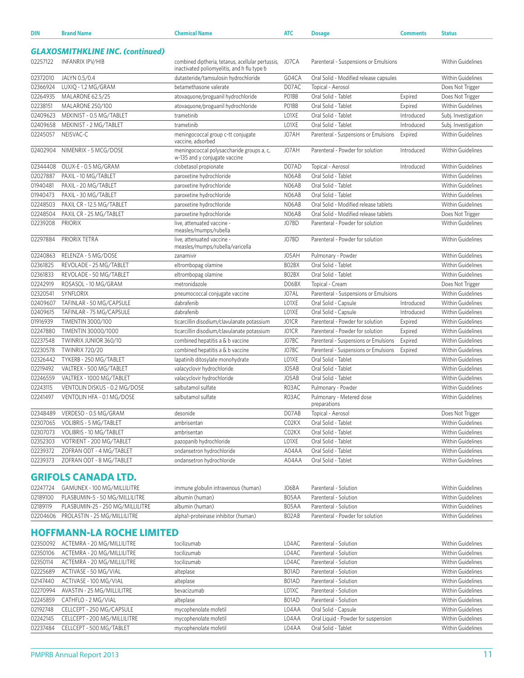| <b>DIN</b> | <b>Brand Name</b>                       | <b>Chemical Name</b>                                                                                   | <b>ATC</b> | <b>Dosage</b>                            | <b>Comments</b> | <b>Status</b>            |
|------------|-----------------------------------------|--------------------------------------------------------------------------------------------------------|------------|------------------------------------------|-----------------|--------------------------|
|            | <b>GLAXOSMITHKLINE INC. (continued)</b> |                                                                                                        |            |                                          |                 |                          |
| 02257122   | <b>INFANRIX IPV/HIB</b>                 | combined diptheria, tetanus, acellular pertussis, JO7CA<br>inactivated poliomyelitis, and h flu type b |            | Parenteral - Suspensions or Emulsions    |                 | <b>Within Guidelines</b> |
| 02372010   | JALYN 0.5/0.4                           | dutasteride/tamsulosin hydrochloride                                                                   | G04CA      | Oral Solid - Modified release capsules   |                 | <b>Within Guidelines</b> |
| 02366924   | LUXIQ - 1.2 MG/GRAM                     | betamethasone valerate                                                                                 | D07AC      | Topical - Aerosol                        |                 | Does Not Trigger         |
| 02264935   | MALARONE 62.5/25                        | atovaquone/proguanil hydrochloride                                                                     | PO1BB      | Oral Solid - Tablet                      | Expired         | Does Not Trigger         |
| 02238151   | MALARONE 250/100                        | atovaquone/proguanil hydrochloride                                                                     | PO1BB      | Oral Solid - Tablet                      | Expired         | <b>Within Guidelines</b> |
| 02409623   | MEKINIST - 0.5 MG/TABLET                | trametinib                                                                                             | LO1XE      | Oral Solid - Tablet                      | Introduced      | Subj. Investigation      |
| 02409658   | MEKINIST - 2 MG/TABLET                  | trametinib                                                                                             | LO1XE      | Oral Solid - Tablet                      | Introduced      | Subj. Investigation      |
| 02245057   | NEISVAC-C                               | meningococcal group c-tt conjugate<br>vaccine, adsorbed                                                | J07AH      | Parenteral - Suspensions or Emulsions    | Expired         | <b>Within Guidelines</b> |
| 02402904   | NIMENRIX - 5 MCG/DOSE                   | meningococcal polysaccharide groups a, c,<br>w-135 and y conjugate vaccine                             | J07AH      | Parenteral - Powder for solution         | Introduced      | <b>Within Guidelines</b> |
| 02344408   | OLUX-E - 0.5 MG/GRAM                    | clobetasol propionate                                                                                  | D07AD      | Topical - Aerosol                        | Introduced      | <b>Within Guidelines</b> |
| 02027887   | PAXIL - 10 MG/TABLET                    | paroxetine hydrochloride                                                                               | N06AB      | Oral Solid - Tablet                      |                 | <b>Within Guidelines</b> |
| 01940481   | PAXIL - 20 MG/TABLET                    | paroxetine hydrochloride                                                                               | N06AB      | Oral Solid - Tablet                      |                 | <b>Within Guidelines</b> |
| 01940473   | PAXIL - 30 MG/TABLET                    | paroxetine hydrochloride                                                                               | N06AB      | Oral Solid - Tablet                      |                 | <b>Within Guidelines</b> |
| 02248503   | PAXIL CR - 12.5 MG/TABLET               | paroxetine hydrochloride                                                                               | N06AB      | Oral Solid - Modified release tablets    |                 | <b>Within Guidelines</b> |
| 02248504   | PAXIL CR - 25 MG/TABLET                 | paroxetine hydrochloride                                                                               | N06AB      | Oral Solid - Modified release tablets    |                 | Does Not Trigger         |
| 02239208   | <b>PRIORIX</b>                          | live, attenuated vaccine -<br>measles/mumps/rubella                                                    | J07BD      | Parenteral - Powder for solution         |                 | <b>Within Guidelines</b> |
| 02297884   | PRIORIX TETRA                           | live, attenuated vaccine -<br>measles/mumps/rubella/varicella                                          | J07BD      | Parenteral - Powder for solution         |                 | <b>Within Guidelines</b> |
| 02240863   | RELENZA - 5 MG/DOSE                     | zanamivir                                                                                              | J05AH      | Pulmonary - Powder                       |                 | <b>Within Guidelines</b> |
| 02361825   | REVOLADE - 25 MG/TABLET                 | eltrombopag olamine                                                                                    | BO2BX      | Oral Solid - Tablet                      |                 | Within Guidelines        |
| 02361833   | REVOLADE - 50 MG/TABLET                 | eltrombopag olamine                                                                                    | BO2BX      | Oral Solid - Tablet                      |                 | <b>Within Guidelines</b> |
| 02242919   | ROSASOL - 10 MG/GRAM                    | metronidazole                                                                                          | D06BX      | Topical - Cream                          |                 | Does Not Trigger         |
| 02320541   | SYNFLORIX                               | pneumococcal conjugate vaccine                                                                         | J07AL      | Parenteral - Suspensions or Emulsions    |                 | <b>Within Guidelines</b> |
| 02409607   | TAFINLAR - 50 MG/CAPSULE                | dabrafenib                                                                                             | LO1XE      | Oral Solid - Capsule                     | Introduced      | <b>Within Guidelines</b> |
| 02409615   | TAFINLAR - 75 MG/CAPSULE                | dabrafenib                                                                                             | LO1XE      | Oral Solid - Capsule                     | Introduced      | <b>Within Guidelines</b> |
| 01916939   | TIMENTIN 3000/100                       | ticarcillin disodium/clavulanate potassium                                                             | J01CR      | Parenteral - Powder for solution         | Expired         | <b>Within Guidelines</b> |
| 02247880   | TIMENTIN 30000/1000                     | ticarcillin disodium/clavulanate potassium                                                             | J01CR      | Parenteral - Powder for solution         | Expired         | <b>Within Guidelines</b> |
| 02237548   | TWINRIX JUNIOR 360/10                   | combined hepatitis a & b vaccine                                                                       | J07BC      | Parenteral - Suspensions or Emulsions    | Expired         | Within Guidelines        |
| 02230578   | <b>TWINRIX 720/20</b>                   | combined hepatitis a & b vaccine                                                                       | J07BC      | Parenteral - Suspensions or Emulsions    | Expired         | <b>Within Guidelines</b> |
| 02326442   | TYKERB - 250 MG/TABLET                  | lapatinib ditosylate monohydrate                                                                       | LO1XE      | Oral Solid - Tablet                      |                 | <b>Within Guidelines</b> |
| 02219492   | VALTREX - 500 MG/TABLET                 | valacyclovir hydrochloride                                                                             | J05AB      | Oral Solid - Tablet                      |                 | Within Guidelines        |
| 02246559   | VALTREX - 1000 MG/TABLET                | valacyclovir hydrochloride                                                                             | J05AB      | Oral Solid - Tablet                      |                 | <b>Within Guidelines</b> |
| 02243115   | VENTOLIN DISKUS - 0.2 MG/DOSE           | salbutamol sulfate                                                                                     | R03AC      | Pulmonary - Powder                       |                 | Within Guidelines        |
| 02241497   | VENTOLIN HFA - 0.1 MG/DOSE              | salbutamol sulfate                                                                                     | R03AC      | Pulmonary - Metered dose<br>preparations |                 | Within Guidelines        |
| 02348489   | VERDESO - 0.5 MG/GRAM                   | desonide                                                                                               | D07AB      | Topical - Aerosol                        |                 | Does Not Trigger         |
| 02307065   | VOLIBRIS - 5 MG/TABLET                  | ambrisentan                                                                                            | C02KX      | Oral Solid - Tablet                      |                 | Within Guidelines        |
| 02307073   | VOLIBRIS - 10 MG/TABLET                 | ambrisentan                                                                                            | C02KX      | Oral Solid - Tablet                      |                 | Within Guidelines        |
| 02352303   | VOTRIENT - 200 MG/TABLET                | pazopanib hydrochloride                                                                                | LO1XE      | Oral Solid - Tablet                      |                 | Within Guidelines        |
| 02239372   | ZOFRAN ODT - 4 MG/TABLET                | ondansetron hydrochloride                                                                              | A04AA      | Oral Solid - Tablet                      |                 | Within Guidelines        |
| 02239373   | ZOFRAN ODT - 8 MG/TABLET                | ondansetron hydrochloride                                                                              | A04AA      | Oral Solid - Tablet                      |                 | Within Guidelines        |
|            | <b>GRIFOLS CANADA LTD.</b>              |                                                                                                        |            |                                          |                 |                          |
|            |                                         |                                                                                                        |            |                                          |                 |                          |
| 02247724   | GAMUNEX - 100 MG/MILLILITRE             | immune globulin intravenous (human)                                                                    | J06BA      | Parenteral - Solution                    |                 | Within Guidelines        |

| 02189100 | PLASBUMIN-5 - 50 MG/MILLILITRE        | albumin (human)                     | B <sub>05</sub> AA | Parenteral - Solution            | Within Guidelines |
|----------|---------------------------------------|-------------------------------------|--------------------|----------------------------------|-------------------|
| 02189119 | PLASBUMIN-25 - 250 MG/MILLILITRE      | albumin (human)                     | B <sub>05</sub> AA | Parenteral - Solution            | Within Guidelines |
|          | 02204606 PROLASTIN - 25 MG/MILLILITRE | alpha1-proteinase inhibitor (human) | BO <sub>2</sub> AB | Parenteral - Powder for solution | Within Guidelines |

## **HOFFMANN-LA ROCHE LIMITED**

|          | 02350092 ACTEMRA - 20 MG/MILLILITRE | tocilizumab           | L04AC | Parenteral - Solution               | Within Guidelines        |
|----------|-------------------------------------|-----------------------|-------|-------------------------------------|--------------------------|
| 02350106 | ACTEMRA - 20 MG/MILLILITRE          | tocilizumab           | L04AC | Parenteral - Solution               | Within Guidelines        |
| 02350114 | ACTEMRA - 20 MG/MILLILITRE          | tocilizumab           | L04AC | Parenteral - Solution               | Within Guidelines        |
| 02225689 | ACTIVASE - 50 MG/VIAL               | alteplase             | B01AD | Parenteral - Solution               | Within Guidelines        |
| 02147440 | ACTIVASE - 100 MG/VIAL              | alteplase             | B01AD | Parenteral - Solution               | Within Guidelines        |
| 02270994 | AVASTIN - 25 MG/MILLILITRE          | bevacizumab           | LO1XC | Parenteral - Solution               | Within Guidelines        |
| 02245859 | CATHFLO - 2 MG/VIAL                 | alteplase             | B01AD | Parenteral - Solution               | Within Guidelines        |
| 02192748 | CELLCEPT - 250 MG/CAPSULE           | mycophenolate mofetil | L04AA | Oral Solid - Capsule                | <b>Within Guidelines</b> |
| 02242145 | CELLCEPT - 200 MG/MILLILITRE        | mycophenolate mofetil | L04AA | Oral Liquid - Powder for suspension | <b>Within Guidelines</b> |
| 02237484 | CELLCEPT - 500 MG/TABLET            | mycophenolate mofetil | L04AA | Oral Solid - Tablet                 | <b>Within Guidelines</b> |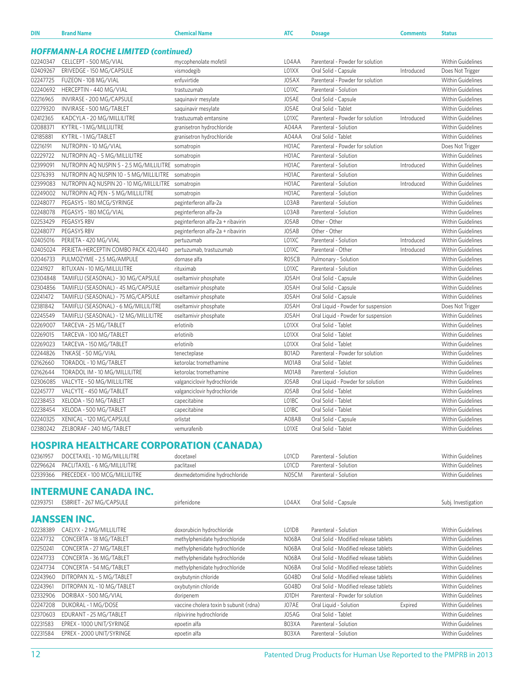| DIN      | <b>Brand Name</b>                                   | <b>Chemical Name</b>              | <b>ATC</b> | <b>Dosage</b>                       | <b>Comments</b> | <b>Status</b>            |
|----------|-----------------------------------------------------|-----------------------------------|------------|-------------------------------------|-----------------|--------------------------|
|          | <b>HOFFMANN-LA ROCHE LIMITED (continued)</b>        |                                   |            |                                     |                 |                          |
| 02240347 | CELLCEPT - 500 MG/VIAL                              | mycophenolate mofetil             | L04AA      | Parenteral - Powder for solution    |                 | <b>Within Guidelines</b> |
| 02409267 | ERIVEDGE - 150 MG/CAPSULE                           | vismodegib                        | L01XX      | Oral Solid - Capsule                | Introduced      | Does Not Trigger         |
| 02247725 | FUZEON - 108 MG/VIAL                                | enfuvirtide                       | J05AX      | Parenteral - Powder for solution    |                 | <b>Within Guidelines</b> |
| 02240692 | HERCEPTIN - 440 MG/VIAL                             | trastuzumab                       | L01XC      | Parenteral - Solution               |                 | <b>Within Guidelines</b> |
| 02216965 | INVIRASE - 200 MG/CAPSULE                           | saquinavir mesylate               | J05AE      | Oral Solid - Capsule                |                 | <b>Within Guidelines</b> |
| 02279320 | INVIRASE - 500 MG/TABLET                            | saquinavir mesylate               | J05AE      | Oral Solid - Tablet                 |                 | <b>Within Guidelines</b> |
| 02412365 | KADCYLA - 20 MG/MILLILITRE                          | trastuzumab emtansine             | L01XC      | Parenteral - Powder for solution    | Introduced      | <b>Within Guidelines</b> |
| 02088371 | KYTRIL - 1 MG/MILLILITRE                            | granisetron hydrochloride         | A04AA      | Parenteral - Solution               |                 | <b>Within Guidelines</b> |
| 02185881 | KYTRIL - 1 MG/TABLET                                | granisetron hydrochloride         | A04AA      | Oral Solid - Tablet                 |                 | <b>Within Guidelines</b> |
| 02216191 | NUTROPIN - 10 MG/VIAL                               | somatropin                        | H01AC      | Parenteral - Powder for solution    |                 | Does Not Trigger         |
| 02229722 | NUTROPIN AQ - 5 MG/MILLILITRE                       | somatropin                        | H01AC      | Parenteral - Solution               |                 | <b>Within Guidelines</b> |
| 02399091 | NUTROPIN AQ NUSPIN 5 - 2.5 MG/MILLILITRE somatropin |                                   | H01AC      | Parenteral - Solution               | Introduced      | <b>Within Guidelines</b> |
| 02376393 | NUTROPIN AQ NUSPIN 10 - 5 MG/MILLILITRE             | somatropin                        | H01AC      | Parenteral - Solution               |                 | Within Guidelines        |
| 02399083 | NUTROPIN AQ NUSPIN 20 - 10 MG/MILLILITRE somatropin |                                   | H01AC      | Parenteral - Solution               | Introduced      | Within Guidelines        |
| 02249002 | NUTROPIN AQ PEN - 5 MG/MILLILITRE                   | somatropin                        | H01AC      | Parenteral - Solution               |                 | <b>Within Guidelines</b> |
| 02248077 | PEGASYS - 180 MCG/SYRINGE                           | peginterferon alfa-2a             | L03AB      | Parenteral - Solution               |                 | <b>Within Guidelines</b> |
| 02248078 | PEGASYS - 180 MCG/VIAL                              | peginterferon alfa-2a             | L03AB      | Parenteral - Solution               |                 | <b>Within Guidelines</b> |
| 02253429 | PEGASYS RBV                                         | peginterferon alfa-2a + ribavirin | J05AB      | Other - Other                       |                 | <b>Within Guidelines</b> |
| 02248077 | PEGASYS RBV                                         | peginterferon alfa-2a + ribavirin | J05AB      | Other - Other                       |                 | <b>Within Guidelines</b> |
| 02405016 | PERJETA - 420 MG/VIAL                               | pertuzumab                        | L01XC      | Parenteral - Solution               | Introduced      | <b>Within Guidelines</b> |
| 02405024 | PERJETA-HERCEPTIN COMBO PACK 420/440                | pertuzumab, trastuzumab           | L01XC      | Parenteral - Other                  | Introduced      | Within Guidelines        |
| 02046733 | PULMOZYME - 2.5 MG/AMPULE                           | dornase alfa                      | R05CB      | Pulmonary - Solution                |                 | <b>Within Guidelines</b> |
| 02241927 | RITUXAN - 10 MG/MILLILITRE                          | rituximab                         | L01XC      | Parenteral - Solution               |                 | <b>Within Guidelines</b> |
| 02304848 | TAMIFLU (SEASONAL) - 30 MG/CAPSULE                  | oseltamivir phosphate             | J05AH      | Oral Solid - Capsule                |                 | <b>Within Guidelines</b> |
| 02304856 | TAMIFLU (SEASONAL) - 45 MG/CAPSULE                  | oseltamivir phosphate             | J05AH      | Oral Solid - Capsule                |                 | Within Guidelines        |
| 02241472 | TAMIFLU (SEASONAL) - 75 MG/CAPSULE                  | oseltamivir phosphate             | J05AH      | Oral Solid - Capsule                |                 | Within Guidelines        |
| 02381842 | TAMIFLU (SEASONAL) - 6 MG/MILLILITRE                | oseltamivir phosphate             | J05AH      | Oral Liquid - Powder for suspension |                 | Does Not Trigger         |
| 02245549 | TAMIFLU (SEASONAL) - 12 MG/MILLILITRE               | oseltamivir phosphate             | J05AH      | Oral Liquid - Powder for suspension |                 | <b>Within Guidelines</b> |
| 02269007 | TARCEVA - 25 MG/TABLET                              | erlotinib                         | LO1XX      | Oral Solid - Tablet                 |                 | Within Guidelines        |
| 02269015 | TARCEVA - 100 MG/TABLET                             | erlotinib                         | L01XX      | Oral Solid - Tablet                 |                 | <b>Within Guidelines</b> |
| 02269023 | TARCEVA - 150 MG/TABLET                             | erlotinib                         | LO1XX      | Oral Solid - Tablet                 |                 | <b>Within Guidelines</b> |
| 02244826 | TNKASE - 50 MG/VIAL                                 | tenecteplase                      | B01AD      | Parenteral - Powder for solution    |                 | <b>Within Guidelines</b> |
| 02162660 | TORADOL - 10 MG/TABLET                              | ketorolac tromethamine            | M01AB      | Oral Solid - Tablet                 |                 | <b>Within Guidelines</b> |
| 02162644 | TORADOL IM - 10 MG/MILLILITRE                       | ketorolac tromethamine            | M01AB      | Parenteral - Solution               |                 | <b>Within Guidelines</b> |
| 02306085 | VALCYTE - 50 MG/MILLILITRE                          | valganciclovir hydrochloride      | J05AB      | Oral Liquid - Powder for solution   |                 | <b>Within Guidelines</b> |
| 02245777 | VALCYTE - 450 MG/TABLET                             | valganciclovir hydrochloride      | J05AB      | Oral Solid - Tablet                 |                 | <b>Within Guidelines</b> |
| 02238453 | XELODA - 150 MG/TABLET                              | capecitabine                      | L01BC      | Oral Solid - Tablet                 |                 | <b>Within Guidelines</b> |
| 02238454 | XELODA - 500 MG/TABLET                              | capecitabine                      | LO1BC      | Oral Solid - Tablet                 |                 | Within Guidelines        |
| 02240325 | XENICAL - 120 MG/CAPSULE                            | orlistat                          | A08AB      | Oral Solid - Capsule                |                 | Within Guidelines        |
| 02380242 | ZELBORAF - 240 MG/TABLET                            | vemurafenib                       | LO1XE      | Oral Solid - Tablet                 |                 | <b>Within Guidelines</b> |
|          |                                                     |                                   |            |                                     |                 |                          |
|          | <b>HOSPIRA HEALTHCARE CORPORATION (CANADA)</b>      |                                   |            |                                     |                 |                          |
| 02361957 | DOCETAXEL - 10 MG/MILLILITRE                        | docetaxel                         | L01CD      | Parenteral - Solution               |                 | <b>Within Guidelines</b> |
| 02296624 | PACLITAXEL - 6 MG/MILLILITRE                        | paclitaxel                        | L01CD      | Parenteral - Solution               |                 | <b>Within Guidelines</b> |
| 02339366 | PRECEDEX - 100 MCG/MILLILITRE                       | dexmedetomidine hydrochloride     | N05CM      | Parenteral - Solution               |                 | Within Guidelines        |
|          |                                                     |                                   |            |                                     |                 |                          |
|          | <b>INTERMUNE CANADA INC.</b>                        |                                   |            |                                     |                 |                          |
| 02393751 | ESBRIET - 267 MG/CAPSULE                            | pirfenidone                       | L04AX      | Oral Solid - Capsule                |                 | Subj. Investigation      |

### **JANSSEN INC.**

| 02238389 | CAELYX - 2 MG/MILLILITRE   | doxorubicin hydrochloride              | LO1DB | Parenteral - Solution                 |         | <b>Within Guidelines</b> |
|----------|----------------------------|----------------------------------------|-------|---------------------------------------|---------|--------------------------|
| 02247732 | CONCERTA - 18 MG/TABLET    | methylphenidate hydrochloride          | NO6BA | Oral Solid - Modified release tablets |         | <b>Within Guidelines</b> |
| 02250241 | CONCERTA - 27 MG/TABLET    | methylphenidate hydrochloride          | N06BA | Oral Solid - Modified release tablets |         | <b>Within Guidelines</b> |
| 02247733 | CONCERTA - 36 MG/TABLET    | methylphenidate hydrochloride          | NO6BA | Oral Solid - Modified release tablets |         | Within Guidelines        |
| 02247734 | CONCERTA - 54 MG/TABLET    | methylphenidate hydrochloride          | N06BA | Oral Solid - Modified release tablets |         | <b>Within Guidelines</b> |
| 02243960 | DITROPAN XL - 5 MG/TABLET  | oxybutynin chloride                    | G04BD | Oral Solid - Modified release tablets |         | <b>Within Guidelines</b> |
| 02243961 | DITROPAN XL - 10 MG/TABLET | oxybutynin chloride                    | G04BD | Oral Solid - Modified release tablets |         | <b>Within Guidelines</b> |
| 02332906 | DORIBAX - 500 MG/VIAL      | doripenem                              | J01DH | Parenteral - Powder for solution      |         | <b>Within Guidelines</b> |
| 02247208 | DUKORAL - 1 MG/DOSE        | vaccine cholera toxin b subunit (rdna) | J07AE | Oral Liquid - Solution                | Expired | <b>Within Guidelines</b> |
| 02370603 | EDURANT - 25 MG/TABLET     | rilpivirine hydrochloride              | J05AG | Oral Solid - Tablet                   |         | <b>Within Guidelines</b> |
| 02231583 | EPREX - 1000 UNIT/SYRINGE  | epoetin alfa                           | B03XA | Parenteral - Solution                 |         | <b>Within Guidelines</b> |
| 02231584 | EPREX - 2000 UNIT/SYRINGE  | epoetin alfa                           | B03XA | Parenteral - Solution                 |         | <b>Within Guidelines</b> |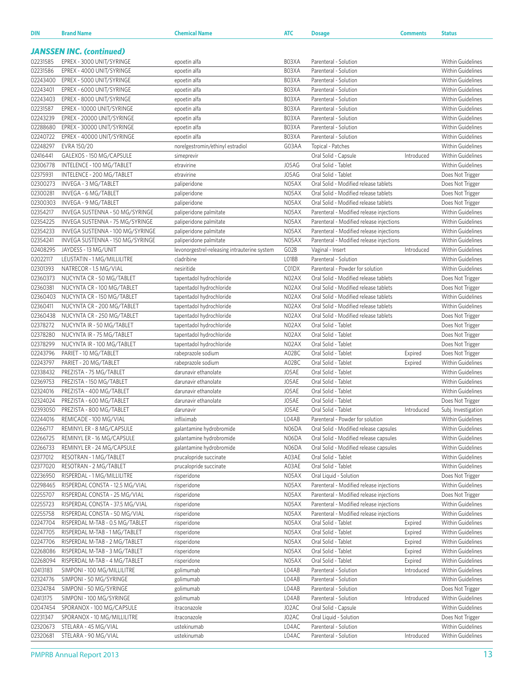| DIN                  | <b>Brand Name</b>                                   | <b>Chemical Name</b>                                 | <b>ATC</b>     | <b>Dosage</b>                                                                    | <b>Comments</b> | <b>Status</b>                                 |
|----------------------|-----------------------------------------------------|------------------------------------------------------|----------------|----------------------------------------------------------------------------------|-----------------|-----------------------------------------------|
|                      |                                                     |                                                      |                |                                                                                  |                 |                                               |
|                      | <b>JANSSEN INC. (continued)</b>                     |                                                      |                |                                                                                  |                 |                                               |
| 02231585             | EPREX - 3000 UNIT/SYRINGE                           | epoetin alfa                                         | B03XA          | Parenteral - Solution                                                            |                 | Within Guidelines                             |
| 02231586             | EPREX - 4000 UNIT/SYRINGE                           | epoetin alfa                                         | B03XA          | Parenteral - Solution                                                            |                 | Within Guidelines                             |
| 02243400             | EPREX - 5000 UNIT/SYRINGE                           | epoetin alfa                                         | B03XA          | Parenteral - Solution                                                            |                 | <b>Within Guidelines</b>                      |
| 02243401             | EPREX - 6000 UNIT/SYRINGE                           | epoetin alfa                                         | B03XA          | Parenteral - Solution                                                            |                 | <b>Within Guidelines</b>                      |
| 02243403             | EPREX - 8000 UNIT/SYRINGE                           | epoetin alfa                                         | B03XA          | Parenteral - Solution                                                            |                 | Within Guidelines                             |
| 02231587             | EPREX - 10000 UNIT/SYRINGE                          | epoetin alfa                                         | B03XA          | Parenteral - Solution                                                            |                 | <b>Within Guidelines</b>                      |
| 02243239             | EPREX - 20000 UNIT/SYRINGE                          | epoetin alfa                                         | B03XA          | Parenteral - Solution                                                            |                 | <b>Within Guidelines</b>                      |
| 02288680             | EPREX - 30000 UNIT/SYRINGE                          | epoetin alfa                                         | B03XA          | Parenteral - Solution                                                            |                 | <b>Within Guidelines</b>                      |
| 02240722             | EPREX - 40000 UNIT/SYRINGE                          | epoetin alfa                                         | B03XA          | Parenteral - Solution                                                            |                 | <b>Within Guidelines</b>                      |
| 02248297<br>02416441 | EVRA 150/20<br>GALEXOS - 150 MG/CAPSULE             | norelgestromin/ethinyl estradiol<br>simeprevir       | G03AA          | Topical - Patches<br>Oral Solid - Capsule                                        | Introduced      | <b>Within Guidelines</b><br>Within Guidelines |
| 02306778             | INTELENCE - 100 MG/TABLET                           | etravirine                                           | J05AG          | Oral Solid - Tablet                                                              |                 | Within Guidelines                             |
| 02375931             | INTELENCE - 200 MG/TABLET                           | etravirine                                           | J05AG          | Oral Solid - Tablet                                                              |                 | Does Not Trigger                              |
| 02300273             | INVEGA - 3 MG/TABLET                                | paliperidone                                         | N05AX          | Oral Solid - Modified release tablets                                            |                 | Does Not Trigger                              |
| 02300281             | INVEGA - 6 MG/TABLET                                | paliperidone                                         | N05AX          | Oral Solid - Modified release tablets                                            |                 | Does Not Trigger                              |
| 02300303             | INVEGA - 9 MG/TABLET                                | paliperidone                                         | N05AX          | Oral Solid - Modified release tablets                                            |                 | Does Not Trigger                              |
| 02354217             | INVEGA SUSTENNA - 50 MG/SYRINGE                     | paliperidone palmitate                               | N05AX          | Parenteral - Modified release injections                                         |                 | Within Guidelines                             |
| 02354225             | INVEGA SUSTENNA - 75 MG/SYRINGE                     | paliperidone palmitate                               | N05AX          | Parenteral - Modified release injections                                         |                 | Within Guidelines                             |
| 02354233             | INVEGA SUSTENNA - 100 MG/SYRINGE                    | paliperidone palmitate                               | N05AX          | Parenteral - Modified release injections                                         |                 | Within Guidelines                             |
| 02354241             | INVEGA SUSTENNA - 150 MG/SYRINGE                    | paliperidone palmitate                               | N05AX          | Parenteral - Modified release injections                                         |                 | Within Guidelines                             |
| 02408295             | JAYDESS - 13 MG/UNIT                                | levonorgestrel-releasing intrauterine system         | GO2B           | Vaginal - Insert                                                                 | Introduced      | <b>Within Guidelines</b>                      |
| 02022117             | LEUSTATIN - 1 MG/MILLILITRE                         | cladribine                                           | LO1BB          | Parenteral - Solution                                                            |                 | <b>Within Guidelines</b>                      |
| 02301393             | NATRECOR - 1.5 MG/VIAL                              | nesiritide                                           | C01DX          | Parenteral - Powder for solution                                                 |                 | Within Guidelines                             |
| 02360373             | NUCYNTA CR - 50 MG/TABLET                           | tapentadol hydrochloride                             | N02AX          | Oral Solid - Modified release tablets                                            |                 | Does Not Trigger                              |
| 02360381             | NUCYNTA CR - 100 MG/TABLET                          | tapentadol hydrochloride                             | N02AX          | Oral Solid - Modified release tablets                                            |                 | Does Not Trigger                              |
| 02360403             | NUCYNTA CR - 150 MG/TABLET                          | tapentadol hydrochloride                             | N02AX          | Oral Solid - Modified release tablets                                            |                 | Within Guidelines                             |
| 02360411             | NUCYNTA CR - 200 MG/TABLET                          | tapentadol hydrochloride                             | N02AX          | Oral Solid - Modified release tablets                                            |                 | Within Guidelines                             |
| 02360438             | NUCYNTA CR - 250 MG/TABLET                          | tapentadol hydrochloride                             | N02AX          | Oral Solid - Modified release tablets                                            |                 | Does Not Trigger                              |
| 02378272             | NUCYNTA IR - 50 MG/TABLET                           | tapentadol hydrochloride                             | N02AX          | Oral Solid - Tablet                                                              |                 | Does Not Trigger                              |
| 02378280             | NUCYNTA IR - 75 MG/TABLET                           | tapentadol hydrochloride                             | N02AX          | Oral Solid - Tablet                                                              |                 | Does Not Trigger                              |
| 02378299             | NUCYNTA IR - 100 MG/TABLET                          | tapentadol hydrochloride                             | N02AX          | Oral Solid - Tablet                                                              |                 | Does Not Trigger                              |
| 02243796             | PARIET - 10 MG/TABLET                               | rabeprazole sodium                                   | A02BC          | Oral Solid - Tablet                                                              | Expired         | Does Not Trigger                              |
| 02243797             | PARIET - 20 MG/TABLET                               | rabeprazole sodium                                   | A02BC          | Oral Solid - Tablet                                                              | Expired         | <b>Within Guidelines</b>                      |
| 02338432             | PREZISTA - 75 MG/TABLET                             | darunavir ethanolate                                 | J05AE          | Oral Solid - Tablet                                                              |                 | Within Guidelines                             |
| 02369753             | PREZISTA - 150 MG/TABLET                            | darunavir ethanolate                                 | J05AE          | Oral Solid - Tablet                                                              |                 | Within Guidelines                             |
| 02324016             | PREZISTA - 400 MG/TABLET                            | darunavir ethanolate                                 | J05AE          | Oral Solid - Tablet                                                              |                 | Within Guidelines                             |
| 02324024             | PREZISTA - 600 MG/TABLET                            | darunavir ethanolate                                 | J05AE          | Oral Solid - Tablet                                                              |                 | Does Not Trigger                              |
| 02393050             | PREZISTA - 800 MG/TABLET                            | darunavir<br>infliximab                              | J05AE          | Oral Solid - Tablet                                                              | Introduced      | Subj. Investigation                           |
| 02244016             | REMICADE - 100 MG/VIAL<br>REMINYL ER - 8 MG/CAPSULE |                                                      | L04AB          | Parenteral - Powder for solution                                                 |                 | Within Guidelines                             |
| 02266717<br>02266725 | REMINYL ER - 16 MG/CAPSULE                          | galantamine hydrobromide<br>galantamine hydrobromide | N06DA<br>N06DA | Oral Solid - Modified release capsules<br>Oral Solid - Modified release capsules |                 | Within Guidelines<br>Within Guidelines        |
| 02266733             | REMINYL ER - 24 MG/CAPSULE                          | galantamine hydrobromide                             | N06DA          | Oral Solid - Modified release capsules                                           |                 | Within Guidelines                             |
| 02377012             | RESOTRAN - 1 MG/TABLET                              | prucalopride succinate                               | A03AE          | Oral Solid - Tablet                                                              |                 | Within Guidelines                             |
| 02377020             | RESOTRAN - 2 MG/TABLET                              | prucalopride succinate                               | A03AE          | Oral Solid - Tablet                                                              |                 | Within Guidelines                             |
| 02236950             | RISPERDAL - 1 MG/MILLILITRE                         | risperidone                                          | N05AX          | Oral Liquid - Solution                                                           |                 | Does Not Trigger                              |
| 02298465             | RISPERDAL CONSTA - 12.5 MG/VIAL                     | risperidone                                          | N05AX          | Parenteral - Modified release injections                                         |                 | Within Guidelines                             |
| 02255707             | RISPERDAL CONSTA - 25 MG/VIAL                       | risperidone                                          | N05AX          | Parenteral - Modified release injections                                         |                 | Does Not Trigger                              |
| 02255723             | RISPERDAL CONSTA - 37.5 MG/VIAL                     | risperidone                                          | N05AX          | Parenteral - Modified release injections                                         |                 | Within Guidelines                             |
| 02255758             | RISPERDAL CONSTA - 50 MG/VIAL                       | risperidone                                          | N05AX          | Parenteral - Modified release injections                                         |                 | Within Guidelines                             |
| 02247704             | RISPERDAL M-TAB - 0.5 MG/TABLET                     | risperidone                                          | N05AX          | Oral Solid - Tablet                                                              | Expired         | Within Guidelines                             |
| 02247705             | RISPERDAL M-TAB - 1 MG/TABLET                       | risperidone                                          | N05AX          | Oral Solid - Tablet                                                              | Expired         | Within Guidelines                             |
| 02247706             | RISPERDAL M-TAB - 2 MG/TABLET                       | risperidone                                          | N05AX          | Oral Solid - Tablet                                                              | Expired         | Within Guidelines                             |
| 02268086             | RISPERDAL M-TAB - 3 MG/TABLET                       | risperidone                                          | N05AX          | Oral Solid - Tablet                                                              | Expired         | Within Guidelines                             |
| 02268094             | RISPERDAL M-TAB - 4 MG/TABLET                       | risperidone                                          | N05AX          | Oral Solid - Tablet                                                              | Expired         | Within Guidelines                             |
| 02413183             | SIMPONI - 100 MG/MILLILITRE                         | golimumab                                            | L04AB          | Parenteral - Solution                                                            | Introduced      | Within Guidelines                             |
| 02324776             | SIMPONI - 50 MG/SYRINGE                             | golimumab                                            | L04AB          | Parenteral - Solution                                                            |                 | Within Guidelines                             |
| 02324784             | SIMPONI - 50 MG/SYRINGE                             | golimumab                                            | L04AB          | Parenteral - Solution                                                            |                 | Does Not Trigger                              |
| 02413175             | SIMPONI - 100 MG/SYRINGE                            | golimumab                                            | L04AB          | Parenteral - Solution                                                            | Introduced      | Within Guidelines                             |
| 02047454             | SPORANOX - 100 MG/CAPSULE                           | itraconazole                                         | J02AC          | Oral Solid - Capsule                                                             |                 | Within Guidelines                             |
| 02231347             | SPORANOX - 10 MG/MILLILITRE                         | itraconazole                                         | J02AC          | Oral Liquid - Solution                                                           |                 | Does Not Trigger                              |
| 02320673             | STELARA - 45 MG/VIAL                                | ustekinumab                                          | L04AC          | Parenteral - Solution                                                            |                 | Within Guidelines                             |
| 02320681             | STELARA - 90 MG/VIAL                                | ustekinumab                                          | L04AC          | Parenteral - Solution                                                            | Introduced      | Within Guidelines                             |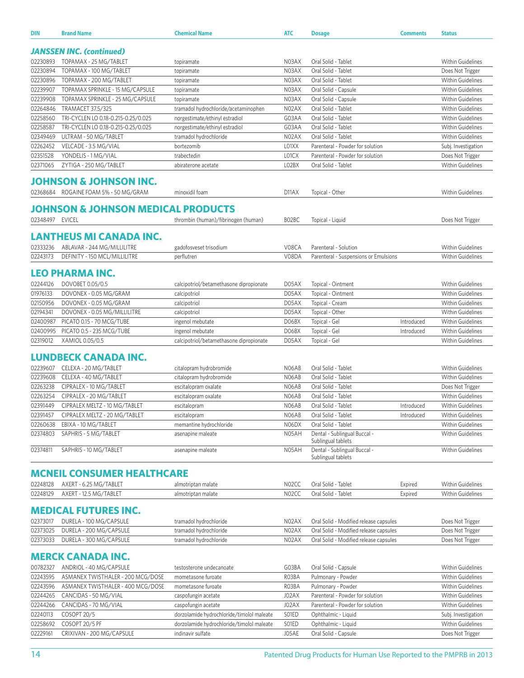| <b>DIN</b>           | <b>Brand Name</b>                                     | <b>Chemical Name</b>                                           | <b>ATC</b>         | <b>Dosage</b>                               | <b>Comments</b> | <b>Status</b>                                        |
|----------------------|-------------------------------------------------------|----------------------------------------------------------------|--------------------|---------------------------------------------|-----------------|------------------------------------------------------|
|                      |                                                       |                                                                |                    |                                             |                 |                                                      |
|                      | <b>JANSSEN INC. (continued)</b>                       |                                                                |                    |                                             |                 |                                                      |
| 02230893             | TOPAMAX - 25 MG/TABLET                                | topiramate                                                     | N03AX              | Oral Solid - Tablet                         |                 | <b>Within Guidelines</b>                             |
| 02230894<br>02230896 | TOPAMAX - 100 MG/TABLET<br>TOPAMAX - 200 MG/TABLET    | topiramate<br>topiramate                                       | N03AX<br>N03AX     | Oral Solid - Tablet<br>Oral Solid - Tablet  |                 | Does Not Trigger<br><b>Within Guidelines</b>         |
| 02239907             | TOPAMAX SPRINKLE - 15 MG/CAPSULE                      | topiramate                                                     | N03AX              | Oral Solid - Capsule                        |                 | <b>Within Guidelines</b>                             |
| 02239908             | TOPAMAX SPRINKLE - 25 MG/CAPSULE                      | topiramate                                                     | N03AX              | Oral Solid - Capsule                        |                 | <b>Within Guidelines</b>                             |
| 02264846             | TRAMACET 37.5/325                                     | tramadol hydrochloride/acetaminophen                           | N02AX              | Oral Solid - Tablet                         |                 | <b>Within Guidelines</b>                             |
| 02258560             | TRI-CYCLEN LO 0.18-0.215-0.25/0.025                   | norgestimate/ethinyl estradiol                                 | G03AA              | Oral Solid - Tablet                         |                 | Within Guidelines                                    |
| 02258587             | TRI-CYCLEN LO 0.18-0.215-0.25/0.025                   | norgestimate/ethinyl estradiol                                 | G03AA              | Oral Solid - Tablet                         |                 | <b>Within Guidelines</b>                             |
| 02349469             | ULTRAM - 50 MG/TABLET                                 | tramadol hydrochloride                                         | N02AX              | Oral Solid - Tablet                         |                 | <b>Within Guidelines</b>                             |
| 02262452             | VELCADE - 3.5 MG/VIAL                                 | bortezomib                                                     | L01XX              | Parenteral - Powder for solution            |                 | Subj. Investigation                                  |
| 02351528             | YONDELIS - 1 MG/VIAL                                  | trabectedin                                                    | L01CX              | Parenteral - Powder for solution            |                 | Does Not Trigger                                     |
| 02371065             | ZYTIGA - 250 MG/TABLET                                | abiraterone acetate                                            | LO2BX              | Oral Solid - Tablet                         |                 | <b>Within Guidelines</b>                             |
|                      | <b>JOHNSON &amp; JOHNSON INC.</b>                     |                                                                |                    |                                             |                 |                                                      |
| 02368684             | ROGAINE FOAM 5% - 50 MG/GRAM                          | minoxidil foam                                                 | D <sub>11</sub> AX | Topical - Other                             |                 | <b>Within Guidelines</b>                             |
|                      |                                                       |                                                                |                    |                                             |                 |                                                      |
|                      | <b>JOHNSON &amp; JOHNSON MEDICAL PRODUCTS</b>         |                                                                |                    |                                             |                 |                                                      |
| 02348497 EVICEL      |                                                       | thrombin (human)/fibrinogen (human)                            | BO2BC              | Topical - Liquid                            |                 | Does Not Trigger                                     |
|                      |                                                       |                                                                |                    |                                             |                 |                                                      |
|                      | LANTHEUS MI CANADA INC.                               |                                                                |                    |                                             |                 |                                                      |
| 02333236             | ABLAVAR - 244 MG/MILLILITRE                           | gadofosveset trisodium                                         | V08CA              | Parenteral - Solution                       |                 | <b>Within Guidelines</b>                             |
| 02243173             | DEFINITY - 150 MCL/MILLILITRE                         | perflutren                                                     | V08DA              | Parenteral - Suspensions or Emulsions       |                 | <b>Within Guidelines</b>                             |
|                      | LEO PHARMA INC.                                       |                                                                |                    |                                             |                 |                                                      |
| 02244126             | DOVOBET 0.05/0.5                                      | calcipotriol/betamethasone dipropionate                        | D05AX              | Topical - Ointment                          |                 | <b>Within Guidelines</b>                             |
| 01976133             | DOVONEX - 0.05 MG/GRAM                                | calcipotriol                                                   | D05AX              | Topical - Ointment                          |                 | <b>Within Guidelines</b>                             |
| 02150956             | DOVONEX - 0.05 MG/GRAM                                | calcipotriol                                                   | D05AX              | Topical - Cream                             |                 | <b>Within Guidelines</b>                             |
| 02194341             | DOVONEX - 0.05 MG/MILLILITRE                          | calcipotriol                                                   | D05AX              | Topical - Other                             |                 | <b>Within Guidelines</b>                             |
| 02400987             | PICATO 0.15 - 70 MCG/TUBE                             | ingenol mebutate                                               | D06BX              | Topical - Gel                               | Introduced      | <b>Within Guidelines</b>                             |
| 02400995             | PICATO 0.5 - 235 MCG/TUBE                             | ingenol mebutate                                               | D06BX              | Topical - Gel                               | Introduced      | <b>Within Guidelines</b>                             |
| 02319012             | XAMIOL 0.05/0.5                                       | calcipotriol/betamethasone dipropionate                        | D05AX              | Topical - Gel                               |                 | <b>Within Guidelines</b>                             |
|                      |                                                       |                                                                |                    |                                             |                 |                                                      |
|                      | LUNDBECK CANADA INC.                                  |                                                                |                    |                                             |                 |                                                      |
| 02239607             | CELEXA - 20 MG/TABLET                                 | citalopram hydrobromide                                        | N06AB              | Oral Solid - Tablet                         |                 | <b>Within Guidelines</b>                             |
| 02239608             | CELEXA - 40 MG/TABLET                                 | citalopram hydrobromide                                        | N06AB              | Oral Solid - Tablet                         |                 | Within Guidelines                                    |
| 02263238             | CIPRALEX - 10 MG/TABLET                               | escitalopram oxalate                                           | N06AB              | Oral Solid - Tablet                         |                 | Does Not Trigger                                     |
| 02263254             | CIPRALEX - 20 MG/TABLET                               | escitalopram oxalate                                           | N06AB              | Oral Solid - Tablet                         |                 | <b>Within Guidelines</b>                             |
| 02391449             | CIPRALEX MELTZ - 10 MG/TABLET                         | escitalopram                                                   | N06AB              | Oral Solid - Tablet                         | Introduced      | <b>Within Guidelines</b>                             |
| 02391457<br>02260638 | CIPRALEX MELTZ - 20 MG/TABLET<br>EBIXA - 10 MG/TABLET | escitalopram                                                   | N06AB<br>N06DX     | Oral Solid - Tablet<br>Oral Solid - Tablet  | Introduced      | <b>Within Guidelines</b><br><b>Within Guidelines</b> |
| 02374803             | SAPHRIS - 5 MG/TABLET                                 | memantine hydrochloride<br>asenapine maleate                   | N05AH              | Dental - Sublingual Buccal -                |                 | <b>Within Guidelines</b>                             |
|                      |                                                       |                                                                |                    | Sublingual tablets                          |                 |                                                      |
| 02374811             | SAPHRIS - 10 MG/TABLET                                | asenapine maleate                                              | N05AH              | Dental - Sublingual Buccal -                |                 | <b>Within Guidelines</b>                             |
|                      |                                                       |                                                                |                    | Sublingual tablets                          |                 |                                                      |
|                      | <b>MCNEIL CONSUMER HEALTHCARE</b>                     |                                                                |                    |                                             |                 |                                                      |
| 02248128             | AXERT - 6.25 MG/TABLET                                | almotriptan malate                                             | N02CC              | Oral Solid - Tablet                         | Expired         | Within Guidelines                                    |
| 02248129             | AXERT - 12.5 MG/TABLET                                | almotriptan malate                                             | N02CC              | Oral Solid - Tablet                         | Expired         | <b>Within Guidelines</b>                             |
|                      |                                                       |                                                                |                    |                                             |                 |                                                      |
|                      | <b>MEDICAL FUTURES INC.</b>                           |                                                                |                    |                                             |                 |                                                      |
| 02373017             | DURELA - 100 MG/CAPSULE                               | tramadol hydrochloride                                         | NO2AX              | Oral Solid - Modified release capsules      |                 | Does Not Trigger                                     |
| 02373025             | DURELA - 200 MG/CAPSULE                               | tramadol hydrochloride                                         | NO <sub>2</sub> AX | Oral Solid - Modified release capsules      |                 | Does Not Trigger                                     |
| 02373033             | DURELA - 300 MG/CAPSULE                               | tramadol hydrochloride                                         | NO <sub>2</sub> AX | Oral Solid - Modified release capsules      |                 | Does Not Trigger                                     |
|                      |                                                       |                                                                |                    |                                             |                 |                                                      |
|                      | <b>MERCK CANADA INC.</b>                              |                                                                |                    |                                             |                 |                                                      |
| 00782327             | ANDRIOL - 40 MG/CAPSULE                               | testosterone undecanoate                                       | G03BA              | Oral Solid - Capsule                        |                 | <b>Within Guidelines</b>                             |
| 02243595             | ASMANEX TWISTHALER - 200 MCG/DOSE                     | mometasone furoate                                             | R03BA              | Pulmonary - Powder                          |                 | <b>Within Guidelines</b>                             |
| 02243596             | ASMANEX TWISTHALER - 400 MCG/DOSE                     | mometasone furoate                                             | R03BA              | Pulmonary - Powder                          |                 | <b>Within Guidelines</b>                             |
| 02244265             | CANCIDAS - 50 MG/VIAL                                 | caspofungin acetate                                            | J02AX              | Parenteral - Powder for solution            |                 | <b>Within Guidelines</b>                             |
| 02244266             | CANCIDAS - 70 MG/VIAL                                 | caspofungin acetate                                            | J02AX              | Parenteral - Powder for solution            |                 | Within Guidelines                                    |
| 02240113<br>02258692 | COSOPT 20/5<br>COSOPT 20/5 PF                         | dorzolamide hydrochloride/timolol maleate                      | S01ED<br>S01ED     | Ophthalmic - Liquid                         |                 | Subj. Investigation<br>Within Guidelines             |
| 02229161             | CRIXIVAN - 200 MG/CAPSULE                             | dorzolamide hydrochloride/timolol maleate<br>indinavir sulfate | J05AE              | Ophthalmic - Liquid<br>Oral Solid - Capsule |                 | Does Not Trigger                                     |
|                      |                                                       |                                                                |                    |                                             |                 |                                                      |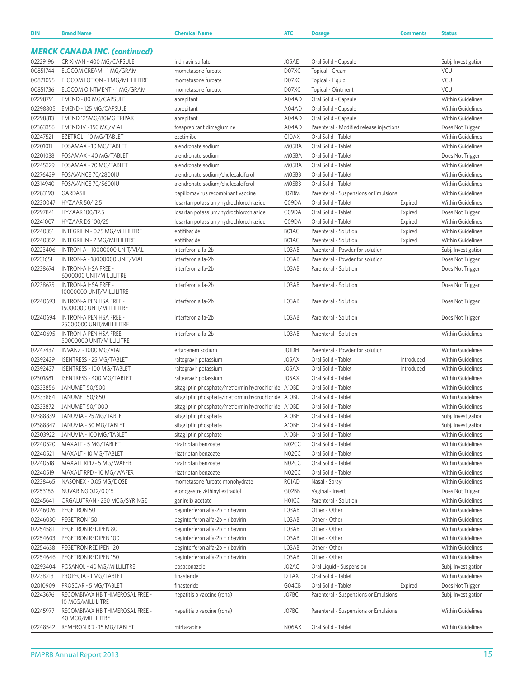| <b>MERCK CANADA INC. (continued)</b><br>02229196<br>CRIXIVAN - 400 MG/CAPSULE<br>indinavir sulfate<br>J05AE<br>Oral Solid - Capsule<br>Subj. Investigation<br>00851744<br>ELOCOM CREAM - 1 MG/GRAM<br>D07XC<br><b>VCU</b><br>Topical - Cream<br>mometasone furoate<br>00871095<br>VCU<br>ELOCOM LOTION - 1 MG/MILLILITRE<br>D07XC<br>mometasone furoate<br>Topical - Liquid<br>VCU<br>00851736<br>ELOCOM OINTMENT - 1 MG/GRAM<br>D07XC<br>mometasone furoate<br>Topical - Ointment<br>02298791<br>Within Guidelines<br>EMEND - 80 MG/CAPSULE<br>A04AD<br>Oral Solid - Capsule<br>aprepitant<br>02298805<br>EMEND - 125 MG/CAPSULE<br>A04AD<br>Oral Solid - Capsule<br><b>Within Guidelines</b><br>aprepitant<br>02298813<br><b>Within Guidelines</b><br>EMEND 125MG/80MG TRIPAK<br>A04AD<br>Oral Solid - Capsule<br>aprepitant<br>02363356<br>EMEND IV - 150 MG/VIAL<br>fosaprepitant dimeglumine<br>A04AD<br>Parenteral - Modified release injections<br>Does Not Trigger<br>02247521<br>C10AX<br>Oral Solid - Tablet<br><b>Within Guidelines</b><br>EZETROL - 10 MG/TABLET<br>ezetimibe<br>02201011<br>Oral Solid - Tablet<br><b>Within Guidelines</b><br>FOSAMAX - 10 MG/TABLET<br>alendronate sodium<br>M05BA<br>02201038<br>Oral Solid - Tablet<br>FOSAMAX - 40 MG/TABLET<br>alendronate sodium<br>M05BA<br>Does Not Trigger<br>02245329<br>M05BA<br>Oral Solid - Tablet<br>FOSAMAX - 70 MG/TABLET<br>alendronate sodium<br><b>Within Guidelines</b><br>02276429<br>FOSAVANCE 70/2800IU<br>Oral Solid - Tablet<br><b>Within Guidelines</b><br>alendronate sodium/cholecalciferol<br>M05BB<br>02314940<br>FOSAVANCE 70/5600IU<br>M05BB<br>Oral Solid - Tablet<br><b>Within Guidelines</b><br>alendronate sodium/cholecalciferol<br>02283190<br>GARDASIL<br>J07BM<br>Parenteral - Suspensions or Emulsions<br><b>Within Guidelines</b><br>papillomavirus recombinant vaccine<br>02230047<br>HYZAAR 50/12.5<br>C09DA<br>Oral Solid - Tablet<br><b>Within Guidelines</b><br>losartan potassium/hydrochlorothiazide<br>Expired<br>02297841<br>losartan potassium/hydrochlorothiazide<br>C09DA<br>Oral Solid - Tablet<br>HYZAAR 100/12.5<br>Expired<br>Does Not Trigger<br>02241007<br>HYZAAR DS 100/25<br>C09DA<br>Oral Solid - Tablet<br><b>Within Guidelines</b><br>losartan potassium/hydrochlorothiazide<br>Expired<br>02240351<br>B01AC<br>Parenteral - Solution<br><b>Within Guidelines</b><br>INTEGRILIN - 0.75 MG/MILLILITRE<br>eptifibatide<br>Expired<br>02240352<br>INTEGRILIN - 2 MG/MILLILITRE<br>B01AC<br>Parenteral - Solution<br><b>Within Guidelines</b><br>eptifibatide<br>Expired<br>02223406<br>INTRON-A - 10000000 UNIT/VIAL<br>interferon alfa-2b<br>L03AB<br>Parenteral - Powder for solution<br>Subj. Investigation<br>02231651<br>INTRON-A - 18000000 UNIT/VIAL<br>interferon alfa-2b<br>L03AB<br>Parenteral - Powder for solution<br>Does Not Trigger<br>02238674<br>INTRON-A HSA FREE -<br>interferon alfa-2b<br>L03AB<br>Parenteral - Solution<br>Does Not Trigger<br>6000000 UNIT/MILLILITRE<br>02238675<br>INTRON-A HSA FREE -<br>interferon alfa-2b<br>L03AB<br>Parenteral - Solution<br>Does Not Trigger<br>10000000 UNIT/MILLILITRE<br>INTRON-A PEN HSA FREE -<br>02240693<br>interferon alfa-2b<br>L03AB<br>Parenteral - Solution<br>Does Not Trigger<br>15000000 UNIT/MILLILITRE<br>02240694<br>INTRON-A PEN HSA FREE -<br>interferon alfa-2b<br>L03AB<br>Parenteral - Solution<br>Does Not Trigger<br>25000000 UNIT/MILLILITRE<br>02240695<br>INTRON-A PEN HSA FREE -<br>interferon alfa-2b<br>L03AB<br>Parenteral - Solution<br><b>Within Guidelines</b><br>50000000 UNIT/MILLILITRE<br>02247437<br>Parenteral - Powder for solution<br><b>Within Guidelines</b><br>INVANZ - 1000 MG/VIAL<br>ertapenem sodium<br>J01DH<br>02392429<br>J05AX<br>Oral Solid - Tablet<br><b>Within Guidelines</b><br>ISENTRESS - 25 MG/TABLET<br>Introduced<br>raltegravir potassium<br>02392437<br>J05AX<br>Oral Solid - Tablet<br><b>Within Guidelines</b><br>ISENTRESS - 100 MG/TABLET<br>raltegravir potassium<br>Introduced<br>02301881<br>J05AX<br>Oral Solid - Tablet<br><b>Within Guidelines</b><br>ISENTRESS - 400 MG/TABLET<br>raltegravir potassium<br>02333856<br>JANUMET 50/500<br>Oral Solid - Tablet<br><b>Within Guidelines</b><br>sitagliptin phosphate/metformin hydrochloride A10BD<br>02333864<br>Oral Solid - Tablet<br><b>Within Guidelines</b><br><b>JANUMET 50/850</b><br>sitagliptin phosphate/metformin hydrochloride A10BD<br>02333872<br>JANUMET 50/1000<br>Oral Solid - Tablet<br><b>Within Guidelines</b><br>sitagliptin phosphate/metformin hydrochloride A10BD<br>Oral Solid - Tablet<br>02388839<br>JANUVIA - 25 MG/TABLET<br>sitagliptin phosphate<br>A10BH<br>Subj. Investigation<br>02388847<br>A10BH<br>Oral Solid - Tablet<br>JANUVIA - 50 MG/TABLET<br>sitagliptin phosphate<br>Subj. Investigation<br>02303922<br>A10BH<br>Oral Solid - Tablet<br>Within Guidelines<br>JANUVIA - 100 MG/TABLET<br>sitagliptin phosphate<br>02240520<br>N02CC<br>Oral Solid - Tablet<br>Within Guidelines<br>MAXALT - 5 MG/TABLET<br>rizatriptan benzoate<br>02240521<br>N02CC<br>Oral Solid - Tablet<br>Within Guidelines<br>MAXALT - 10 MG/TABLET<br>rizatriptan benzoate<br>02240518<br>N02CC<br>Oral Solid - Tablet<br>Within Guidelines<br>MAXALT RPD - 5 MG/WAFER<br>rizatriptan benzoate<br>02240519<br>MAXALT RPD - 10 MG/WAFER<br>N02CC<br>Oral Solid - Tablet<br>Within Guidelines<br>rizatriptan benzoate<br>02238465<br>NASONEX - 0.05 MG/DOSE<br>mometasone furoate monohydrate<br>R01AD<br>Within Guidelines<br>Nasal - Spray<br>02253186<br>NUVARING 0.12/0.015<br>GO2BB<br>Vaginal - Insert<br>etonogestrel/ethinyl estradiol<br>Does Not Trigger<br>02245641<br>ORGALUTRAN - 250 MCG/SYRINGE<br>H01CC<br>Parenteral - Solution<br>Within Guidelines<br>ganirelix acetate<br>02246026<br>PEGETRON 50<br>peginterferon alfa-2b + ribavirin<br>L03AB<br>Other - Other<br>Within Guidelines<br>02246030<br>PEGETRON 150<br>L03AB<br>Other - Other<br>Within Guidelines<br>peginterferon alfa-2b + ribavirin<br>Other - Other<br>Within Guidelines<br>02254581<br>PEGETRON REDIPEN 80<br>peginterferon alfa-2b + ribavirin<br>L03AB<br>02254603<br>PEGETRON REDIPEN 100<br>L03AB<br>Other - Other<br>Within Guidelines<br>peginterferon alfa-2b + ribavirin<br>02254638<br>PEGETRON REDIPEN 120<br>peginterferon alfa-2b + ribavirin<br>L03AB<br>Other - Other<br>Within Guidelines<br>02254646<br>PEGETRON REDIPEN 150<br>peginterferon alfa-2b + ribavirin<br>L03AB<br>Other - Other<br>Within Guidelines<br>02293404<br>POSANOL - 40 MG/MILLILITRE<br>J02AC<br>Oral Liquid - Suspension<br>posaconazole<br>Subj. Investigation<br>02238213<br>PROPECIA - 1 MG/TABLET<br>finasteride<br>D11AX<br>Oral Solid - Tablet<br>Within Guidelines<br>02010909<br>PROSCAR - 5 MG/TABLET<br>finasteride<br>G04CB<br>Oral Solid - Tablet<br>Expired<br>Does Not Trigger<br>02243676<br>RECOMBIVAX HB THIMEROSAL FREE -<br>hepatitis b vaccine (rdna)<br>J07BC<br>Parenteral - Suspensions or Emulsions<br>Subj. Investigation<br>10 MCG/MILLILITRE<br>02245977<br>RECOMBIVAX HB THIMEROSAL FREE -<br>J07BC<br>Parenteral - Suspensions or Emulsions<br>Within Guidelines<br>hepatitis b vaccine (rdna)<br>40 MCG/MILLILITRE<br>REMERON RD - 15 MG/TABLET<br>N06AX<br>Oral Solid - Tablet<br>Within Guidelines<br>02248542<br>mirtazapine | <b>DIN</b> | <b>Brand Name</b> | <b>Chemical Name</b> | <b>ATC</b> | <b>Dosage</b> | <b>Comments</b> | <b>Status</b> |
|--------------------------------------------------------------------------------------------------------------------------------------------------------------------------------------------------------------------------------------------------------------------------------------------------------------------------------------------------------------------------------------------------------------------------------------------------------------------------------------------------------------------------------------------------------------------------------------------------------------------------------------------------------------------------------------------------------------------------------------------------------------------------------------------------------------------------------------------------------------------------------------------------------------------------------------------------------------------------------------------------------------------------------------------------------------------------------------------------------------------------------------------------------------------------------------------------------------------------------------------------------------------------------------------------------------------------------------------------------------------------------------------------------------------------------------------------------------------------------------------------------------------------------------------------------------------------------------------------------------------------------------------------------------------------------------------------------------------------------------------------------------------------------------------------------------------------------------------------------------------------------------------------------------------------------------------------------------------------------------------------------------------------------------------------------------------------------------------------------------------------------------------------------------------------------------------------------------------------------------------------------------------------------------------------------------------------------------------------------------------------------------------------------------------------------------------------------------------------------------------------------------------------------------------------------------------------------------------------------------------------------------------------------------------------------------------------------------------------------------------------------------------------------------------------------------------------------------------------------------------------------------------------------------------------------------------------------------------------------------------------------------------------------------------------------------------------------------------------------------------------------------------------------------------------------------------------------------------------------------------------------------------------------------------------------------------------------------------------------------------------------------------------------------------------------------------------------------------------------------------------------------------------------------------------------------------------------------------------------------------------------------------------------------------------------------------------------------------------------------------------------------------------------------------------------------------------------------------------------------------------------------------------------------------------------------------------------------------------------------------------------------------------------------------------------------------------------------------------------------------------------------------------------------------------------------------------------------------------------------------------------------------------------------------------------------------------------------------------------------------------------------------------------------------------------------------------------------------------------------------------------------------------------------------------------------------------------------------------------------------------------------------------------------------------------------------------------------------------------------------------------------------------------------------------------------------------------------------------------------------------------------------------------------------------------------------------------------------------------------------------------------------------------------------------------------------------------------------------------------------------------------------------------------------------------------------------------------------------------------------------------------------------------------------------------------------------------------------------------------------------------------------------------------------------------------------------------------------------------------------------------------------------------------------------------------------------------------------------------------------------------------------------------------------------------------------------------------------------------------------------------------------------------------------------------------------------------------------------------------------------------------------------------------------------------------------------------------------------------------------------------------------------------------------------------------------------------------------------------------------------------------------------------------------------------------------------------------------------------------------------------------------------------------------------------------------------------------------------------------------------------------------------------------------------------------------------------------------------------------------------------------------------------------------------------------------------------------------------------------------------------------------------------------------------------------------------------------------------------------------------------------------------------------------------------------------------------------------------------------------------------------------------------------------------------------------------------------------------------------------------------------------------------------------------------------------------------------------------------------------------------------------------------------------------------------------------------------------------------------------------------------------------------------------------------------------------------------------------------------------------------------|------------|-------------------|----------------------|------------|---------------|-----------------|---------------|
|                                                                                                                                                                                                                                                                                                                                                                                                                                                                                                                                                                                                                                                                                                                                                                                                                                                                                                                                                                                                                                                                                                                                                                                                                                                                                                                                                                                                                                                                                                                                                                                                                                                                                                                                                                                                                                                                                                                                                                                                                                                                                                                                                                                                                                                                                                                                                                                                                                                                                                                                                                                                                                                                                                                                                                                                                                                                                                                                                                                                                                                                                                                                                                                                                                                                                                                                                                                                                                                                                                                                                                                                                                                                                                                                                                                                                                                                                                                                                                                                                                                                                                                                                                                                                                                                                                                                                                                                                                                                                                                                                                                                                                                                                                                                                                                                                                                                                                                                                                                                                                                                                                                                                                                                                                                                                                                                                                                                                                                                                                                                                                                                                                                                                                                                                                                                                                                                                                                                                                                                                                                                                                                                                                                                                                                                                                                                                                                                                                                                                                                                                                                                                                                                                                                                                                                                                                                                                                                                                                                                                                                                                                                                                                                                                                                                                                                                                                                      |            |                   |                      |            |               |                 |               |
|                                                                                                                                                                                                                                                                                                                                                                                                                                                                                                                                                                                                                                                                                                                                                                                                                                                                                                                                                                                                                                                                                                                                                                                                                                                                                                                                                                                                                                                                                                                                                                                                                                                                                                                                                                                                                                                                                                                                                                                                                                                                                                                                                                                                                                                                                                                                                                                                                                                                                                                                                                                                                                                                                                                                                                                                                                                                                                                                                                                                                                                                                                                                                                                                                                                                                                                                                                                                                                                                                                                                                                                                                                                                                                                                                                                                                                                                                                                                                                                                                                                                                                                                                                                                                                                                                                                                                                                                                                                                                                                                                                                                                                                                                                                                                                                                                                                                                                                                                                                                                                                                                                                                                                                                                                                                                                                                                                                                                                                                                                                                                                                                                                                                                                                                                                                                                                                                                                                                                                                                                                                                                                                                                                                                                                                                                                                                                                                                                                                                                                                                                                                                                                                                                                                                                                                                                                                                                                                                                                                                                                                                                                                                                                                                                                                                                                                                                                                      |            |                   |                      |            |               |                 |               |
|                                                                                                                                                                                                                                                                                                                                                                                                                                                                                                                                                                                                                                                                                                                                                                                                                                                                                                                                                                                                                                                                                                                                                                                                                                                                                                                                                                                                                                                                                                                                                                                                                                                                                                                                                                                                                                                                                                                                                                                                                                                                                                                                                                                                                                                                                                                                                                                                                                                                                                                                                                                                                                                                                                                                                                                                                                                                                                                                                                                                                                                                                                                                                                                                                                                                                                                                                                                                                                                                                                                                                                                                                                                                                                                                                                                                                                                                                                                                                                                                                                                                                                                                                                                                                                                                                                                                                                                                                                                                                                                                                                                                                                                                                                                                                                                                                                                                                                                                                                                                                                                                                                                                                                                                                                                                                                                                                                                                                                                                                                                                                                                                                                                                                                                                                                                                                                                                                                                                                                                                                                                                                                                                                                                                                                                                                                                                                                                                                                                                                                                                                                                                                                                                                                                                                                                                                                                                                                                                                                                                                                                                                                                                                                                                                                                                                                                                                                                      |            |                   |                      |            |               |                 |               |
|                                                                                                                                                                                                                                                                                                                                                                                                                                                                                                                                                                                                                                                                                                                                                                                                                                                                                                                                                                                                                                                                                                                                                                                                                                                                                                                                                                                                                                                                                                                                                                                                                                                                                                                                                                                                                                                                                                                                                                                                                                                                                                                                                                                                                                                                                                                                                                                                                                                                                                                                                                                                                                                                                                                                                                                                                                                                                                                                                                                                                                                                                                                                                                                                                                                                                                                                                                                                                                                                                                                                                                                                                                                                                                                                                                                                                                                                                                                                                                                                                                                                                                                                                                                                                                                                                                                                                                                                                                                                                                                                                                                                                                                                                                                                                                                                                                                                                                                                                                                                                                                                                                                                                                                                                                                                                                                                                                                                                                                                                                                                                                                                                                                                                                                                                                                                                                                                                                                                                                                                                                                                                                                                                                                                                                                                                                                                                                                                                                                                                                                                                                                                                                                                                                                                                                                                                                                                                                                                                                                                                                                                                                                                                                                                                                                                                                                                                                                      |            |                   |                      |            |               |                 |               |
|                                                                                                                                                                                                                                                                                                                                                                                                                                                                                                                                                                                                                                                                                                                                                                                                                                                                                                                                                                                                                                                                                                                                                                                                                                                                                                                                                                                                                                                                                                                                                                                                                                                                                                                                                                                                                                                                                                                                                                                                                                                                                                                                                                                                                                                                                                                                                                                                                                                                                                                                                                                                                                                                                                                                                                                                                                                                                                                                                                                                                                                                                                                                                                                                                                                                                                                                                                                                                                                                                                                                                                                                                                                                                                                                                                                                                                                                                                                                                                                                                                                                                                                                                                                                                                                                                                                                                                                                                                                                                                                                                                                                                                                                                                                                                                                                                                                                                                                                                                                                                                                                                                                                                                                                                                                                                                                                                                                                                                                                                                                                                                                                                                                                                                                                                                                                                                                                                                                                                                                                                                                                                                                                                                                                                                                                                                                                                                                                                                                                                                                                                                                                                                                                                                                                                                                                                                                                                                                                                                                                                                                                                                                                                                                                                                                                                                                                                                                      |            |                   |                      |            |               |                 |               |
|                                                                                                                                                                                                                                                                                                                                                                                                                                                                                                                                                                                                                                                                                                                                                                                                                                                                                                                                                                                                                                                                                                                                                                                                                                                                                                                                                                                                                                                                                                                                                                                                                                                                                                                                                                                                                                                                                                                                                                                                                                                                                                                                                                                                                                                                                                                                                                                                                                                                                                                                                                                                                                                                                                                                                                                                                                                                                                                                                                                                                                                                                                                                                                                                                                                                                                                                                                                                                                                                                                                                                                                                                                                                                                                                                                                                                                                                                                                                                                                                                                                                                                                                                                                                                                                                                                                                                                                                                                                                                                                                                                                                                                                                                                                                                                                                                                                                                                                                                                                                                                                                                                                                                                                                                                                                                                                                                                                                                                                                                                                                                                                                                                                                                                                                                                                                                                                                                                                                                                                                                                                                                                                                                                                                                                                                                                                                                                                                                                                                                                                                                                                                                                                                                                                                                                                                                                                                                                                                                                                                                                                                                                                                                                                                                                                                                                                                                                                      |            |                   |                      |            |               |                 |               |
|                                                                                                                                                                                                                                                                                                                                                                                                                                                                                                                                                                                                                                                                                                                                                                                                                                                                                                                                                                                                                                                                                                                                                                                                                                                                                                                                                                                                                                                                                                                                                                                                                                                                                                                                                                                                                                                                                                                                                                                                                                                                                                                                                                                                                                                                                                                                                                                                                                                                                                                                                                                                                                                                                                                                                                                                                                                                                                                                                                                                                                                                                                                                                                                                                                                                                                                                                                                                                                                                                                                                                                                                                                                                                                                                                                                                                                                                                                                                                                                                                                                                                                                                                                                                                                                                                                                                                                                                                                                                                                                                                                                                                                                                                                                                                                                                                                                                                                                                                                                                                                                                                                                                                                                                                                                                                                                                                                                                                                                                                                                                                                                                                                                                                                                                                                                                                                                                                                                                                                                                                                                                                                                                                                                                                                                                                                                                                                                                                                                                                                                                                                                                                                                                                                                                                                                                                                                                                                                                                                                                                                                                                                                                                                                                                                                                                                                                                                                      |            |                   |                      |            |               |                 |               |
|                                                                                                                                                                                                                                                                                                                                                                                                                                                                                                                                                                                                                                                                                                                                                                                                                                                                                                                                                                                                                                                                                                                                                                                                                                                                                                                                                                                                                                                                                                                                                                                                                                                                                                                                                                                                                                                                                                                                                                                                                                                                                                                                                                                                                                                                                                                                                                                                                                                                                                                                                                                                                                                                                                                                                                                                                                                                                                                                                                                                                                                                                                                                                                                                                                                                                                                                                                                                                                                                                                                                                                                                                                                                                                                                                                                                                                                                                                                                                                                                                                                                                                                                                                                                                                                                                                                                                                                                                                                                                                                                                                                                                                                                                                                                                                                                                                                                                                                                                                                                                                                                                                                                                                                                                                                                                                                                                                                                                                                                                                                                                                                                                                                                                                                                                                                                                                                                                                                                                                                                                                                                                                                                                                                                                                                                                                                                                                                                                                                                                                                                                                                                                                                                                                                                                                                                                                                                                                                                                                                                                                                                                                                                                                                                                                                                                                                                                                                      |            |                   |                      |            |               |                 |               |
|                                                                                                                                                                                                                                                                                                                                                                                                                                                                                                                                                                                                                                                                                                                                                                                                                                                                                                                                                                                                                                                                                                                                                                                                                                                                                                                                                                                                                                                                                                                                                                                                                                                                                                                                                                                                                                                                                                                                                                                                                                                                                                                                                                                                                                                                                                                                                                                                                                                                                                                                                                                                                                                                                                                                                                                                                                                                                                                                                                                                                                                                                                                                                                                                                                                                                                                                                                                                                                                                                                                                                                                                                                                                                                                                                                                                                                                                                                                                                                                                                                                                                                                                                                                                                                                                                                                                                                                                                                                                                                                                                                                                                                                                                                                                                                                                                                                                                                                                                                                                                                                                                                                                                                                                                                                                                                                                                                                                                                                                                                                                                                                                                                                                                                                                                                                                                                                                                                                                                                                                                                                                                                                                                                                                                                                                                                                                                                                                                                                                                                                                                                                                                                                                                                                                                                                                                                                                                                                                                                                                                                                                                                                                                                                                                                                                                                                                                                                      |            |                   |                      |            |               |                 |               |
|                                                                                                                                                                                                                                                                                                                                                                                                                                                                                                                                                                                                                                                                                                                                                                                                                                                                                                                                                                                                                                                                                                                                                                                                                                                                                                                                                                                                                                                                                                                                                                                                                                                                                                                                                                                                                                                                                                                                                                                                                                                                                                                                                                                                                                                                                                                                                                                                                                                                                                                                                                                                                                                                                                                                                                                                                                                                                                                                                                                                                                                                                                                                                                                                                                                                                                                                                                                                                                                                                                                                                                                                                                                                                                                                                                                                                                                                                                                                                                                                                                                                                                                                                                                                                                                                                                                                                                                                                                                                                                                                                                                                                                                                                                                                                                                                                                                                                                                                                                                                                                                                                                                                                                                                                                                                                                                                                                                                                                                                                                                                                                                                                                                                                                                                                                                                                                                                                                                                                                                                                                                                                                                                                                                                                                                                                                                                                                                                                                                                                                                                                                                                                                                                                                                                                                                                                                                                                                                                                                                                                                                                                                                                                                                                                                                                                                                                                                                      |            |                   |                      |            |               |                 |               |
|                                                                                                                                                                                                                                                                                                                                                                                                                                                                                                                                                                                                                                                                                                                                                                                                                                                                                                                                                                                                                                                                                                                                                                                                                                                                                                                                                                                                                                                                                                                                                                                                                                                                                                                                                                                                                                                                                                                                                                                                                                                                                                                                                                                                                                                                                                                                                                                                                                                                                                                                                                                                                                                                                                                                                                                                                                                                                                                                                                                                                                                                                                                                                                                                                                                                                                                                                                                                                                                                                                                                                                                                                                                                                                                                                                                                                                                                                                                                                                                                                                                                                                                                                                                                                                                                                                                                                                                                                                                                                                                                                                                                                                                                                                                                                                                                                                                                                                                                                                                                                                                                                                                                                                                                                                                                                                                                                                                                                                                                                                                                                                                                                                                                                                                                                                                                                                                                                                                                                                                                                                                                                                                                                                                                                                                                                                                                                                                                                                                                                                                                                                                                                                                                                                                                                                                                                                                                                                                                                                                                                                                                                                                                                                                                                                                                                                                                                                                      |            |                   |                      |            |               |                 |               |
|                                                                                                                                                                                                                                                                                                                                                                                                                                                                                                                                                                                                                                                                                                                                                                                                                                                                                                                                                                                                                                                                                                                                                                                                                                                                                                                                                                                                                                                                                                                                                                                                                                                                                                                                                                                                                                                                                                                                                                                                                                                                                                                                                                                                                                                                                                                                                                                                                                                                                                                                                                                                                                                                                                                                                                                                                                                                                                                                                                                                                                                                                                                                                                                                                                                                                                                                                                                                                                                                                                                                                                                                                                                                                                                                                                                                                                                                                                                                                                                                                                                                                                                                                                                                                                                                                                                                                                                                                                                                                                                                                                                                                                                                                                                                                                                                                                                                                                                                                                                                                                                                                                                                                                                                                                                                                                                                                                                                                                                                                                                                                                                                                                                                                                                                                                                                                                                                                                                                                                                                                                                                                                                                                                                                                                                                                                                                                                                                                                                                                                                                                                                                                                                                                                                                                                                                                                                                                                                                                                                                                                                                                                                                                                                                                                                                                                                                                                                      |            |                   |                      |            |               |                 |               |
|                                                                                                                                                                                                                                                                                                                                                                                                                                                                                                                                                                                                                                                                                                                                                                                                                                                                                                                                                                                                                                                                                                                                                                                                                                                                                                                                                                                                                                                                                                                                                                                                                                                                                                                                                                                                                                                                                                                                                                                                                                                                                                                                                                                                                                                                                                                                                                                                                                                                                                                                                                                                                                                                                                                                                                                                                                                                                                                                                                                                                                                                                                                                                                                                                                                                                                                                                                                                                                                                                                                                                                                                                                                                                                                                                                                                                                                                                                                                                                                                                                                                                                                                                                                                                                                                                                                                                                                                                                                                                                                                                                                                                                                                                                                                                                                                                                                                                                                                                                                                                                                                                                                                                                                                                                                                                                                                                                                                                                                                                                                                                                                                                                                                                                                                                                                                                                                                                                                                                                                                                                                                                                                                                                                                                                                                                                                                                                                                                                                                                                                                                                                                                                                                                                                                                                                                                                                                                                                                                                                                                                                                                                                                                                                                                                                                                                                                                                                      |            |                   |                      |            |               |                 |               |
|                                                                                                                                                                                                                                                                                                                                                                                                                                                                                                                                                                                                                                                                                                                                                                                                                                                                                                                                                                                                                                                                                                                                                                                                                                                                                                                                                                                                                                                                                                                                                                                                                                                                                                                                                                                                                                                                                                                                                                                                                                                                                                                                                                                                                                                                                                                                                                                                                                                                                                                                                                                                                                                                                                                                                                                                                                                                                                                                                                                                                                                                                                                                                                                                                                                                                                                                                                                                                                                                                                                                                                                                                                                                                                                                                                                                                                                                                                                                                                                                                                                                                                                                                                                                                                                                                                                                                                                                                                                                                                                                                                                                                                                                                                                                                                                                                                                                                                                                                                                                                                                                                                                                                                                                                                                                                                                                                                                                                                                                                                                                                                                                                                                                                                                                                                                                                                                                                                                                                                                                                                                                                                                                                                                                                                                                                                                                                                                                                                                                                                                                                                                                                                                                                                                                                                                                                                                                                                                                                                                                                                                                                                                                                                                                                                                                                                                                                                                      |            |                   |                      |            |               |                 |               |
|                                                                                                                                                                                                                                                                                                                                                                                                                                                                                                                                                                                                                                                                                                                                                                                                                                                                                                                                                                                                                                                                                                                                                                                                                                                                                                                                                                                                                                                                                                                                                                                                                                                                                                                                                                                                                                                                                                                                                                                                                                                                                                                                                                                                                                                                                                                                                                                                                                                                                                                                                                                                                                                                                                                                                                                                                                                                                                                                                                                                                                                                                                                                                                                                                                                                                                                                                                                                                                                                                                                                                                                                                                                                                                                                                                                                                                                                                                                                                                                                                                                                                                                                                                                                                                                                                                                                                                                                                                                                                                                                                                                                                                                                                                                                                                                                                                                                                                                                                                                                                                                                                                                                                                                                                                                                                                                                                                                                                                                                                                                                                                                                                                                                                                                                                                                                                                                                                                                                                                                                                                                                                                                                                                                                                                                                                                                                                                                                                                                                                                                                                                                                                                                                                                                                                                                                                                                                                                                                                                                                                                                                                                                                                                                                                                                                                                                                                                                      |            |                   |                      |            |               |                 |               |
|                                                                                                                                                                                                                                                                                                                                                                                                                                                                                                                                                                                                                                                                                                                                                                                                                                                                                                                                                                                                                                                                                                                                                                                                                                                                                                                                                                                                                                                                                                                                                                                                                                                                                                                                                                                                                                                                                                                                                                                                                                                                                                                                                                                                                                                                                                                                                                                                                                                                                                                                                                                                                                                                                                                                                                                                                                                                                                                                                                                                                                                                                                                                                                                                                                                                                                                                                                                                                                                                                                                                                                                                                                                                                                                                                                                                                                                                                                                                                                                                                                                                                                                                                                                                                                                                                                                                                                                                                                                                                                                                                                                                                                                                                                                                                                                                                                                                                                                                                                                                                                                                                                                                                                                                                                                                                                                                                                                                                                                                                                                                                                                                                                                                                                                                                                                                                                                                                                                                                                                                                                                                                                                                                                                                                                                                                                                                                                                                                                                                                                                                                                                                                                                                                                                                                                                                                                                                                                                                                                                                                                                                                                                                                                                                                                                                                                                                                                                      |            |                   |                      |            |               |                 |               |
|                                                                                                                                                                                                                                                                                                                                                                                                                                                                                                                                                                                                                                                                                                                                                                                                                                                                                                                                                                                                                                                                                                                                                                                                                                                                                                                                                                                                                                                                                                                                                                                                                                                                                                                                                                                                                                                                                                                                                                                                                                                                                                                                                                                                                                                                                                                                                                                                                                                                                                                                                                                                                                                                                                                                                                                                                                                                                                                                                                                                                                                                                                                                                                                                                                                                                                                                                                                                                                                                                                                                                                                                                                                                                                                                                                                                                                                                                                                                                                                                                                                                                                                                                                                                                                                                                                                                                                                                                                                                                                                                                                                                                                                                                                                                                                                                                                                                                                                                                                                                                                                                                                                                                                                                                                                                                                                                                                                                                                                                                                                                                                                                                                                                                                                                                                                                                                                                                                                                                                                                                                                                                                                                                                                                                                                                                                                                                                                                                                                                                                                                                                                                                                                                                                                                                                                                                                                                                                                                                                                                                                                                                                                                                                                                                                                                                                                                                                                      |            |                   |                      |            |               |                 |               |
|                                                                                                                                                                                                                                                                                                                                                                                                                                                                                                                                                                                                                                                                                                                                                                                                                                                                                                                                                                                                                                                                                                                                                                                                                                                                                                                                                                                                                                                                                                                                                                                                                                                                                                                                                                                                                                                                                                                                                                                                                                                                                                                                                                                                                                                                                                                                                                                                                                                                                                                                                                                                                                                                                                                                                                                                                                                                                                                                                                                                                                                                                                                                                                                                                                                                                                                                                                                                                                                                                                                                                                                                                                                                                                                                                                                                                                                                                                                                                                                                                                                                                                                                                                                                                                                                                                                                                                                                                                                                                                                                                                                                                                                                                                                                                                                                                                                                                                                                                                                                                                                                                                                                                                                                                                                                                                                                                                                                                                                                                                                                                                                                                                                                                                                                                                                                                                                                                                                                                                                                                                                                                                                                                                                                                                                                                                                                                                                                                                                                                                                                                                                                                                                                                                                                                                                                                                                                                                                                                                                                                                                                                                                                                                                                                                                                                                                                                                                      |            |                   |                      |            |               |                 |               |
|                                                                                                                                                                                                                                                                                                                                                                                                                                                                                                                                                                                                                                                                                                                                                                                                                                                                                                                                                                                                                                                                                                                                                                                                                                                                                                                                                                                                                                                                                                                                                                                                                                                                                                                                                                                                                                                                                                                                                                                                                                                                                                                                                                                                                                                                                                                                                                                                                                                                                                                                                                                                                                                                                                                                                                                                                                                                                                                                                                                                                                                                                                                                                                                                                                                                                                                                                                                                                                                                                                                                                                                                                                                                                                                                                                                                                                                                                                                                                                                                                                                                                                                                                                                                                                                                                                                                                                                                                                                                                                                                                                                                                                                                                                                                                                                                                                                                                                                                                                                                                                                                                                                                                                                                                                                                                                                                                                                                                                                                                                                                                                                                                                                                                                                                                                                                                                                                                                                                                                                                                                                                                                                                                                                                                                                                                                                                                                                                                                                                                                                                                                                                                                                                                                                                                                                                                                                                                                                                                                                                                                                                                                                                                                                                                                                                                                                                                                                      |            |                   |                      |            |               |                 |               |
|                                                                                                                                                                                                                                                                                                                                                                                                                                                                                                                                                                                                                                                                                                                                                                                                                                                                                                                                                                                                                                                                                                                                                                                                                                                                                                                                                                                                                                                                                                                                                                                                                                                                                                                                                                                                                                                                                                                                                                                                                                                                                                                                                                                                                                                                                                                                                                                                                                                                                                                                                                                                                                                                                                                                                                                                                                                                                                                                                                                                                                                                                                                                                                                                                                                                                                                                                                                                                                                                                                                                                                                                                                                                                                                                                                                                                                                                                                                                                                                                                                                                                                                                                                                                                                                                                                                                                                                                                                                                                                                                                                                                                                                                                                                                                                                                                                                                                                                                                                                                                                                                                                                                                                                                                                                                                                                                                                                                                                                                                                                                                                                                                                                                                                                                                                                                                                                                                                                                                                                                                                                                                                                                                                                                                                                                                                                                                                                                                                                                                                                                                                                                                                                                                                                                                                                                                                                                                                                                                                                                                                                                                                                                                                                                                                                                                                                                                                                      |            |                   |                      |            |               |                 |               |
|                                                                                                                                                                                                                                                                                                                                                                                                                                                                                                                                                                                                                                                                                                                                                                                                                                                                                                                                                                                                                                                                                                                                                                                                                                                                                                                                                                                                                                                                                                                                                                                                                                                                                                                                                                                                                                                                                                                                                                                                                                                                                                                                                                                                                                                                                                                                                                                                                                                                                                                                                                                                                                                                                                                                                                                                                                                                                                                                                                                                                                                                                                                                                                                                                                                                                                                                                                                                                                                                                                                                                                                                                                                                                                                                                                                                                                                                                                                                                                                                                                                                                                                                                                                                                                                                                                                                                                                                                                                                                                                                                                                                                                                                                                                                                                                                                                                                                                                                                                                                                                                                                                                                                                                                                                                                                                                                                                                                                                                                                                                                                                                                                                                                                                                                                                                                                                                                                                                                                                                                                                                                                                                                                                                                                                                                                                                                                                                                                                                                                                                                                                                                                                                                                                                                                                                                                                                                                                                                                                                                                                                                                                                                                                                                                                                                                                                                                                                      |            |                   |                      |            |               |                 |               |
|                                                                                                                                                                                                                                                                                                                                                                                                                                                                                                                                                                                                                                                                                                                                                                                                                                                                                                                                                                                                                                                                                                                                                                                                                                                                                                                                                                                                                                                                                                                                                                                                                                                                                                                                                                                                                                                                                                                                                                                                                                                                                                                                                                                                                                                                                                                                                                                                                                                                                                                                                                                                                                                                                                                                                                                                                                                                                                                                                                                                                                                                                                                                                                                                                                                                                                                                                                                                                                                                                                                                                                                                                                                                                                                                                                                                                                                                                                                                                                                                                                                                                                                                                                                                                                                                                                                                                                                                                                                                                                                                                                                                                                                                                                                                                                                                                                                                                                                                                                                                                                                                                                                                                                                                                                                                                                                                                                                                                                                                                                                                                                                                                                                                                                                                                                                                                                                                                                                                                                                                                                                                                                                                                                                                                                                                                                                                                                                                                                                                                                                                                                                                                                                                                                                                                                                                                                                                                                                                                                                                                                                                                                                                                                                                                                                                                                                                                                                      |            |                   |                      |            |               |                 |               |
|                                                                                                                                                                                                                                                                                                                                                                                                                                                                                                                                                                                                                                                                                                                                                                                                                                                                                                                                                                                                                                                                                                                                                                                                                                                                                                                                                                                                                                                                                                                                                                                                                                                                                                                                                                                                                                                                                                                                                                                                                                                                                                                                                                                                                                                                                                                                                                                                                                                                                                                                                                                                                                                                                                                                                                                                                                                                                                                                                                                                                                                                                                                                                                                                                                                                                                                                                                                                                                                                                                                                                                                                                                                                                                                                                                                                                                                                                                                                                                                                                                                                                                                                                                                                                                                                                                                                                                                                                                                                                                                                                                                                                                                                                                                                                                                                                                                                                                                                                                                                                                                                                                                                                                                                                                                                                                                                                                                                                                                                                                                                                                                                                                                                                                                                                                                                                                                                                                                                                                                                                                                                                                                                                                                                                                                                                                                                                                                                                                                                                                                                                                                                                                                                                                                                                                                                                                                                                                                                                                                                                                                                                                                                                                                                                                                                                                                                                                                      |            |                   |                      |            |               |                 |               |
|                                                                                                                                                                                                                                                                                                                                                                                                                                                                                                                                                                                                                                                                                                                                                                                                                                                                                                                                                                                                                                                                                                                                                                                                                                                                                                                                                                                                                                                                                                                                                                                                                                                                                                                                                                                                                                                                                                                                                                                                                                                                                                                                                                                                                                                                                                                                                                                                                                                                                                                                                                                                                                                                                                                                                                                                                                                                                                                                                                                                                                                                                                                                                                                                                                                                                                                                                                                                                                                                                                                                                                                                                                                                                                                                                                                                                                                                                                                                                                                                                                                                                                                                                                                                                                                                                                                                                                                                                                                                                                                                                                                                                                                                                                                                                                                                                                                                                                                                                                                                                                                                                                                                                                                                                                                                                                                                                                                                                                                                                                                                                                                                                                                                                                                                                                                                                                                                                                                                                                                                                                                                                                                                                                                                                                                                                                                                                                                                                                                                                                                                                                                                                                                                                                                                                                                                                                                                                                                                                                                                                                                                                                                                                                                                                                                                                                                                                                                      |            |                   |                      |            |               |                 |               |
|                                                                                                                                                                                                                                                                                                                                                                                                                                                                                                                                                                                                                                                                                                                                                                                                                                                                                                                                                                                                                                                                                                                                                                                                                                                                                                                                                                                                                                                                                                                                                                                                                                                                                                                                                                                                                                                                                                                                                                                                                                                                                                                                                                                                                                                                                                                                                                                                                                                                                                                                                                                                                                                                                                                                                                                                                                                                                                                                                                                                                                                                                                                                                                                                                                                                                                                                                                                                                                                                                                                                                                                                                                                                                                                                                                                                                                                                                                                                                                                                                                                                                                                                                                                                                                                                                                                                                                                                                                                                                                                                                                                                                                                                                                                                                                                                                                                                                                                                                                                                                                                                                                                                                                                                                                                                                                                                                                                                                                                                                                                                                                                                                                                                                                                                                                                                                                                                                                                                                                                                                                                                                                                                                                                                                                                                                                                                                                                                                                                                                                                                                                                                                                                                                                                                                                                                                                                                                                                                                                                                                                                                                                                                                                                                                                                                                                                                                                                      |            |                   |                      |            |               |                 |               |
|                                                                                                                                                                                                                                                                                                                                                                                                                                                                                                                                                                                                                                                                                                                                                                                                                                                                                                                                                                                                                                                                                                                                                                                                                                                                                                                                                                                                                                                                                                                                                                                                                                                                                                                                                                                                                                                                                                                                                                                                                                                                                                                                                                                                                                                                                                                                                                                                                                                                                                                                                                                                                                                                                                                                                                                                                                                                                                                                                                                                                                                                                                                                                                                                                                                                                                                                                                                                                                                                                                                                                                                                                                                                                                                                                                                                                                                                                                                                                                                                                                                                                                                                                                                                                                                                                                                                                                                                                                                                                                                                                                                                                                                                                                                                                                                                                                                                                                                                                                                                                                                                                                                                                                                                                                                                                                                                                                                                                                                                                                                                                                                                                                                                                                                                                                                                                                                                                                                                                                                                                                                                                                                                                                                                                                                                                                                                                                                                                                                                                                                                                                                                                                                                                                                                                                                                                                                                                                                                                                                                                                                                                                                                                                                                                                                                                                                                                                                      |            |                   |                      |            |               |                 |               |
|                                                                                                                                                                                                                                                                                                                                                                                                                                                                                                                                                                                                                                                                                                                                                                                                                                                                                                                                                                                                                                                                                                                                                                                                                                                                                                                                                                                                                                                                                                                                                                                                                                                                                                                                                                                                                                                                                                                                                                                                                                                                                                                                                                                                                                                                                                                                                                                                                                                                                                                                                                                                                                                                                                                                                                                                                                                                                                                                                                                                                                                                                                                                                                                                                                                                                                                                                                                                                                                                                                                                                                                                                                                                                                                                                                                                                                                                                                                                                                                                                                                                                                                                                                                                                                                                                                                                                                                                                                                                                                                                                                                                                                                                                                                                                                                                                                                                                                                                                                                                                                                                                                                                                                                                                                                                                                                                                                                                                                                                                                                                                                                                                                                                                                                                                                                                                                                                                                                                                                                                                                                                                                                                                                                                                                                                                                                                                                                                                                                                                                                                                                                                                                                                                                                                                                                                                                                                                                                                                                                                                                                                                                                                                                                                                                                                                                                                                                                      |            |                   |                      |            |               |                 |               |
|                                                                                                                                                                                                                                                                                                                                                                                                                                                                                                                                                                                                                                                                                                                                                                                                                                                                                                                                                                                                                                                                                                                                                                                                                                                                                                                                                                                                                                                                                                                                                                                                                                                                                                                                                                                                                                                                                                                                                                                                                                                                                                                                                                                                                                                                                                                                                                                                                                                                                                                                                                                                                                                                                                                                                                                                                                                                                                                                                                                                                                                                                                                                                                                                                                                                                                                                                                                                                                                                                                                                                                                                                                                                                                                                                                                                                                                                                                                                                                                                                                                                                                                                                                                                                                                                                                                                                                                                                                                                                                                                                                                                                                                                                                                                                                                                                                                                                                                                                                                                                                                                                                                                                                                                                                                                                                                                                                                                                                                                                                                                                                                                                                                                                                                                                                                                                                                                                                                                                                                                                                                                                                                                                                                                                                                                                                                                                                                                                                                                                                                                                                                                                                                                                                                                                                                                                                                                                                                                                                                                                                                                                                                                                                                                                                                                                                                                                                                      |            |                   |                      |            |               |                 |               |
|                                                                                                                                                                                                                                                                                                                                                                                                                                                                                                                                                                                                                                                                                                                                                                                                                                                                                                                                                                                                                                                                                                                                                                                                                                                                                                                                                                                                                                                                                                                                                                                                                                                                                                                                                                                                                                                                                                                                                                                                                                                                                                                                                                                                                                                                                                                                                                                                                                                                                                                                                                                                                                                                                                                                                                                                                                                                                                                                                                                                                                                                                                                                                                                                                                                                                                                                                                                                                                                                                                                                                                                                                                                                                                                                                                                                                                                                                                                                                                                                                                                                                                                                                                                                                                                                                                                                                                                                                                                                                                                                                                                                                                                                                                                                                                                                                                                                                                                                                                                                                                                                                                                                                                                                                                                                                                                                                                                                                                                                                                                                                                                                                                                                                                                                                                                                                                                                                                                                                                                                                                                                                                                                                                                                                                                                                                                                                                                                                                                                                                                                                                                                                                                                                                                                                                                                                                                                                                                                                                                                                                                                                                                                                                                                                                                                                                                                                                                      |            |                   |                      |            |               |                 |               |
|                                                                                                                                                                                                                                                                                                                                                                                                                                                                                                                                                                                                                                                                                                                                                                                                                                                                                                                                                                                                                                                                                                                                                                                                                                                                                                                                                                                                                                                                                                                                                                                                                                                                                                                                                                                                                                                                                                                                                                                                                                                                                                                                                                                                                                                                                                                                                                                                                                                                                                                                                                                                                                                                                                                                                                                                                                                                                                                                                                                                                                                                                                                                                                                                                                                                                                                                                                                                                                                                                                                                                                                                                                                                                                                                                                                                                                                                                                                                                                                                                                                                                                                                                                                                                                                                                                                                                                                                                                                                                                                                                                                                                                                                                                                                                                                                                                                                                                                                                                                                                                                                                                                                                                                                                                                                                                                                                                                                                                                                                                                                                                                                                                                                                                                                                                                                                                                                                                                                                                                                                                                                                                                                                                                                                                                                                                                                                                                                                                                                                                                                                                                                                                                                                                                                                                                                                                                                                                                                                                                                                                                                                                                                                                                                                                                                                                                                                                                      |            |                   |                      |            |               |                 |               |
|                                                                                                                                                                                                                                                                                                                                                                                                                                                                                                                                                                                                                                                                                                                                                                                                                                                                                                                                                                                                                                                                                                                                                                                                                                                                                                                                                                                                                                                                                                                                                                                                                                                                                                                                                                                                                                                                                                                                                                                                                                                                                                                                                                                                                                                                                                                                                                                                                                                                                                                                                                                                                                                                                                                                                                                                                                                                                                                                                                                                                                                                                                                                                                                                                                                                                                                                                                                                                                                                                                                                                                                                                                                                                                                                                                                                                                                                                                                                                                                                                                                                                                                                                                                                                                                                                                                                                                                                                                                                                                                                                                                                                                                                                                                                                                                                                                                                                                                                                                                                                                                                                                                                                                                                                                                                                                                                                                                                                                                                                                                                                                                                                                                                                                                                                                                                                                                                                                                                                                                                                                                                                                                                                                                                                                                                                                                                                                                                                                                                                                                                                                                                                                                                                                                                                                                                                                                                                                                                                                                                                                                                                                                                                                                                                                                                                                                                                                                      |            |                   |                      |            |               |                 |               |
|                                                                                                                                                                                                                                                                                                                                                                                                                                                                                                                                                                                                                                                                                                                                                                                                                                                                                                                                                                                                                                                                                                                                                                                                                                                                                                                                                                                                                                                                                                                                                                                                                                                                                                                                                                                                                                                                                                                                                                                                                                                                                                                                                                                                                                                                                                                                                                                                                                                                                                                                                                                                                                                                                                                                                                                                                                                                                                                                                                                                                                                                                                                                                                                                                                                                                                                                                                                                                                                                                                                                                                                                                                                                                                                                                                                                                                                                                                                                                                                                                                                                                                                                                                                                                                                                                                                                                                                                                                                                                                                                                                                                                                                                                                                                                                                                                                                                                                                                                                                                                                                                                                                                                                                                                                                                                                                                                                                                                                                                                                                                                                                                                                                                                                                                                                                                                                                                                                                                                                                                                                                                                                                                                                                                                                                                                                                                                                                                                                                                                                                                                                                                                                                                                                                                                                                                                                                                                                                                                                                                                                                                                                                                                                                                                                                                                                                                                                                      |            |                   |                      |            |               |                 |               |
|                                                                                                                                                                                                                                                                                                                                                                                                                                                                                                                                                                                                                                                                                                                                                                                                                                                                                                                                                                                                                                                                                                                                                                                                                                                                                                                                                                                                                                                                                                                                                                                                                                                                                                                                                                                                                                                                                                                                                                                                                                                                                                                                                                                                                                                                                                                                                                                                                                                                                                                                                                                                                                                                                                                                                                                                                                                                                                                                                                                                                                                                                                                                                                                                                                                                                                                                                                                                                                                                                                                                                                                                                                                                                                                                                                                                                                                                                                                                                                                                                                                                                                                                                                                                                                                                                                                                                                                                                                                                                                                                                                                                                                                                                                                                                                                                                                                                                                                                                                                                                                                                                                                                                                                                                                                                                                                                                                                                                                                                                                                                                                                                                                                                                                                                                                                                                                                                                                                                                                                                                                                                                                                                                                                                                                                                                                                                                                                                                                                                                                                                                                                                                                                                                                                                                                                                                                                                                                                                                                                                                                                                                                                                                                                                                                                                                                                                                                                      |            |                   |                      |            |               |                 |               |
|                                                                                                                                                                                                                                                                                                                                                                                                                                                                                                                                                                                                                                                                                                                                                                                                                                                                                                                                                                                                                                                                                                                                                                                                                                                                                                                                                                                                                                                                                                                                                                                                                                                                                                                                                                                                                                                                                                                                                                                                                                                                                                                                                                                                                                                                                                                                                                                                                                                                                                                                                                                                                                                                                                                                                                                                                                                                                                                                                                                                                                                                                                                                                                                                                                                                                                                                                                                                                                                                                                                                                                                                                                                                                                                                                                                                                                                                                                                                                                                                                                                                                                                                                                                                                                                                                                                                                                                                                                                                                                                                                                                                                                                                                                                                                                                                                                                                                                                                                                                                                                                                                                                                                                                                                                                                                                                                                                                                                                                                                                                                                                                                                                                                                                                                                                                                                                                                                                                                                                                                                                                                                                                                                                                                                                                                                                                                                                                                                                                                                                                                                                                                                                                                                                                                                                                                                                                                                                                                                                                                                                                                                                                                                                                                                                                                                                                                                                                      |            |                   |                      |            |               |                 |               |
|                                                                                                                                                                                                                                                                                                                                                                                                                                                                                                                                                                                                                                                                                                                                                                                                                                                                                                                                                                                                                                                                                                                                                                                                                                                                                                                                                                                                                                                                                                                                                                                                                                                                                                                                                                                                                                                                                                                                                                                                                                                                                                                                                                                                                                                                                                                                                                                                                                                                                                                                                                                                                                                                                                                                                                                                                                                                                                                                                                                                                                                                                                                                                                                                                                                                                                                                                                                                                                                                                                                                                                                                                                                                                                                                                                                                                                                                                                                                                                                                                                                                                                                                                                                                                                                                                                                                                                                                                                                                                                                                                                                                                                                                                                                                                                                                                                                                                                                                                                                                                                                                                                                                                                                                                                                                                                                                                                                                                                                                                                                                                                                                                                                                                                                                                                                                                                                                                                                                                                                                                                                                                                                                                                                                                                                                                                                                                                                                                                                                                                                                                                                                                                                                                                                                                                                                                                                                                                                                                                                                                                                                                                                                                                                                                                                                                                                                                                                      |            |                   |                      |            |               |                 |               |
|                                                                                                                                                                                                                                                                                                                                                                                                                                                                                                                                                                                                                                                                                                                                                                                                                                                                                                                                                                                                                                                                                                                                                                                                                                                                                                                                                                                                                                                                                                                                                                                                                                                                                                                                                                                                                                                                                                                                                                                                                                                                                                                                                                                                                                                                                                                                                                                                                                                                                                                                                                                                                                                                                                                                                                                                                                                                                                                                                                                                                                                                                                                                                                                                                                                                                                                                                                                                                                                                                                                                                                                                                                                                                                                                                                                                                                                                                                                                                                                                                                                                                                                                                                                                                                                                                                                                                                                                                                                                                                                                                                                                                                                                                                                                                                                                                                                                                                                                                                                                                                                                                                                                                                                                                                                                                                                                                                                                                                                                                                                                                                                                                                                                                                                                                                                                                                                                                                                                                                                                                                                                                                                                                                                                                                                                                                                                                                                                                                                                                                                                                                                                                                                                                                                                                                                                                                                                                                                                                                                                                                                                                                                                                                                                                                                                                                                                                                                      |            |                   |                      |            |               |                 |               |
|                                                                                                                                                                                                                                                                                                                                                                                                                                                                                                                                                                                                                                                                                                                                                                                                                                                                                                                                                                                                                                                                                                                                                                                                                                                                                                                                                                                                                                                                                                                                                                                                                                                                                                                                                                                                                                                                                                                                                                                                                                                                                                                                                                                                                                                                                                                                                                                                                                                                                                                                                                                                                                                                                                                                                                                                                                                                                                                                                                                                                                                                                                                                                                                                                                                                                                                                                                                                                                                                                                                                                                                                                                                                                                                                                                                                                                                                                                                                                                                                                                                                                                                                                                                                                                                                                                                                                                                                                                                                                                                                                                                                                                                                                                                                                                                                                                                                                                                                                                                                                                                                                                                                                                                                                                                                                                                                                                                                                                                                                                                                                                                                                                                                                                                                                                                                                                                                                                                                                                                                                                                                                                                                                                                                                                                                                                                                                                                                                                                                                                                                                                                                                                                                                                                                                                                                                                                                                                                                                                                                                                                                                                                                                                                                                                                                                                                                                                                      |            |                   |                      |            |               |                 |               |
|                                                                                                                                                                                                                                                                                                                                                                                                                                                                                                                                                                                                                                                                                                                                                                                                                                                                                                                                                                                                                                                                                                                                                                                                                                                                                                                                                                                                                                                                                                                                                                                                                                                                                                                                                                                                                                                                                                                                                                                                                                                                                                                                                                                                                                                                                                                                                                                                                                                                                                                                                                                                                                                                                                                                                                                                                                                                                                                                                                                                                                                                                                                                                                                                                                                                                                                                                                                                                                                                                                                                                                                                                                                                                                                                                                                                                                                                                                                                                                                                                                                                                                                                                                                                                                                                                                                                                                                                                                                                                                                                                                                                                                                                                                                                                                                                                                                                                                                                                                                                                                                                                                                                                                                                                                                                                                                                                                                                                                                                                                                                                                                                                                                                                                                                                                                                                                                                                                                                                                                                                                                                                                                                                                                                                                                                                                                                                                                                                                                                                                                                                                                                                                                                                                                                                                                                                                                                                                                                                                                                                                                                                                                                                                                                                                                                                                                                                                                      |            |                   |                      |            |               |                 |               |
|                                                                                                                                                                                                                                                                                                                                                                                                                                                                                                                                                                                                                                                                                                                                                                                                                                                                                                                                                                                                                                                                                                                                                                                                                                                                                                                                                                                                                                                                                                                                                                                                                                                                                                                                                                                                                                                                                                                                                                                                                                                                                                                                                                                                                                                                                                                                                                                                                                                                                                                                                                                                                                                                                                                                                                                                                                                                                                                                                                                                                                                                                                                                                                                                                                                                                                                                                                                                                                                                                                                                                                                                                                                                                                                                                                                                                                                                                                                                                                                                                                                                                                                                                                                                                                                                                                                                                                                                                                                                                                                                                                                                                                                                                                                                                                                                                                                                                                                                                                                                                                                                                                                                                                                                                                                                                                                                                                                                                                                                                                                                                                                                                                                                                                                                                                                                                                                                                                                                                                                                                                                                                                                                                                                                                                                                                                                                                                                                                                                                                                                                                                                                                                                                                                                                                                                                                                                                                                                                                                                                                                                                                                                                                                                                                                                                                                                                                                                      |            |                   |                      |            |               |                 |               |
|                                                                                                                                                                                                                                                                                                                                                                                                                                                                                                                                                                                                                                                                                                                                                                                                                                                                                                                                                                                                                                                                                                                                                                                                                                                                                                                                                                                                                                                                                                                                                                                                                                                                                                                                                                                                                                                                                                                                                                                                                                                                                                                                                                                                                                                                                                                                                                                                                                                                                                                                                                                                                                                                                                                                                                                                                                                                                                                                                                                                                                                                                                                                                                                                                                                                                                                                                                                                                                                                                                                                                                                                                                                                                                                                                                                                                                                                                                                                                                                                                                                                                                                                                                                                                                                                                                                                                                                                                                                                                                                                                                                                                                                                                                                                                                                                                                                                                                                                                                                                                                                                                                                                                                                                                                                                                                                                                                                                                                                                                                                                                                                                                                                                                                                                                                                                                                                                                                                                                                                                                                                                                                                                                                                                                                                                                                                                                                                                                                                                                                                                                                                                                                                                                                                                                                                                                                                                                                                                                                                                                                                                                                                                                                                                                                                                                                                                                                                      |            |                   |                      |            |               |                 |               |
|                                                                                                                                                                                                                                                                                                                                                                                                                                                                                                                                                                                                                                                                                                                                                                                                                                                                                                                                                                                                                                                                                                                                                                                                                                                                                                                                                                                                                                                                                                                                                                                                                                                                                                                                                                                                                                                                                                                                                                                                                                                                                                                                                                                                                                                                                                                                                                                                                                                                                                                                                                                                                                                                                                                                                                                                                                                                                                                                                                                                                                                                                                                                                                                                                                                                                                                                                                                                                                                                                                                                                                                                                                                                                                                                                                                                                                                                                                                                                                                                                                                                                                                                                                                                                                                                                                                                                                                                                                                                                                                                                                                                                                                                                                                                                                                                                                                                                                                                                                                                                                                                                                                                                                                                                                                                                                                                                                                                                                                                                                                                                                                                                                                                                                                                                                                                                                                                                                                                                                                                                                                                                                                                                                                                                                                                                                                                                                                                                                                                                                                                                                                                                                                                                                                                                                                                                                                                                                                                                                                                                                                                                                                                                                                                                                                                                                                                                                                      |            |                   |                      |            |               |                 |               |
|                                                                                                                                                                                                                                                                                                                                                                                                                                                                                                                                                                                                                                                                                                                                                                                                                                                                                                                                                                                                                                                                                                                                                                                                                                                                                                                                                                                                                                                                                                                                                                                                                                                                                                                                                                                                                                                                                                                                                                                                                                                                                                                                                                                                                                                                                                                                                                                                                                                                                                                                                                                                                                                                                                                                                                                                                                                                                                                                                                                                                                                                                                                                                                                                                                                                                                                                                                                                                                                                                                                                                                                                                                                                                                                                                                                                                                                                                                                                                                                                                                                                                                                                                                                                                                                                                                                                                                                                                                                                                                                                                                                                                                                                                                                                                                                                                                                                                                                                                                                                                                                                                                                                                                                                                                                                                                                                                                                                                                                                                                                                                                                                                                                                                                                                                                                                                                                                                                                                                                                                                                                                                                                                                                                                                                                                                                                                                                                                                                                                                                                                                                                                                                                                                                                                                                                                                                                                                                                                                                                                                                                                                                                                                                                                                                                                                                                                                                                      |            |                   |                      |            |               |                 |               |
|                                                                                                                                                                                                                                                                                                                                                                                                                                                                                                                                                                                                                                                                                                                                                                                                                                                                                                                                                                                                                                                                                                                                                                                                                                                                                                                                                                                                                                                                                                                                                                                                                                                                                                                                                                                                                                                                                                                                                                                                                                                                                                                                                                                                                                                                                                                                                                                                                                                                                                                                                                                                                                                                                                                                                                                                                                                                                                                                                                                                                                                                                                                                                                                                                                                                                                                                                                                                                                                                                                                                                                                                                                                                                                                                                                                                                                                                                                                                                                                                                                                                                                                                                                                                                                                                                                                                                                                                                                                                                                                                                                                                                                                                                                                                                                                                                                                                                                                                                                                                                                                                                                                                                                                                                                                                                                                                                                                                                                                                                                                                                                                                                                                                                                                                                                                                                                                                                                                                                                                                                                                                                                                                                                                                                                                                                                                                                                                                                                                                                                                                                                                                                                                                                                                                                                                                                                                                                                                                                                                                                                                                                                                                                                                                                                                                                                                                                                                      |            |                   |                      |            |               |                 |               |
|                                                                                                                                                                                                                                                                                                                                                                                                                                                                                                                                                                                                                                                                                                                                                                                                                                                                                                                                                                                                                                                                                                                                                                                                                                                                                                                                                                                                                                                                                                                                                                                                                                                                                                                                                                                                                                                                                                                                                                                                                                                                                                                                                                                                                                                                                                                                                                                                                                                                                                                                                                                                                                                                                                                                                                                                                                                                                                                                                                                                                                                                                                                                                                                                                                                                                                                                                                                                                                                                                                                                                                                                                                                                                                                                                                                                                                                                                                                                                                                                                                                                                                                                                                                                                                                                                                                                                                                                                                                                                                                                                                                                                                                                                                                                                                                                                                                                                                                                                                                                                                                                                                                                                                                                                                                                                                                                                                                                                                                                                                                                                                                                                                                                                                                                                                                                                                                                                                                                                                                                                                                                                                                                                                                                                                                                                                                                                                                                                                                                                                                                                                                                                                                                                                                                                                                                                                                                                                                                                                                                                                                                                                                                                                                                                                                                                                                                                                                      |            |                   |                      |            |               |                 |               |
|                                                                                                                                                                                                                                                                                                                                                                                                                                                                                                                                                                                                                                                                                                                                                                                                                                                                                                                                                                                                                                                                                                                                                                                                                                                                                                                                                                                                                                                                                                                                                                                                                                                                                                                                                                                                                                                                                                                                                                                                                                                                                                                                                                                                                                                                                                                                                                                                                                                                                                                                                                                                                                                                                                                                                                                                                                                                                                                                                                                                                                                                                                                                                                                                                                                                                                                                                                                                                                                                                                                                                                                                                                                                                                                                                                                                                                                                                                                                                                                                                                                                                                                                                                                                                                                                                                                                                                                                                                                                                                                                                                                                                                                                                                                                                                                                                                                                                                                                                                                                                                                                                                                                                                                                                                                                                                                                                                                                                                                                                                                                                                                                                                                                                                                                                                                                                                                                                                                                                                                                                                                                                                                                                                                                                                                                                                                                                                                                                                                                                                                                                                                                                                                                                                                                                                                                                                                                                                                                                                                                                                                                                                                                                                                                                                                                                                                                                                                      |            |                   |                      |            |               |                 |               |
|                                                                                                                                                                                                                                                                                                                                                                                                                                                                                                                                                                                                                                                                                                                                                                                                                                                                                                                                                                                                                                                                                                                                                                                                                                                                                                                                                                                                                                                                                                                                                                                                                                                                                                                                                                                                                                                                                                                                                                                                                                                                                                                                                                                                                                                                                                                                                                                                                                                                                                                                                                                                                                                                                                                                                                                                                                                                                                                                                                                                                                                                                                                                                                                                                                                                                                                                                                                                                                                                                                                                                                                                                                                                                                                                                                                                                                                                                                                                                                                                                                                                                                                                                                                                                                                                                                                                                                                                                                                                                                                                                                                                                                                                                                                                                                                                                                                                                                                                                                                                                                                                                                                                                                                                                                                                                                                                                                                                                                                                                                                                                                                                                                                                                                                                                                                                                                                                                                                                                                                                                                                                                                                                                                                                                                                                                                                                                                                                                                                                                                                                                                                                                                                                                                                                                                                                                                                                                                                                                                                                                                                                                                                                                                                                                                                                                                                                                                                      |            |                   |                      |            |               |                 |               |
|                                                                                                                                                                                                                                                                                                                                                                                                                                                                                                                                                                                                                                                                                                                                                                                                                                                                                                                                                                                                                                                                                                                                                                                                                                                                                                                                                                                                                                                                                                                                                                                                                                                                                                                                                                                                                                                                                                                                                                                                                                                                                                                                                                                                                                                                                                                                                                                                                                                                                                                                                                                                                                                                                                                                                                                                                                                                                                                                                                                                                                                                                                                                                                                                                                                                                                                                                                                                                                                                                                                                                                                                                                                                                                                                                                                                                                                                                                                                                                                                                                                                                                                                                                                                                                                                                                                                                                                                                                                                                                                                                                                                                                                                                                                                                                                                                                                                                                                                                                                                                                                                                                                                                                                                                                                                                                                                                                                                                                                                                                                                                                                                                                                                                                                                                                                                                                                                                                                                                                                                                                                                                                                                                                                                                                                                                                                                                                                                                                                                                                                                                                                                                                                                                                                                                                                                                                                                                                                                                                                                                                                                                                                                                                                                                                                                                                                                                                                      |            |                   |                      |            |               |                 |               |
|                                                                                                                                                                                                                                                                                                                                                                                                                                                                                                                                                                                                                                                                                                                                                                                                                                                                                                                                                                                                                                                                                                                                                                                                                                                                                                                                                                                                                                                                                                                                                                                                                                                                                                                                                                                                                                                                                                                                                                                                                                                                                                                                                                                                                                                                                                                                                                                                                                                                                                                                                                                                                                                                                                                                                                                                                                                                                                                                                                                                                                                                                                                                                                                                                                                                                                                                                                                                                                                                                                                                                                                                                                                                                                                                                                                                                                                                                                                                                                                                                                                                                                                                                                                                                                                                                                                                                                                                                                                                                                                                                                                                                                                                                                                                                                                                                                                                                                                                                                                                                                                                                                                                                                                                                                                                                                                                                                                                                                                                                                                                                                                                                                                                                                                                                                                                                                                                                                                                                                                                                                                                                                                                                                                                                                                                                                                                                                                                                                                                                                                                                                                                                                                                                                                                                                                                                                                                                                                                                                                                                                                                                                                                                                                                                                                                                                                                                                                      |            |                   |                      |            |               |                 |               |
|                                                                                                                                                                                                                                                                                                                                                                                                                                                                                                                                                                                                                                                                                                                                                                                                                                                                                                                                                                                                                                                                                                                                                                                                                                                                                                                                                                                                                                                                                                                                                                                                                                                                                                                                                                                                                                                                                                                                                                                                                                                                                                                                                                                                                                                                                                                                                                                                                                                                                                                                                                                                                                                                                                                                                                                                                                                                                                                                                                                                                                                                                                                                                                                                                                                                                                                                                                                                                                                                                                                                                                                                                                                                                                                                                                                                                                                                                                                                                                                                                                                                                                                                                                                                                                                                                                                                                                                                                                                                                                                                                                                                                                                                                                                                                                                                                                                                                                                                                                                                                                                                                                                                                                                                                                                                                                                                                                                                                                                                                                                                                                                                                                                                                                                                                                                                                                                                                                                                                                                                                                                                                                                                                                                                                                                                                                                                                                                                                                                                                                                                                                                                                                                                                                                                                                                                                                                                                                                                                                                                                                                                                                                                                                                                                                                                                                                                                                                      |            |                   |                      |            |               |                 |               |
|                                                                                                                                                                                                                                                                                                                                                                                                                                                                                                                                                                                                                                                                                                                                                                                                                                                                                                                                                                                                                                                                                                                                                                                                                                                                                                                                                                                                                                                                                                                                                                                                                                                                                                                                                                                                                                                                                                                                                                                                                                                                                                                                                                                                                                                                                                                                                                                                                                                                                                                                                                                                                                                                                                                                                                                                                                                                                                                                                                                                                                                                                                                                                                                                                                                                                                                                                                                                                                                                                                                                                                                                                                                                                                                                                                                                                                                                                                                                                                                                                                                                                                                                                                                                                                                                                                                                                                                                                                                                                                                                                                                                                                                                                                                                                                                                                                                                                                                                                                                                                                                                                                                                                                                                                                                                                                                                                                                                                                                                                                                                                                                                                                                                                                                                                                                                                                                                                                                                                                                                                                                                                                                                                                                                                                                                                                                                                                                                                                                                                                                                                                                                                                                                                                                                                                                                                                                                                                                                                                                                                                                                                                                                                                                                                                                                                                                                                                                      |            |                   |                      |            |               |                 |               |
|                                                                                                                                                                                                                                                                                                                                                                                                                                                                                                                                                                                                                                                                                                                                                                                                                                                                                                                                                                                                                                                                                                                                                                                                                                                                                                                                                                                                                                                                                                                                                                                                                                                                                                                                                                                                                                                                                                                                                                                                                                                                                                                                                                                                                                                                                                                                                                                                                                                                                                                                                                                                                                                                                                                                                                                                                                                                                                                                                                                                                                                                                                                                                                                                                                                                                                                                                                                                                                                                                                                                                                                                                                                                                                                                                                                                                                                                                                                                                                                                                                                                                                                                                                                                                                                                                                                                                                                                                                                                                                                                                                                                                                                                                                                                                                                                                                                                                                                                                                                                                                                                                                                                                                                                                                                                                                                                                                                                                                                                                                                                                                                                                                                                                                                                                                                                                                                                                                                                                                                                                                                                                                                                                                                                                                                                                                                                                                                                                                                                                                                                                                                                                                                                                                                                                                                                                                                                                                                                                                                                                                                                                                                                                                                                                                                                                                                                                                                      |            |                   |                      |            |               |                 |               |
|                                                                                                                                                                                                                                                                                                                                                                                                                                                                                                                                                                                                                                                                                                                                                                                                                                                                                                                                                                                                                                                                                                                                                                                                                                                                                                                                                                                                                                                                                                                                                                                                                                                                                                                                                                                                                                                                                                                                                                                                                                                                                                                                                                                                                                                                                                                                                                                                                                                                                                                                                                                                                                                                                                                                                                                                                                                                                                                                                                                                                                                                                                                                                                                                                                                                                                                                                                                                                                                                                                                                                                                                                                                                                                                                                                                                                                                                                                                                                                                                                                                                                                                                                                                                                                                                                                                                                                                                                                                                                                                                                                                                                                                                                                                                                                                                                                                                                                                                                                                                                                                                                                                                                                                                                                                                                                                                                                                                                                                                                                                                                                                                                                                                                                                                                                                                                                                                                                                                                                                                                                                                                                                                                                                                                                                                                                                                                                                                                                                                                                                                                                                                                                                                                                                                                                                                                                                                                                                                                                                                                                                                                                                                                                                                                                                                                                                                                                                      |            |                   |                      |            |               |                 |               |
|                                                                                                                                                                                                                                                                                                                                                                                                                                                                                                                                                                                                                                                                                                                                                                                                                                                                                                                                                                                                                                                                                                                                                                                                                                                                                                                                                                                                                                                                                                                                                                                                                                                                                                                                                                                                                                                                                                                                                                                                                                                                                                                                                                                                                                                                                                                                                                                                                                                                                                                                                                                                                                                                                                                                                                                                                                                                                                                                                                                                                                                                                                                                                                                                                                                                                                                                                                                                                                                                                                                                                                                                                                                                                                                                                                                                                                                                                                                                                                                                                                                                                                                                                                                                                                                                                                                                                                                                                                                                                                                                                                                                                                                                                                                                                                                                                                                                                                                                                                                                                                                                                                                                                                                                                                                                                                                                                                                                                                                                                                                                                                                                                                                                                                                                                                                                                                                                                                                                                                                                                                                                                                                                                                                                                                                                                                                                                                                                                                                                                                                                                                                                                                                                                                                                                                                                                                                                                                                                                                                                                                                                                                                                                                                                                                                                                                                                                                                      |            |                   |                      |            |               |                 |               |
|                                                                                                                                                                                                                                                                                                                                                                                                                                                                                                                                                                                                                                                                                                                                                                                                                                                                                                                                                                                                                                                                                                                                                                                                                                                                                                                                                                                                                                                                                                                                                                                                                                                                                                                                                                                                                                                                                                                                                                                                                                                                                                                                                                                                                                                                                                                                                                                                                                                                                                                                                                                                                                                                                                                                                                                                                                                                                                                                                                                                                                                                                                                                                                                                                                                                                                                                                                                                                                                                                                                                                                                                                                                                                                                                                                                                                                                                                                                                                                                                                                                                                                                                                                                                                                                                                                                                                                                                                                                                                                                                                                                                                                                                                                                                                                                                                                                                                                                                                                                                                                                                                                                                                                                                                                                                                                                                                                                                                                                                                                                                                                                                                                                                                                                                                                                                                                                                                                                                                                                                                                                                                                                                                                                                                                                                                                                                                                                                                                                                                                                                                                                                                                                                                                                                                                                                                                                                                                                                                                                                                                                                                                                                                                                                                                                                                                                                                                                      |            |                   |                      |            |               |                 |               |
|                                                                                                                                                                                                                                                                                                                                                                                                                                                                                                                                                                                                                                                                                                                                                                                                                                                                                                                                                                                                                                                                                                                                                                                                                                                                                                                                                                                                                                                                                                                                                                                                                                                                                                                                                                                                                                                                                                                                                                                                                                                                                                                                                                                                                                                                                                                                                                                                                                                                                                                                                                                                                                                                                                                                                                                                                                                                                                                                                                                                                                                                                                                                                                                                                                                                                                                                                                                                                                                                                                                                                                                                                                                                                                                                                                                                                                                                                                                                                                                                                                                                                                                                                                                                                                                                                                                                                                                                                                                                                                                                                                                                                                                                                                                                                                                                                                                                                                                                                                                                                                                                                                                                                                                                                                                                                                                                                                                                                                                                                                                                                                                                                                                                                                                                                                                                                                                                                                                                                                                                                                                                                                                                                                                                                                                                                                                                                                                                                                                                                                                                                                                                                                                                                                                                                                                                                                                                                                                                                                                                                                                                                                                                                                                                                                                                                                                                                                                      |            |                   |                      |            |               |                 |               |
|                                                                                                                                                                                                                                                                                                                                                                                                                                                                                                                                                                                                                                                                                                                                                                                                                                                                                                                                                                                                                                                                                                                                                                                                                                                                                                                                                                                                                                                                                                                                                                                                                                                                                                                                                                                                                                                                                                                                                                                                                                                                                                                                                                                                                                                                                                                                                                                                                                                                                                                                                                                                                                                                                                                                                                                                                                                                                                                                                                                                                                                                                                                                                                                                                                                                                                                                                                                                                                                                                                                                                                                                                                                                                                                                                                                                                                                                                                                                                                                                                                                                                                                                                                                                                                                                                                                                                                                                                                                                                                                                                                                                                                                                                                                                                                                                                                                                                                                                                                                                                                                                                                                                                                                                                                                                                                                                                                                                                                                                                                                                                                                                                                                                                                                                                                                                                                                                                                                                                                                                                                                                                                                                                                                                                                                                                                                                                                                                                                                                                                                                                                                                                                                                                                                                                                                                                                                                                                                                                                                                                                                                                                                                                                                                                                                                                                                                                                                      |            |                   |                      |            |               |                 |               |
|                                                                                                                                                                                                                                                                                                                                                                                                                                                                                                                                                                                                                                                                                                                                                                                                                                                                                                                                                                                                                                                                                                                                                                                                                                                                                                                                                                                                                                                                                                                                                                                                                                                                                                                                                                                                                                                                                                                                                                                                                                                                                                                                                                                                                                                                                                                                                                                                                                                                                                                                                                                                                                                                                                                                                                                                                                                                                                                                                                                                                                                                                                                                                                                                                                                                                                                                                                                                                                                                                                                                                                                                                                                                                                                                                                                                                                                                                                                                                                                                                                                                                                                                                                                                                                                                                                                                                                                                                                                                                                                                                                                                                                                                                                                                                                                                                                                                                                                                                                                                                                                                                                                                                                                                                                                                                                                                                                                                                                                                                                                                                                                                                                                                                                                                                                                                                                                                                                                                                                                                                                                                                                                                                                                                                                                                                                                                                                                                                                                                                                                                                                                                                                                                                                                                                                                                                                                                                                                                                                                                                                                                                                                                                                                                                                                                                                                                                                                      |            |                   |                      |            |               |                 |               |
|                                                                                                                                                                                                                                                                                                                                                                                                                                                                                                                                                                                                                                                                                                                                                                                                                                                                                                                                                                                                                                                                                                                                                                                                                                                                                                                                                                                                                                                                                                                                                                                                                                                                                                                                                                                                                                                                                                                                                                                                                                                                                                                                                                                                                                                                                                                                                                                                                                                                                                                                                                                                                                                                                                                                                                                                                                                                                                                                                                                                                                                                                                                                                                                                                                                                                                                                                                                                                                                                                                                                                                                                                                                                                                                                                                                                                                                                                                                                                                                                                                                                                                                                                                                                                                                                                                                                                                                                                                                                                                                                                                                                                                                                                                                                                                                                                                                                                                                                                                                                                                                                                                                                                                                                                                                                                                                                                                                                                                                                                                                                                                                                                                                                                                                                                                                                                                                                                                                                                                                                                                                                                                                                                                                                                                                                                                                                                                                                                                                                                                                                                                                                                                                                                                                                                                                                                                                                                                                                                                                                                                                                                                                                                                                                                                                                                                                                                                                      |            |                   |                      |            |               |                 |               |
|                                                                                                                                                                                                                                                                                                                                                                                                                                                                                                                                                                                                                                                                                                                                                                                                                                                                                                                                                                                                                                                                                                                                                                                                                                                                                                                                                                                                                                                                                                                                                                                                                                                                                                                                                                                                                                                                                                                                                                                                                                                                                                                                                                                                                                                                                                                                                                                                                                                                                                                                                                                                                                                                                                                                                                                                                                                                                                                                                                                                                                                                                                                                                                                                                                                                                                                                                                                                                                                                                                                                                                                                                                                                                                                                                                                                                                                                                                                                                                                                                                                                                                                                                                                                                                                                                                                                                                                                                                                                                                                                                                                                                                                                                                                                                                                                                                                                                                                                                                                                                                                                                                                                                                                                                                                                                                                                                                                                                                                                                                                                                                                                                                                                                                                                                                                                                                                                                                                                                                                                                                                                                                                                                                                                                                                                                                                                                                                                                                                                                                                                                                                                                                                                                                                                                                                                                                                                                                                                                                                                                                                                                                                                                                                                                                                                                                                                                                                      |            |                   |                      |            |               |                 |               |
|                                                                                                                                                                                                                                                                                                                                                                                                                                                                                                                                                                                                                                                                                                                                                                                                                                                                                                                                                                                                                                                                                                                                                                                                                                                                                                                                                                                                                                                                                                                                                                                                                                                                                                                                                                                                                                                                                                                                                                                                                                                                                                                                                                                                                                                                                                                                                                                                                                                                                                                                                                                                                                                                                                                                                                                                                                                                                                                                                                                                                                                                                                                                                                                                                                                                                                                                                                                                                                                                                                                                                                                                                                                                                                                                                                                                                                                                                                                                                                                                                                                                                                                                                                                                                                                                                                                                                                                                                                                                                                                                                                                                                                                                                                                                                                                                                                                                                                                                                                                                                                                                                                                                                                                                                                                                                                                                                                                                                                                                                                                                                                                                                                                                                                                                                                                                                                                                                                                                                                                                                                                                                                                                                                                                                                                                                                                                                                                                                                                                                                                                                                                                                                                                                                                                                                                                                                                                                                                                                                                                                                                                                                                                                                                                                                                                                                                                                                                      |            |                   |                      |            |               |                 |               |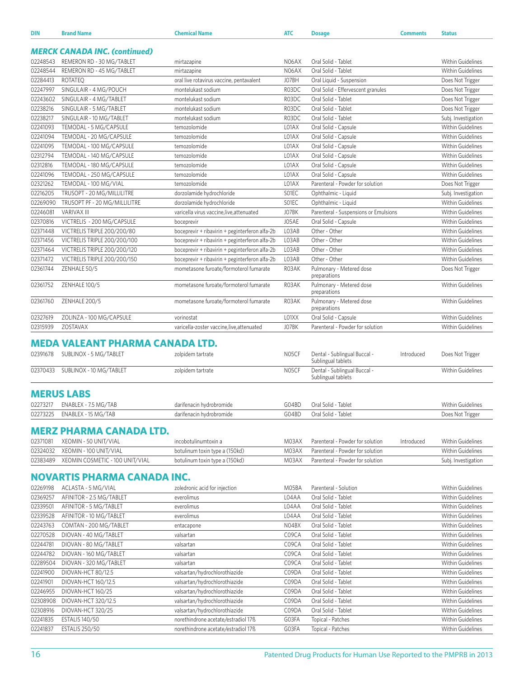| DIN                  | <b>Brand Name</b>                      | <b>Chemical Name</b>                           | <b>ATC</b> | <b>Dosage</b>                                            | <b>Comments</b> | <b>Status</b>            |
|----------------------|----------------------------------------|------------------------------------------------|------------|----------------------------------------------------------|-----------------|--------------------------|
|                      | <b>MERCK CANADA INC. (continued)</b>   |                                                |            |                                                          |                 |                          |
| 02248543             | REMERON RD - 30 MG/TABLET              | mirtazapine                                    | N06AX      | Oral Solid - Tablet                                      |                 | Within Guidelines        |
| 02248544             | REMERON RD - 45 MG/TABLET              | mirtazapine                                    | N06AX      | Oral Solid - Tablet                                      |                 | <b>Within Guidelines</b> |
| 02284413             | <b>ROTATEO</b>                         | oral live rotavirus vaccine, pentavalent       | J07BH      | Oral Liquid - Suspension                                 |                 | Does Not Trigger         |
| 02247997             | SINGULAIR - 4 MG/POUCH                 | montelukast sodium                             | R03DC      | Oral Solid - Effervescent granules                       |                 | Does Not Trigger         |
| 02243602             | SINGULAIR - 4 MG/TABLET                | montelukast sodium                             | R03DC      | Oral Solid - Tablet                                      |                 | Does Not Trigger         |
| 02238216             | SINGULAIR - 5 MG/TABLET                | montelukast sodium                             | R03DC      | Oral Solid - Tablet                                      |                 | Does Not Trigger         |
| 02238217             | SINGULAIR - 10 MG/TABLET               | montelukast sodium                             | R03DC      | Oral Solid - Tablet                                      |                 | Subj. Investigation      |
| 02241093             | TEMODAL - 5 MG/CAPSULE                 | temozolomide                                   | L01AX      | Oral Solid - Capsule                                     |                 | Within Guidelines        |
| 02241094             | TEMODAL - 20 MG/CAPSULE                | temozolomide                                   | L01AX      | Oral Solid - Capsule                                     |                 | <b>Within Guidelines</b> |
| 02241095             | TEMODAL - 100 MG/CAPSULE               | temozolomide                                   | L01AX      | Oral Solid - Capsule                                     |                 | Within Guidelines        |
| 02312794             | TEMODAL - 140 MG/CAPSULE               | temozolomide                                   | L01AX      | Oral Solid - Capsule                                     |                 | Within Guidelines        |
| 02312816             | TEMODAL - 180 MG/CAPSULE               | temozolomide                                   | L01AX      | Oral Solid - Capsule                                     |                 | Within Guidelines        |
| 02241096             | TEMODAL - 250 MG/CAPSULE               | temozolomide                                   | L01AX      | Oral Solid - Capsule                                     |                 | Within Guidelines        |
| 02321262             | TEMODAL - 100 MG/VIAL                  | temozolomide                                   | L01AX      | Parenteral - Powder for solution                         |                 | Does Not Trigger         |
| 02216205             | TRUSOPT - 20 MG/MILLILITRE             | dorzolamide hydrochloride                      | SO1EC      | Ophthalmic - Liquid                                      |                 | Subj. Investigation      |
| 02269090             | TRUSOPT PF - 20 MG/MILLILITRE          | dorzolamide hydrochloride                      | SO1EC      | Ophthalmic - Liquid                                      |                 | <b>Within Guidelines</b> |
| 02246081             | <b>VARIVAX III</b>                     | varicella virus vaccine, live, attenuated      | J07BK      | Parenteral - Suspensions or Emulsions                    |                 | Within Guidelines        |
| 02370816             | VICTRELIS - 200 MG/CAPSULE             | boceprevir                                     | J05AE      | Oral Solid - Capsule                                     |                 | <b>Within Guidelines</b> |
| 02371448             | VICTRELIS TRIPLE 200/200/80            | boceprevir + ribavirin + peginterferon alfa-2b | L03AB      | Other - Other                                            |                 | Within Guidelines        |
| 02371456             | VICTRELIS TRIPLE 200/200/100           | boceprevir + ribavirin + peginterferon alfa-2b | L03AB      | Other - Other                                            |                 | Within Guidelines        |
| 02371464             | VICTRELIS TRIPLE 200/200/120           | boceprevir + ribavirin + peginterferon alfa-2b | L03AB      | Other - Other                                            |                 | Within Guidelines        |
| 02371472             | VICTRELIS TRIPLE 200/200/150           | boceprevir + ribavirin + peginterferon alfa-2b | L03AB      | Other - Other                                            |                 | Within Guidelines        |
| 02361744             | ZENHALE 50/5                           | mometasone furoate/formoterol fumarate         | R03AK      | Pulmonary - Metered dose                                 |                 | Does Not Trigger         |
| 02361752             | ZENHALE 100/5                          | mometasone furoate/formoterol fumarate         | R03AK      | preparations<br>Pulmonary - Metered dose<br>preparations |                 | Within Guidelines        |
| 02361760             | ZENHALE 200/5                          | mometasone furoate/formoterol fumarate         | R03AK      | Pulmonary - Metered dose<br>preparations                 |                 | Within Guidelines        |
| 02327619             | ZOLINZA - 100 MG/CAPSULE               | vorinostat                                     | LO1XX      | Oral Solid - Capsule                                     |                 | Within Guidelines        |
| 02315939             | ZOSTAVAX                               | varicella-zoster vaccine, live, attenuated     | J07BK      | Parenteral - Powder for solution                         |                 | <b>Within Guidelines</b> |
|                      |                                        |                                                |            |                                                          |                 |                          |
|                      | <b>MEDA VALEANT PHARMA CANADA LTD.</b> |                                                |            |                                                          |                 |                          |
| 02391678             | SUBLINOX - 5 MG/TABLET                 | zolpidem tartrate                              | N05CF      | Dental - Sublingual Buccal -<br>Sublingual tablets       | Introduced      | Does Not Trigger         |
| 02370433             | SUBLINOX - 10 MG/TABLET                | zolpidem tartrate                              | N05CF      | Dental - Sublingual Buccal -<br>Sublingual tablets       |                 | Within Guidelines        |
|                      | <b>MERUS LABS</b>                      |                                                |            |                                                          |                 |                          |
|                      | 02273217 ENABLEX - 7.5 MG/TAB          | darifenacin hydrobromide                       | G04BD      | Oral Solid - Tablet                                      |                 | Within Guidelines        |
| 02273225             | ENABLEX - 15 MG/TAB                    | darifenacin hydrobromide                       | G04BD      | Oral Solid - Tablet                                      |                 | Does Not Trigger         |
|                      | <b>MERZ PHARMA CANADA LTD.</b>         |                                                |            |                                                          |                 |                          |
|                      |                                        |                                                |            |                                                          |                 |                          |
| 02371081             | XEOMIN - 50 UNIT/VIAL                  | incobotulinumtoxin a                           | M03AX      | Parenteral - Powder for solution                         | Introduced      | Within Guidelines        |
| 02324032<br>02383489 | XEOMIN - 100 UNIT/VIAL                 | botulinum toxin type a (150kd)                 | M03AX      | Parenteral - Powder for solution                         |                 | Within Guidelines        |
|                      | XEOMIN COSMETIC - 100 UNIT/VIAL        | botulinum toxin type a (150kd)                 | M03AX      | Parenteral - Powder for solution                         |                 | Subj. Investigation      |
|                      | <b>NOVARTIS PHARMA CANADA INC.</b>     |                                                |            |                                                          |                 |                          |
| 02269198             | ACLASTA - 5 MG/VIAL                    | zoledronic acid for injection                  | M05BA      | Parenteral - Solution                                    |                 | Within Guidelines        |
| 02369257             | AFINITOR - 2.5 MG/TABLET               | everolimus                                     | L04AA      | Oral Solid - Tablet                                      |                 | <b>Within Guidelines</b> |
| 02339501             | AFINITOR - 5 MG/TABLET                 | everolimus                                     | L04AA      | Oral Solid - Tablet                                      |                 | Within Guidelines        |
| 02339528             | AFINITOR - 10 MG/TABLET                | everolimus                                     | L04AA      | Oral Solid - Tablet                                      |                 | Within Guidelines        |
| 02243763             | COMTAN - 200 MG/TABLET                 | entacapone                                     | N04BX      | Oral Solid - Tablet                                      |                 | Within Guidelines        |
| 02270528             | DIOVAN - 40 MG/TABLET                  | valsartan                                      | C09CA      | Oral Solid - Tablet                                      |                 | Within Guidelines        |
| 02244781             | DIOVAN - 80 MG/TABLET                  | valsartan                                      | C09CA      | Oral Solid - Tablet                                      |                 | Within Guidelines        |
| 02244782             | DIOVAN - 160 MG/TABLET                 | valsartan                                      | C09CA      | Oral Solid - Tablet                                      |                 | Within Guidelines        |
| 02289504             | DIOVAN - 320 MG/TABLET                 | valsartan                                      | C09CA      | Oral Solid - Tablet                                      |                 | Within Guidelines        |
| 02241900             | DIOVAN-HCT 80/12.5                     | valsartan/hydrochlorothiazide                  | C09DA      | Oral Solid - Tablet                                      |                 | Within Guidelines        |

02241901 DIOVAN-HCT 160/12.5 valsartan/hydrochlorothiazide CO9DA Oral Solid - Tablet Within Guidelines 02246955 DIOVAN-HCT 160/25 valsartan/hydrochlorothiazide C09DA Oral Solid - Tablet Within Guidelines 02308908 DIOVAN-HCT 320/12.5 valsartan/hydrochlorothiazide C09DA Oral Solid - Tablet Within Guidelines 02308916 DIOVAN-HCT 320/25 valsartan/hydrochlorothiazide C09DA Oral Solid - Tablet Within Guidelines 02241835 ESTALIS 140/50 norethindrone acetate/estradiol 17ß G03FA Topical - Patches Within Guidelines 02241837 ESTALIS 250/50 norethindrone acetate/estradiol 17ß G03FA Topical - Patches Within Guidelines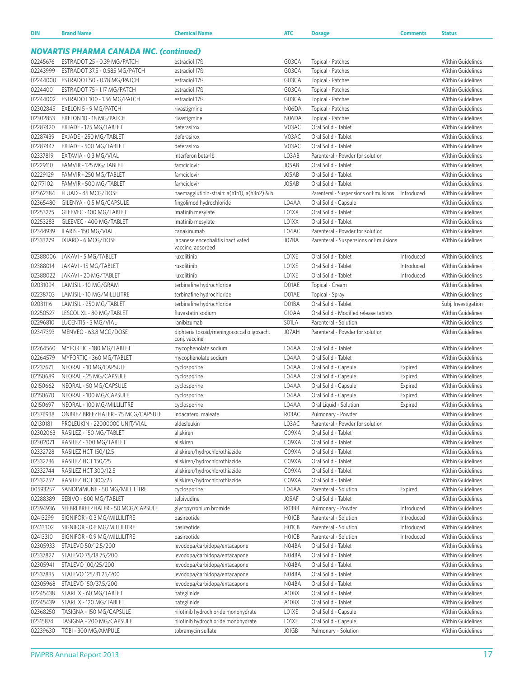| DIN                                            | <b>Brand Name</b>                  | <b>Chemical Name</b>                                       | <b>ATC</b>                     | <b>Dosage</b>                         | <b>Comments</b> | <b>Status</b>            |  |  |
|------------------------------------------------|------------------------------------|------------------------------------------------------------|--------------------------------|---------------------------------------|-----------------|--------------------------|--|--|
| <b>NOVARTIS PHARMA CANADA INC. (continued)</b> |                                    |                                                            |                                |                                       |                 |                          |  |  |
| 02245676                                       | ESTRADOT 25 - 0.39 MG/PATCH        | estradiol 17 <sup>B</sup>                                  | G03CA                          | Topical - Patches                     |                 | <b>Within Guidelines</b> |  |  |
| 02243999                                       | ESTRADOT 37.5 - 0.585 MG/PATCH     | estradiol 17 <sup>B</sup>                                  | G03CA                          | Topical - Patches                     |                 | <b>Within Guidelines</b> |  |  |
| 02244000                                       | ESTRADOT 50 - 0.78 MG/PATCH        | estradiol 17 <sup>B</sup>                                  | G03CA                          | Topical - Patches                     |                 | Within Guidelines        |  |  |
| 02244001                                       | ESTRADOT 75 - 1.17 MG/PATCH        | estradiol 17 <sup>B</sup>                                  | G03CA                          | Topical - Patches                     |                 | <b>Within Guidelines</b> |  |  |
| 02244002                                       | ESTRADOT 100 - 1.56 MG/PATCH       | estradiol 17 <sup>B</sup>                                  | G03CA                          | Topical - Patches                     |                 | Within Guidelines        |  |  |
| 02302845                                       | EXELON 5 - 9 MG/PATCH              | rivastigmine                                               | N06DA                          | Topical - Patches                     |                 | Within Guidelines        |  |  |
| 02302853                                       | EXELON 10 - 18 MG/PATCH            | rivastigmine                                               | N06DA                          | Topical - Patches                     |                 | <b>Within Guidelines</b> |  |  |
| 02287420                                       | EXJADE - 125 MG/TABLET             | deferasirox                                                | V03AC                          | Oral Solid - Tablet                   |                 | Within Guidelines        |  |  |
| 02287439                                       | EXJADE - 250 MG/TABLET             | deferasirox                                                | V03AC                          | Oral Solid - Tablet                   |                 | Within Guidelines        |  |  |
| 02287447                                       | EXJADE - 500 MG/TABLET             | deferasirox                                                | V03AC                          | Oral Solid - Tablet                   |                 | Within Guidelines        |  |  |
| 02337819                                       | EXTAVIA - 0.3 MG/VIAL              | interferon beta-1b                                         | L03AB                          | Parenteral - Powder for solution      |                 | Within Guidelines        |  |  |
| 02229110                                       | FAMVIR - 125 MG/TABLET             | famciclovir                                                | J05AB                          | Oral Solid - Tablet                   |                 | Within Guidelines        |  |  |
| 02229129                                       | FAMVIR - 250 MG/TABLET             | famciclovir                                                | J05AB                          | Oral Solid - Tablet                   |                 | <b>Within Guidelines</b> |  |  |
| 02177102                                       | FAMVIR - 500 MG/TABLET             | famciclovir                                                | J05AB                          | Oral Solid - Tablet                   |                 | <b>Within Guidelines</b> |  |  |
| 02362384                                       | FLUAD - 45 MCG/DOSE                | haemagglutinin-strain: a(h1n1), a(h3n2) & b                |                                | Parenteral - Suspensions or Emulsions | Introduced      | Within Guidelines        |  |  |
| 02365480                                       | GILENYA - 0.5 MG/CAPSULE           | fingolimod hydrochloride                                   | L04AA                          | Oral Solid - Capsule                  |                 | <b>Within Guidelines</b> |  |  |
| 02253275                                       | GLEEVEC - 100 MG/TABLET            | imatinib mesylate                                          | L01XX                          | Oral Solid - Tablet                   |                 | Within Guidelines        |  |  |
| 02253283                                       | GLEEVEC - 400 MG/TABLET            | imatinib mesylate                                          | L01XX                          | Oral Solid - Tablet                   |                 | Within Guidelines        |  |  |
| 02344939                                       | ILARIS - 150 MG/VIAL               | canakinumab                                                | L04AC                          | Parenteral - Powder for solution      |                 | <b>Within Guidelines</b> |  |  |
| 02333279                                       | IXIARO - 6 MCG/DOSE                | japanese encephalitis inactivated                          | J07BA                          | Parenteral - Suspensions or Emulsions |                 | <b>Within Guidelines</b> |  |  |
|                                                |                                    | vaccine, adsorbed                                          |                                |                                       |                 |                          |  |  |
| 02388006                                       | JAKAVI - 5 MG/TABLET               | ruxolitinib                                                | LO1XE                          | Oral Solid - Tablet                   | Introduced      | Within Guidelines        |  |  |
| 02388014                                       | JAKAVI - 15 MG/TABLET              | ruxolitinib                                                | LO1XE                          | Oral Solid - Tablet                   | Introduced      | Within Guidelines        |  |  |
| 02388022                                       | JAKAVI - 20 MG/TABLET              | ruxolitinib                                                | LO1XE                          | Oral Solid - Tablet                   | Introduced      | Within Guidelines        |  |  |
| 02031094                                       | LAMISIL - 10 MG/GRAM               | terbinafine hydrochloride                                  | D01AE                          | Topical - Cream                       |                 | Within Guidelines        |  |  |
| 02238703                                       | LAMISIL - 10 MG/MILLILITRE         | terbinafine hydrochloride                                  | D01AE                          | Topical - Spray                       |                 | Within Guidelines        |  |  |
| 02031116                                       | LAMISIL - 250 MG/TABLET            | terbinafine hydrochloride                                  | D01BA                          | Oral Solid - Tablet                   |                 | Subj. Investigation      |  |  |
| 02250527                                       | LESCOL XL - 80 MG/TABLET           | fluvastatin sodium                                         | C <sub>10</sub> AA             | Oral Solid - Modified release tablets |                 | <b>Within Guidelines</b> |  |  |
| 02296810                                       | LUCENTIS - 3 MG/VIAL               | ranibizumab                                                | SO1LA                          | Parenteral - Solution                 |                 | Within Guidelines        |  |  |
| 02347393                                       | MENVEO - 63.8 MCG/DOSE             | diphteria toxoid/meningococcal oligosach.<br>conj. vaccine | J07AH                          | Parenteral - Powder for solution      |                 | Within Guidelines        |  |  |
| 02264560                                       | MYFORTIC - 180 MG/TABLET           | mycophenolate sodium                                       | L04AA                          | Oral Solid - Tablet                   |                 | <b>Within Guidelines</b> |  |  |
| 02264579                                       | MYFORTIC - 360 MG/TABLET           | mycophenolate sodium                                       | L04AA                          | Oral Solid - Tablet                   |                 | <b>Within Guidelines</b> |  |  |
| 02237671                                       | NEORAL - 10 MG/CAPSULE             | cyclosporine                                               | L04AA                          | Oral Solid - Capsule                  | Expired         | Within Guidelines        |  |  |
| 02150689                                       | NEORAL - 25 MG/CAPSULE             | cyclosporine                                               | L04AA                          | Oral Solid - Capsule                  | Expired         | Within Guidelines        |  |  |
| 02150662                                       | NEORAL - 50 MG/CAPSULE             | cyclosporine                                               | L04AA                          | Oral Solid - Capsule                  | Expired         | <b>Within Guidelines</b> |  |  |
| 02150670                                       | NEORAL - 100 MG/CAPSULE            | cyclosporine                                               | L04AA                          | Oral Solid - Capsule                  | Expired         | Within Guidelines        |  |  |
| 02150697                                       | NEORAL - 100 MG/MILLILITRE         | cyclosporine                                               | L04AA                          | Oral Liquid - Solution                | Expired         | Within Guidelines        |  |  |
| 02376938                                       | ONBREZ BREEZHALER - 75 MCG/CAPSULE | indacaterol maleate                                        | R03AC                          | Pulmonary - Powder                    |                 | Within Guidelines        |  |  |
| 02130181                                       | PROLEUKIN - 22000000 UNIT/VIAL     | aldesleukin                                                | L03AC                          | Parenteral - Powder for solution      |                 | Within Guidelines        |  |  |
| 02302063                                       | RASILEZ - 150 MG/TABLET            | aliskiren                                                  | C09XA                          | Oral Solid - Tablet                   |                 | Within Guidelines        |  |  |
| 02302071                                       | RASILEZ - 300 MG/TABLET            | aliskiren                                                  | C09XA                          | Oral Solid - Tablet                   |                 | Within Guidelines        |  |  |
| 02332728                                       | RASILEZ HCT 150/12.5               | aliskiren/hydrochlorothiazide                              | C09XA                          | Oral Solid - Tablet                   |                 | Within Guidelines        |  |  |
| 02332736                                       | RASILEZ HCT 150/25                 | aliskiren/hydrochlorothiazide                              | C09XA                          | Oral Solid - Tablet                   |                 | Within Guidelines        |  |  |
| 02332744                                       | RASILEZ HCT 300/12.5               | aliskiren/hydrochlorothiazide                              | C09XA                          | Oral Solid - Tablet                   |                 | Within Guidelines        |  |  |
| 02332752                                       | RASILEZ HCT 300/25                 | aliskiren/hydrochlorothiazide                              | C09XA                          | Oral Solid - Tablet                   |                 | Within Guidelines        |  |  |
| 00593257                                       | SANDIMMUNE - 50 MG/MILLILITRE      | cyclosporine                                               | L04AA                          | Parenteral - Solution                 | Expired         | Within Guidelines        |  |  |
| 02288389                                       | SEBIVO - 600 MG/TABLET             | telbivudine                                                | J05AF                          | Oral Solid - Tablet                   |                 | Within Guidelines        |  |  |
| 02394936                                       | SEEBRI BREEZHALER - 50 MCG/CAPSULE | glycopyrronium bromide                                     | RO3BB                          | Pulmonary - Powder                    | Introduced      | Within Guidelines        |  |  |
| 02413299                                       | SIGNIFOR - 0.3 MG/MILLILITRE       | pasireotide                                                | H01CB                          | Parenteral - Solution                 | Introduced      | Within Guidelines        |  |  |
| 02413302                                       | SIGNIFOR - 0.6 MG/MILLILITRE       | pasireotide                                                | H <sub>0</sub> 1C <sub>B</sub> | Parenteral - Solution                 | Introduced      | Within Guidelines        |  |  |
| 02413310                                       | SIGNIFOR - 0.9 MG/MILLILITRE       | pasireotide                                                | H01CB                          | Parenteral - Solution                 | Introduced      | Within Guidelines        |  |  |
| 02305933                                       | STALEVO 50/12.5/200                | levodopa/carbidopa/entacapone                              | N04BA                          | Oral Solid - Tablet                   |                 | Within Guidelines        |  |  |
| 02337827                                       | STALEVO 75/18.75/200               | levodopa/carbidopa/entacapone                              | N04BA                          | Oral Solid - Tablet                   |                 | Within Guidelines        |  |  |
| 02305941                                       | STALEVO 100/25/200                 | levodopa/carbidopa/entacapone                              | N04BA                          | Oral Solid - Tablet                   |                 | Within Guidelines        |  |  |
| 02337835                                       | STALEVO 125/31.25/200              | levodopa/carbidopa/entacapone                              | N04BA                          | Oral Solid - Tablet                   |                 | Within Guidelines        |  |  |
| 02305968                                       | STALEVO 150/37.5/200               | levodopa/carbidopa/entacapone                              | N04BA                          | Oral Solid - Tablet                   |                 | Within Guidelines        |  |  |
| 02245438                                       | STARLIX - 60 MG/TABLET             | nateglinide                                                | A10BX                          | Oral Solid - Tablet                   |                 | Within Guidelines        |  |  |
| 02245439                                       | STARLIX - 120 MG/TABLET            | nateglinide                                                | A10BX                          | Oral Solid - Tablet                   |                 | Within Guidelines        |  |  |
| 02368250                                       | TASIGNA - 150 MG/CAPSULE           | nilotinib hydrochloride monohydrate                        | LO1XE                          | Oral Solid - Capsule                  |                 | Within Guidelines        |  |  |
| 02315874                                       | TASIGNA - 200 MG/CAPSULE           | nilotinib hydrochloride monohydrate                        | LO1XE                          | Oral Solid - Capsule                  |                 | Within Guidelines        |  |  |
| 02239630                                       | TOBI - 300 MG/AMPULE               | tobramycin sulfate                                         | J01GB                          | Pulmonary - Solution                  |                 | Within Guidelines        |  |  |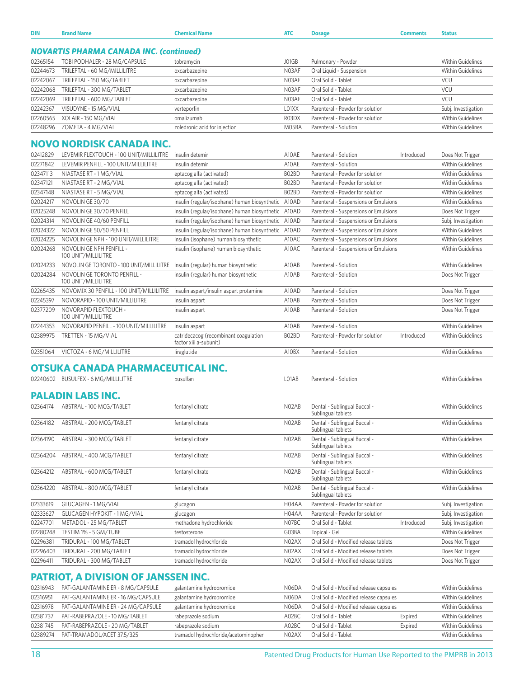| <b>DIN</b>           | <b>Brand Name</b>                                   | <b>Chemical Name</b>                                            | <b>ATC</b>         | <b>Dosage</b>                                      | <b>Comments</b> | <b>Status</b>                                   |
|----------------------|-----------------------------------------------------|-----------------------------------------------------------------|--------------------|----------------------------------------------------|-----------------|-------------------------------------------------|
|                      | <b>NOVARTIS PHARMA CANADA INC. (continued)</b>      |                                                                 |                    |                                                    |                 |                                                 |
|                      |                                                     |                                                                 |                    |                                                    |                 |                                                 |
| 02365154             | TOBI PODHALER - 28 MG/CAPSULE                       | tobramycin                                                      | J01GB              | Pulmonary - Powder                                 |                 | <b>Within Guidelines</b>                        |
| 02244673<br>02242067 | TRILEPTAL - 60 MG/MILLILITRE                        | oxcarbazepine                                                   | N03AF<br>N03AF     | Oral Liquid - Suspension<br>Oral Solid - Tablet    |                 | <b>Within Guidelines</b><br><b>VCU</b>          |
|                      | TRILEPTAL - 150 MG/TABLET                           | oxcarbazepine                                                   |                    |                                                    |                 | VCU                                             |
| 02242068<br>02242069 | TRILEPTAL - 300 MG/TABLET                           | oxcarbazepine                                                   | N03AF<br>N03AF     | Oral Solid - Tablet<br>Oral Solid - Tablet         |                 | VCU                                             |
| 02242367             | TRILEPTAL - 600 MG/TABLET<br>VISUDYNE - 15 MG/VIAL  | oxcarbazepine                                                   | L01XX              | Parenteral - Powder for solution                   |                 |                                                 |
| 02260565             | XOLAIR - 150 MG/VIAL                                | verteporfin<br>omalizumab                                       | R03DX              | Parenteral - Powder for solution                   |                 | Subj. Investigation<br><b>Within Guidelines</b> |
| 02248296             | ZOMETA - 4 MG/VIAL                                  | zoledronic acid for injection                                   | M05BA              | Parenteral - Solution                              |                 | <b>Within Guidelines</b>                        |
|                      |                                                     |                                                                 |                    |                                                    |                 |                                                 |
|                      | <b>NOVO NORDISK CANADA INC.</b>                     |                                                                 |                    |                                                    |                 |                                                 |
| 02412829             | LEVEMIR FLEXTOUCH - 100 UNIT/MILLILITRE             | insulin detemir                                                 | A10AE              | Parenteral - Solution                              | Introduced      | Does Not Trigger                                |
| 02271842             | LEVEMIR PENFILL - 100 UNIT/MILLILITRE               | insulin detemir                                                 | A10AE              | Parenteral - Solution                              |                 | <b>Within Guidelines</b>                        |
| 02347113             | NIASTASE RT - 1 MG/VIAL                             | eptacog alfa (activated)                                        | B02BD              | Parenteral - Powder for solution                   |                 | Within Guidelines                               |
| 02347121             | NIASTASE RT - 2 MG/VIAL                             | eptacog alfa (activated)                                        | B02BD              | Parenteral - Powder for solution                   |                 | Within Guidelines                               |
| 02347148             | NIASTASE RT - 5 MG/VIAL                             | eptacog alfa (activated)                                        | B02BD              | Parenteral - Powder for solution                   |                 | <b>Within Guidelines</b>                        |
| 02024217             | NOVOLIN GE 30/70                                    | insulin (regular/isophane) human biosynthetic A10AD             |                    | Parenteral - Suspensions or Emulsions              |                 | <b>Within Guidelines</b>                        |
| 02025248             | NOVOLIN GE 30/70 PENFILL                            | insulin (regular/isophane) human biosynthetic A10AD             |                    | Parenteral - Suspensions or Emulsions              |                 | Does Not Trigger                                |
| 02024314             | NOVOLIN GE 40/60 PENFILL                            | insulin (regular/isophane) human biosynthetic A10AD             |                    | Parenteral - Suspensions or Emulsions              |                 | Subj. Investigation                             |
| 02024322             | NOVOLIN GE 50/50 PENFILL                            | insulin (regular/isophane) human biosynthetic A10AD             |                    | Parenteral - Suspensions or Emulsions              |                 | <b>Within Guidelines</b>                        |
| 02024225             | NOVOLIN GE NPH - 100 UNIT/MILLILITRE                | insulin (isophane) human biosynthetic                           | A10AC              | Parenteral - Suspensions or Emulsions              |                 | <b>Within Guidelines</b>                        |
| 02024268             | NOVOLIN GE NPH PENFILL -<br>100 UNIT/MILLILITRE     | insulin (isophane) human biosynthetic                           | A10AC              | Parenteral - Suspensions or Emulsions              |                 | <b>Within Guidelines</b>                        |
| 02024233             | NOVOLIN GE TORONTO - 100 UNIT/MILLILITRE            | insulin (regular) human biosynthetic                            | A10AB              | Parenteral - Solution                              |                 | Within Guidelines                               |
| 02024284             | NOVOLIN GE TORONTO PENFILL -<br>100 UNIT/MILLILITRE | insulin (regular) human biosynthetic                            | A10AB              | Parenteral - Solution                              |                 | Does Not Trigger                                |
| 02265435             | NOVOMIX 30 PENFILL - 100 UNIT/MILLILITRE            | insulin aspart/insulin aspart protamine                         | A10AD              | Parenteral - Solution                              |                 | Does Not Trigger                                |
| 02245397             | NOVORAPID - 100 UNIT/MILLILITRE                     | insulin aspart                                                  | A10AB              | Parenteral - Solution                              |                 | Does Not Trigger                                |
| 02377209             | NOVORAPID FLEXTOUCH -<br>100 UNIT/MILLILITRE        | insulin aspart                                                  | A10AB              | Parenteral - Solution                              |                 | Does Not Trigger                                |
| 02244353             | NOVORAPID PENFILL - 100 UNIT/MILLILITRE             | insulin aspart                                                  | A10AB              | Parenteral - Solution                              |                 | <b>Within Guidelines</b>                        |
| 02389975             | TRETTEN - 15 MG/VIAL                                | catridecacog (recombinant coagulation<br>factor xiii a-subunit) | B02BD              | Parenteral - Powder for solution                   | Introduced      | <b>Within Guidelines</b>                        |
| 02351064             | VICTOZA - 6 MG/MILLILITRE                           | liraglutide                                                     | A10BX              | Parenteral - Solution                              |                 | Within Guidelines                               |
|                      |                                                     |                                                                 |                    |                                                    |                 |                                                 |
|                      | OTSUKA CANADA PHARMACEUTICAL INC.                   |                                                                 |                    |                                                    |                 |                                                 |
|                      | 02240602 BUSULFEX - 6 MG/MILLILITRE                 | busulfan                                                        | L01AB              | Parenteral - Solution                              |                 | <b>Within Guidelines</b>                        |
|                      | <b>PALADIN LABS INC.</b>                            |                                                                 |                    |                                                    |                 |                                                 |
|                      |                                                     |                                                                 |                    |                                                    |                 |                                                 |
|                      | 02364174 ABSTRAL - 100 MCG/TABLET                   | fentanyl citrate                                                | NO <sub>2</sub> AB | Dental - Sublingual Buccal -<br>Sublingual tablets |                 | <b>Within Guidelines</b>                        |
| 02364182             | ABSTRAL - 200 MCG/TABLET                            | fentanyl citrate                                                | NO <sub>2</sub> AB | Dental - Sublingual Buccal -<br>Sublingual tablets |                 | <b>Within Guidelines</b>                        |
| 02364190             | ABSTRAL - 300 MCG/TABLET                            | fentanyl citrate                                                | N02AB              | Dental - Sublingual Buccal -<br>Sublingual tablets |                 | Within Guidelines                               |
| 02364204             | ABSTRAL - 400 MCG/TABLET                            | fentanyl citrate                                                | N02AB              | Dental - Sublingual Buccal -<br>Sublingual tablets |                 | <b>Within Guidelines</b>                        |
| 02364212             | ABSTRAL - 600 MCG/TABLET                            | fentanyl citrate                                                | N02AB              | Dental - Sublingual Buccal -<br>Sublingual tablets |                 | Within Guidelines                               |
| 02364220             | ABSTRAL - 800 MCG/TABLET                            | fentanyl citrate                                                | N02AB              | Dental - Sublingual Buccal -<br>Sublingual tablets |                 | Within Guidelines                               |
| 02333619             | GLUCAGEN - 1 MG/VIAL                                | glucagon                                                        | H04AA              | Parenteral - Powder for solution                   |                 | Subj. Investigation                             |
| 02333627             | GLUCAGEN HYPOKIT - 1 MG/VIAL                        | glucagon                                                        | H04AA              | Parenteral - Powder for solution                   |                 | Subj. Investigation                             |
| 02247701             | METADOL - 25 MG/TABLET                              | methadone hydrochloride                                         | N07BC              | Oral Solid - Tablet                                | Introduced      | Subj. Investigation                             |
| 02280248             | TESTIM 1% - 5 GM/TUBE                               | testosterone                                                    | G03BA              | Topical - Gel                                      |                 | <b>Within Guidelines</b>                        |
| 02296381             | TRIDURAL - 100 MG/TABLET                            | tramadol hydrochloride                                          | N02AX              | Oral Solid - Modified release tablets              |                 | Does Not Trigger                                |
| 02296403             | TRIDURAL - 200 MG/TABLET                            | tramadol hydrochloride                                          | N02AX              | Oral Solid - Modified release tablets              |                 | Does Not Trigger                                |
| 02296411             | TRIDURAL - 300 MG/TABLET                            | tramadol hydrochloride                                          | N02AX              | Oral Solid - Modified release tablets              |                 | Does Not Trigger                                |
|                      |                                                     |                                                                 |                    |                                                    |                 |                                                 |
|                      | <b>PATRIOT, A DIVISION OF JANSSEN INC.</b>          |                                                                 |                    |                                                    |                 |                                                 |
| 02316943             | PAT-GALANTAMINE ER - 8 MG/CAPSULE                   | galantamine hydrobromide                                        | N06DA              | Oral Solid - Modified release capsules             |                 | <b>Within Guidelines</b>                        |
| 02316951             | PAT-GALANTAMINE ER - 16 MG/CAPSULE                  | galantamine hydrobromide                                        | N06DA              | Oral Solid - Modified release capsules             |                 | <b>Within Guidelines</b>                        |
| 02316978             | PAT-GALANTAMINE ER - 24 MG/CAPSULE                  | galantamine hydrobromide                                        | N06DA              | Oral Solid - Modified release capsules             |                 | <b>Within Guidelines</b>                        |
| 02381737             | PAT-RABEPRAZOLE - 10 MG/TABLET                      | rabeprazole sodium                                              | A02BC              | Oral Solid - Tablet                                | Expired         | Within Guidelines                               |

02381745 PAT-RABEPRAZOLE - 20 MG/TABLET rabeprazole sodium A02BC Oral Solid - Tablet Expired Within Guidelines 02389274 PAT-TRAMADOL/ACET 37.5/325 tramadol hydrochloride/acetominophen N02AX Oral Solid - Tablet Within Guidelines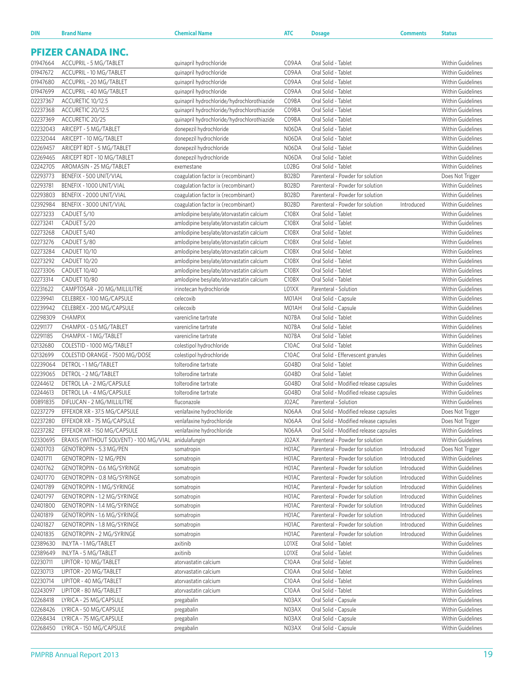| <b>DIN</b>           | <b>Brand Name</b>                                | <b>Chemical Name</b>                                                                 | <b>ATC</b>                              | Dosage                                       | <b>Comments</b> | <b>Status</b>                                 |
|----------------------|--------------------------------------------------|--------------------------------------------------------------------------------------|-----------------------------------------|----------------------------------------------|-----------------|-----------------------------------------------|
|                      |                                                  |                                                                                      |                                         |                                              |                 |                                               |
|                      | <b>PFIZER CANADA INC.</b>                        |                                                                                      |                                         |                                              |                 |                                               |
| 01947664             | ACCUPRIL - 5 MG/TABLET                           | quinapril hydrochloride                                                              | C09AA                                   | Oral Solid - Tablet                          |                 | <b>Within Guidelines</b>                      |
| 01947672             | ACCUPRIL - 10 MG/TABLET                          | quinapril hydrochloride                                                              | C09AA                                   | Oral Solid - Tablet                          |                 | Within Guidelines                             |
| 01947680             | ACCUPRIL - 20 MG/TABLET                          | quinapril hydrochloride                                                              | C09AA                                   | Oral Solid - Tablet                          |                 | Within Guidelines                             |
| 01947699             | ACCUPRIL - 40 MG/TABLET                          | quinapril hydrochloride                                                              | C09AA                                   | Oral Solid - Tablet                          |                 | Within Guidelines                             |
| 02237367             | ACCURETIC 10/12.5                                | quinapril hydrochloride/hydrochlorothiazide                                          | C09BA                                   | Oral Solid - Tablet                          |                 | <b>Within Guidelines</b>                      |
| 02237368             | ACCURETIC 20/12.5                                | quinapril hydrochloride/hydrochlorothiazide                                          | C09BA                                   | Oral Solid - Tablet                          |                 | <b>Within Guidelines</b>                      |
| 02237369             | ACCURETIC 20/25                                  | quinapril hydrochloride/hydrochlorothiazide                                          | C09BA                                   | Oral Solid - Tablet                          |                 | <b>Within Guidelines</b>                      |
| 02232043             | ARICEPT - 5 MG/TABLET                            | donepezil hydrochloride                                                              | N06DA                                   | Oral Solid - Tablet                          |                 | <b>Within Guidelines</b>                      |
| 02232044             | ARICEPT - 10 MG/TABLET                           | donepezil hydrochloride                                                              | N06DA                                   | Oral Solid - Tablet                          |                 | <b>Within Guidelines</b>                      |
| 02269457             | ARICEPT RDT - 5 MG/TABLET                        | donepezil hydrochloride                                                              | N06DA                                   | Oral Solid - Tablet                          |                 | <b>Within Guidelines</b>                      |
| 02269465             | ARICEPT RDT - 10 MG/TABLET                       | donepezil hydrochloride                                                              | N06DA                                   | Oral Solid - Tablet                          |                 | <b>Within Guidelines</b>                      |
| 02242705             | AROMASIN - 25 MG/TABLET                          | exemestane                                                                           | L02BG                                   | Oral Solid - Tablet                          |                 | Within Guidelines                             |
| 02293773             | BENEFIX - 500 UNIT/VIAL                          | coagulation factor ix (recombinant)                                                  | B02BD                                   | Parenteral - Powder for solution             |                 | Does Not Trigger                              |
| 02293781             | BENEFIX - 1000 UNIT/VIAL                         | coagulation factor ix (recombinant)                                                  | B02BD                                   | Parenteral - Powder for solution             |                 | <b>Within Guidelines</b>                      |
| 02293803             | BENEFIX - 2000 UNIT/VIAL                         | coagulation factor ix (recombinant)                                                  | B02BD                                   | Parenteral - Powder for solution             |                 | <b>Within Guidelines</b>                      |
| 02392984             | BENEFIX - 3000 UNIT/VIAL                         | coagulation factor ix (recombinant)                                                  | B02BD                                   | Parenteral - Powder for solution             | Introduced      | Within Guidelines                             |
| 02273233             | CADUET 5/10                                      | amlodipine besylate/atorvastatin calcium                                             | C <sub>10</sub> B <sub>X</sub>          | Oral Solid - Tablet                          |                 | <b>Within Guidelines</b>                      |
| 02273241             | CADUET 5/20                                      | amlodipine besylate/atorvastatin calcium                                             | C10BX                                   | Oral Solid - Tablet                          |                 | Within Guidelines                             |
| 02273268             | CADUET 5/40                                      | amlodipine besylate/atorvastatin calcium                                             | C10BX                                   | Oral Solid - Tablet<br>Oral Solid - Tablet   |                 | Within Guidelines<br><b>Within Guidelines</b> |
| 02273276<br>02273284 | CADUET 5/80<br>CADUET 10/10                      | amlodipine besylate/atorvastatin calcium<br>amlodipine besylate/atorvastatin calcium | C <sub>10</sub> B <sub>X</sub><br>C10BX | Oral Solid - Tablet                          |                 | <b>Within Guidelines</b>                      |
| 02273292             | CADUET 10/20                                     | amlodipine besylate/atorvastatin calcium                                             | C10BX                                   | Oral Solid - Tablet                          |                 | <b>Within Guidelines</b>                      |
| 02273306             | CADUET 10/40                                     | amlodipine besylate/atorvastatin calcium                                             | C10BX                                   | Oral Solid - Tablet                          |                 | <b>Within Guidelines</b>                      |
| 02273314             | CADUET 10/80                                     | amlodipine besylate/atorvastatin calcium                                             | C10BX                                   | Oral Solid - Tablet                          |                 | Within Guidelines                             |
| 02231622             | CAMPTOSAR - 20 MG/MILLILITRE                     | irinotecan hydrochloride                                                             | L01XX                                   | Parenteral - Solution                        |                 | Within Guidelines                             |
| 02239941             | CELEBREX - 100 MG/CAPSULE                        | celecoxib                                                                            | M01AH                                   | Oral Solid - Capsule                         |                 | <b>Within Guidelines</b>                      |
| 02239942             | CELEBREX - 200 MG/CAPSULE                        | celecoxib                                                                            | M01AH                                   | Oral Solid - Capsule                         |                 | <b>Within Guidelines</b>                      |
| 02298309             | <b>CHAMPIX</b>                                   | varenicline tartrate                                                                 | N07BA                                   | Oral Solid - Tablet                          |                 | Within Guidelines                             |
| 02291177             | CHAMPIX - 0.5 MG/TABLET                          | varenicline tartrate                                                                 | N07BA                                   | Oral Solid - Tablet                          |                 | <b>Within Guidelines</b>                      |
| 02291185             | CHAMPIX - 1 MG/TABLET                            | varenicline tartrate                                                                 | N07BA                                   | Oral Solid - Tablet                          |                 | Within Guidelines                             |
| 02132680             | COLESTID - 1000 MG/TABLET                        | colestipol hydrochloride                                                             | C <sub>10</sub> AC                      | Oral Solid - Tablet                          |                 | <b>Within Guidelines</b>                      |
| 02132699             | COLESTID ORANGE - 7500 MG/DOSE                   | colestipol hydrochloride                                                             | C <sub>10</sub> AC                      | Oral Solid - Effervescent granules           |                 | <b>Within Guidelines</b>                      |
| 02239064             | DETROL - 1 MG/TABLET                             | tolterodine tartrate                                                                 | G04BD                                   | Oral Solid - Tablet                          |                 | <b>Within Guidelines</b>                      |
| 02239065             | DETROL - 2 MG/TABLET                             | tolterodine tartrate                                                                 | G04BD                                   | Oral Solid - Tablet                          |                 | <b>Within Guidelines</b>                      |
| 02244612             | DETROL LA - 2 MG/CAPSULE                         | tolterodine tartrate                                                                 | G04BD                                   | Oral Solid - Modified release capsules       |                 | <b>Within Guidelines</b>                      |
| 02244613             | DETROL LA - 4 MG/CAPSULE                         | tolterodine tartrate                                                                 | G04BD                                   | Oral Solid - Modified release capsules       |                 | <b>Within Guidelines</b>                      |
| 00891835             | DIFLUCAN - 2 MG/MILLILITRE                       | fluconazole                                                                          | J02AC                                   | Parenteral - Solution                        |                 | Within Guidelines                             |
| 02237279             | EFFEXOR XR - 37.5 MG/CAPSULE                     | venlafaxine hydrochloride                                                            | N06AA                                   | Oral Solid - Modified release capsules       |                 | Does Not Trigger                              |
| 02237280             | EFFEXOR XR - 75 MG/CAPSULE                       | venlafaxine hydrochloride                                                            | N06AA                                   | Oral Solid - Modified release capsules       |                 | Does Not Trigger                              |
| 02237282             | EFFEXOR XR - 150 MG/CAPSULE                      | venlafaxine hydrochloride                                                            | N06AA                                   | Oral Solid - Modified release capsules       |                 | Within Guidelines                             |
| 02330695             | ERAXIS (WITHOUT SOLVENT) - 100 MG/VIAL           | anidulafungin                                                                        | J02AX                                   | Parenteral - Powder for solution             |                 | Within Guidelines                             |
| 02401703             | GENOTROPIN - 5.3 MG/PEN                          | somatropin                                                                           | H01AC                                   | Parenteral - Powder for solution             | Introduced      | Does Not Trigger                              |
| 02401711             | <b>GENOTROPIN - 12 MG/PEN</b>                    | somatropin                                                                           | H01AC                                   | Parenteral - Powder for solution             | Introduced      | Within Guidelines                             |
| 02401762             | GENOTROPIN - 0.6 MG/SYRINGE                      | somatropin                                                                           | H01AC                                   | Parenteral - Powder for solution             | Introduced      | Within Guidelines                             |
| 02401770             | GENOTROPIN - 0.8 MG/SYRINGE                      | somatropin                                                                           | H01AC                                   | Parenteral - Powder for solution             | Introduced      | Within Guidelines                             |
| 02401789             | GENOTROPIN - 1 MG/SYRINGE                        | somatropin                                                                           | H01AC                                   | Parenteral - Powder for solution             | Introduced      | Within Guidelines                             |
| 02401797             | GENOTROPIN - 1.2 MG/SYRINGE                      | somatropin                                                                           | H01AC                                   | Parenteral - Powder for solution             | Introduced      | Within Guidelines                             |
| 02401800             | GENOTROPIN - 1.4 MG/SYRINGE                      | somatropin                                                                           | H01AC                                   | Parenteral - Powder for solution             | Introduced      | Within Guidelines                             |
| 02401819             | GENOTROPIN - 1.6 MG/SYRINGE                      | somatropin                                                                           | H01AC                                   | Parenteral - Powder for solution             | Introduced      | Within Guidelines                             |
| 02401827             | GENOTROPIN - 1.8 MG/SYRINGE                      | somatropin                                                                           | H01AC                                   | Parenteral - Powder for solution             | Introduced      | Within Guidelines                             |
| 02401835             | GENOTROPIN - 2 MG/SYRINGE                        | somatropin                                                                           | H01AC                                   | Parenteral - Powder for solution             | Introduced      | Within Guidelines                             |
| 02389630             | INLYTA - 1 MG/TABLET                             | axitinib                                                                             | LO1XE                                   | Oral Solid - Tablet                          |                 | Within Guidelines                             |
| 02389649             | INLYTA - 5 MG/TABLET                             | axitinib                                                                             | LO1XE                                   | Oral Solid - Tablet                          |                 | Within Guidelines                             |
| 02230711             | LIPITOR - 10 MG/TABLET                           | atorvastatin calcium                                                                 | C <sub>10</sub> AA                      | Oral Solid - Tablet                          |                 | Within Guidelines                             |
| 02230713             | LIPITOR - 20 MG/TABLET                           | atorvastatin calcium                                                                 | C <sub>10</sub> AA                      | Oral Solid - Tablet                          |                 | Within Guidelines                             |
| 02230714             | LIPITOR - 40 MG/TABLET                           | atorvastatin calcium                                                                 | C <sub>10</sub> AA                      | Oral Solid - Tablet                          |                 | Within Guidelines                             |
| 02243097             | LIPITOR - 80 MG/TABLET                           | atorvastatin calcium                                                                 | C <sub>10</sub> AA                      | Oral Solid - Tablet                          |                 | Within Guidelines                             |
| 02268418<br>02268426 | LYRICA - 25 MG/CAPSULE<br>LYRICA - 50 MG/CAPSULE | pregabalin                                                                           | N03AX<br>N03AX                          | Oral Solid - Capsule                         |                 | Within Guidelines<br>Within Guidelines        |
| 02268434             | LYRICA - 75 MG/CAPSULE                           | pregabalin                                                                           | N03AX                                   | Oral Solid - Capsule<br>Oral Solid - Capsule |                 | Within Guidelines                             |
| 02268450             | LYRICA - 150 MG/CAPSULE                          | pregabalin<br>pregabalin                                                             | N03AX                                   | Oral Solid - Capsule                         |                 | Within Guidelines                             |
|                      |                                                  |                                                                                      |                                         |                                              |                 |                                               |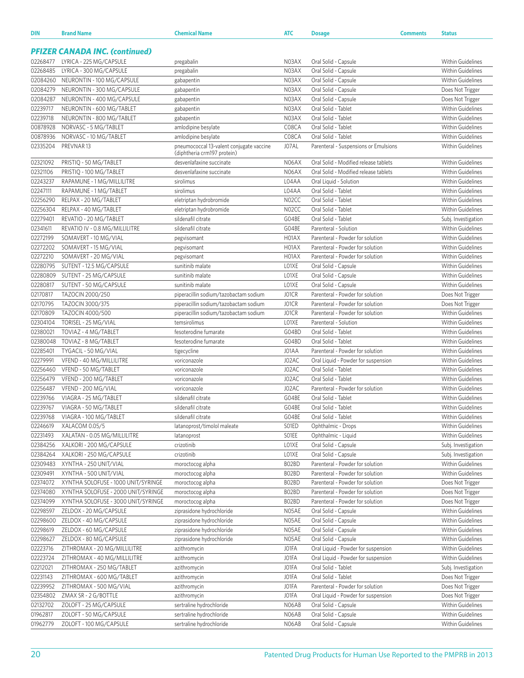| <b>DIN</b>           | <b>Brand Name</b>                                | <b>Chemical Name</b>                                                    | <b>ATC</b>     | <b>Dosage</b>                                                           | <b>Comments</b> | <b>Status</b>                                 |
|----------------------|--------------------------------------------------|-------------------------------------------------------------------------|----------------|-------------------------------------------------------------------------|-----------------|-----------------------------------------------|
|                      |                                                  |                                                                         |                |                                                                         |                 |                                               |
|                      | <b>PFIZER CANADA INC. (continued)</b>            |                                                                         |                |                                                                         |                 |                                               |
| 02268477             | LYRICA - 225 MG/CAPSULE                          | pregabalin                                                              | N03AX          | Oral Solid - Capsule                                                    |                 | <b>Within Guidelines</b>                      |
| 02268485             | LYRICA - 300 MG/CAPSULE                          | pregabalin                                                              | N03AX          | Oral Solid - Capsule                                                    |                 | Within Guidelines                             |
| 02084260             | NEURONTIN - 100 MG/CAPSULE                       | gabapentin                                                              | N03AX          | Oral Solid - Capsule                                                    |                 | Within Guidelines                             |
| 02084279             | NEURONTIN - 300 MG/CAPSULE                       | gabapentin                                                              | N03AX          | Oral Solid - Capsule                                                    |                 | Does Not Trigger                              |
| 02084287             | NEURONTIN - 400 MG/CAPSULE                       | gabapentin                                                              | N03AX          | Oral Solid - Capsule                                                    |                 | Does Not Trigger                              |
| 02239717             | NEURONTIN - 600 MG/TABLET                        | gabapentin                                                              | N03AX          | Oral Solid - Tablet                                                     |                 | <b>Within Guidelines</b>                      |
| 02239718             | NEURONTIN - 800 MG/TABLET                        | gabapentin                                                              | N03AX          | Oral Solid - Tablet                                                     |                 | <b>Within Guidelines</b>                      |
| 00878928             | NORVASC - 5 MG/TABLET                            | amlodipine besylate                                                     | C08CA          | Oral Solid - Tablet                                                     |                 | Within Guidelines                             |
| 00878936             | NORVASC - 10 MG/TABLET                           | amlodipine besylate                                                     | C08CA          | Oral Solid - Tablet                                                     |                 | <b>Within Guidelines</b>                      |
| 02335204             | PREVNAR13                                        | pneumococcal 13-valent conjugate vaccine<br>(diphtheria crm197 protein) | J07AL          | Parenteral - Suspensions or Emulsions                                   |                 | Within Guidelines                             |
| 02321092             | PRISTIQ - 50 MG/TABLET                           | desvenlafaxine succinate                                                | N06AX          | Oral Solid - Modified release tablets                                   |                 | <b>Within Guidelines</b>                      |
| 02321106             | PRISTIQ - 100 MG/TABLET                          | desvenlafaxine succinate                                                | N06AX          | Oral Solid - Modified release tablets                                   |                 | <b>Within Guidelines</b>                      |
| 02243237             | RAPAMUNE - 1 MG/MILLILITRE                       | sirolimus                                                               | L04AA          | Oral Liquid - Solution                                                  |                 | Within Guidelines                             |
| 02247111             | RAPAMUNE - 1 MG/TABLET                           | sirolimus                                                               | L04AA          | Oral Solid - Tablet                                                     |                 | <b>Within Guidelines</b>                      |
| 02256290             | RELPAX - 20 MG/TABLET                            | eletriptan hydrobromide                                                 | N02CC          | Oral Solid - Tablet                                                     |                 | <b>Within Guidelines</b>                      |
| 02256304             | RELPAX - 40 MG/TABLET                            | eletriptan hydrobromide                                                 | N02CC          | Oral Solid - Tablet                                                     |                 | Within Guidelines                             |
| 02279401             | REVATIO - 20 MG/TABLET                           | sildenafil citrate                                                      | G04BE          | Oral Solid - Tablet                                                     |                 | Subj. Investigation                           |
| 02341611             | REVATIO IV - 0.8 MG/MILLILITRE                   | sildenafil citrate                                                      | G04BE          | Parenteral - Solution                                                   |                 | <b>Within Guidelines</b>                      |
| 02272199             | SOMAVERT - 10 MG/VIAL                            | pegvisomant                                                             | H01AX          | Parenteral - Powder for solution                                        |                 | Within Guidelines                             |
| 02272202             | SOMAVERT - 15 MG/VIAL                            | pegvisomant                                                             | H01AX          | Parenteral - Powder for solution                                        |                 | <b>Within Guidelines</b>                      |
| 02272210             | SOMAVERT - 20 MG/VIAL                            | pegvisomant                                                             | H01AX          | Parenteral - Powder for solution                                        |                 | <b>Within Guidelines</b>                      |
| 02280795             | SUTENT - 12.5 MG/CAPSULE                         | sunitinib malate                                                        | LO1XE          | Oral Solid - Capsule                                                    |                 | Within Guidelines                             |
| 02280809             | SUTENT - 25 MG/CAPSULE                           | sunitinib malate                                                        | LO1XE          | Oral Solid - Capsule                                                    |                 | <b>Within Guidelines</b>                      |
| 02280817             | SUTENT - 50 MG/CAPSULE                           | sunitinib malate                                                        | LO1XE          | Oral Solid - Capsule                                                    |                 | <b>Within Guidelines</b>                      |
| 02170817             | TAZOCIN 2000/250                                 | piperacillin sodium/tazobactam sodium                                   | J01CR          | Parenteral - Powder for solution                                        |                 | Does Not Trigger                              |
| 02170795             | TAZOCIN 3000/375                                 | piperacillin sodium/tazobactam sodium                                   | J01CR          | Parenteral - Powder for solution                                        |                 | Does Not Trigger                              |
| 02170809             | TAZOCIN 4000/500                                 | piperacillin sodium/tazobactam sodium                                   | J01CR          | Parenteral - Powder for solution                                        |                 | <b>Within Guidelines</b>                      |
| 02304104             | TORISEL - 25 MG/VIAL                             | temsirolimus                                                            | LO1XE          | Parenteral - Solution                                                   |                 | Within Guidelines                             |
| 02380021             | TOVIAZ - 4 MG/TABLET                             | fesoterodine fumarate                                                   | G04BD          | Oral Solid - Tablet                                                     |                 | <b>Within Guidelines</b>                      |
| 02380048             | TOVIAZ - 8 MG/TABLET                             | fesoterodine fumarate                                                   | G04BD          | Oral Solid - Tablet                                                     |                 | <b>Within Guidelines</b>                      |
| 02285401<br>02279991 | TYGACIL - 50 MG/VIAL<br>VFEND - 40 MG/MILLILITRE | tigecycline<br>voriconazole                                             | J01AA<br>J02AC | Parenteral - Powder for solution<br>Oral Liquid - Powder for suspension |                 | Within Guidelines<br><b>Within Guidelines</b> |
| 02256460             | VFEND - 50 MG/TABLET                             | voriconazole                                                            | J02AC          | Oral Solid - Tablet                                                     |                 | <b>Within Guidelines</b>                      |
| 02256479             | VFEND - 200 MG/TABLET                            | voriconazole                                                            | J02AC          | Oral Solid - Tablet                                                     |                 | Within Guidelines                             |
| 02256487             | VFEND - 200 MG/VIAL                              | voriconazole                                                            | J02AC          | Parenteral - Powder for solution                                        |                 | <b>Within Guidelines</b>                      |
| 02239766             | VIAGRA - 25 MG/TABLET                            | sildenafil citrate                                                      | G04BE          | Oral Solid - Tablet                                                     |                 | Within Guidelines                             |
| 02239767             | VIAGRA - 50 MG/TABLET                            | sildenafil citrate                                                      | G04BE          | Oral Solid - Tablet                                                     |                 | <b>Within Guidelines</b>                      |
| 02239768             | VIAGRA - 100 MG/TABLET                           | sildenafil citrate                                                      | G04BE          | Oral Solid - Tablet                                                     |                 | Within Guidelines                             |
| 02246619             | XALACOM 0.05/5                                   | latanoprost/timolol maleate                                             | S01ED          | Ophthalmic - Drops                                                      |                 | Within Guidelines                             |
| 02231493             | XALATAN - 0.05 MG/MILLILITRE                     | latanoprost                                                             | SO1EE          | Ophthalmic - Liquid                                                     |                 | Within Guidelines                             |
| 02384256             | XALKORI - 200 MG/CAPSULE                         | crizotinib                                                              | LO1XE          | Oral Solid - Capsule                                                    |                 | Subj. Investigation                           |
| 02384264             | XALKORI - 250 MG/CAPSULE                         | crizotinib                                                              | LO1XE          | Oral Solid - Capsule                                                    |                 | Subj. Investigation                           |
| 02309483             | XYNTHA - 250 UNIT/VIAL                           | moroctocog alpha                                                        | B02BD          | Parenteral - Powder for solution                                        |                 | Within Guidelines                             |
| 02309491             | XYNTHA - 500 UNIT/VIAL                           | moroctocog alpha                                                        | B02BD          | Parenteral - Powder for solution                                        |                 | Within Guidelines                             |
| 02374072             | XYNTHA SOLOFUSE - 1000 UNIT/SYRINGE              | moroctocog alpha                                                        | B02BD          | Parenteral - Powder for solution                                        |                 | Does Not Trigger                              |
| 02374080             | XYNTHA SOLOFUSE - 2000 UNIT/SYRINGE              | moroctocog alpha                                                        | B02BD          | Parenteral - Powder for solution                                        |                 | Does Not Trigger                              |
| 02374099             | XYNTHA SOLOFUSE - 3000 UNIT/SYRINGE              | moroctocog alpha                                                        | B02BD          | Parenteral - Powder for solution                                        |                 | Does Not Trigger                              |
| 02298597             | ZELDOX - 20 MG/CAPSULE                           | ziprasidone hydrochloride                                               | N05AE          | Oral Solid - Capsule                                                    |                 | Within Guidelines                             |
| 02298600             | ZELDOX - 40 MG/CAPSULE                           | ziprasidone hydrochloride                                               | N05AE          | Oral Solid - Capsule                                                    |                 | Within Guidelines                             |
| 02298619             | ZELDOX - 60 MG/CAPSULE                           | ziprasidone hydrochloride                                               | N05AE          | Oral Solid - Capsule                                                    |                 | Within Guidelines                             |
| 02298627             | ZELDOX - 80 MG/CAPSULE                           | ziprasidone hydrochloride                                               | N05AE          | Oral Solid - Capsule                                                    |                 | Within Guidelines                             |
| 02223716             | ZITHROMAX - 20 MG/MILLILITRE                     | azithromycin                                                            | JO1FA          | Oral Liquid - Powder for suspension                                     |                 | Within Guidelines                             |
| 02223724             | ZITHROMAX - 40 MG/MILLILITRE                     | azithromycin                                                            | JO1FA          | Oral Liquid - Powder for suspension                                     |                 | Within Guidelines                             |
| 02212021             | ZITHROMAX - 250 MG/TABLET                        | azithromycin                                                            | JO1FA          | Oral Solid - Tablet                                                     |                 | Subj. Investigation                           |
| 02231143             | ZITHROMAX - 600 MG/TABLET                        | azithromycin                                                            | JO1FA          | Oral Solid - Tablet                                                     |                 | Does Not Trigger                              |
| 02239952             | ZITHROMAX - 500 MG/VIAL                          | azithromycin                                                            | J01FA          | Parenteral - Powder for solution                                        |                 | Does Not Trigger                              |
| 02354802             | ZMAX SR - 2 G/BOTTLE                             | azithromycin                                                            | JO1FA          | Oral Liquid - Powder for suspension                                     |                 | Does Not Trigger                              |
| 02132702             | ZOLOFT - 25 MG/CAPSULE                           | sertraline hydrochloride                                                | N06AB          | Oral Solid - Capsule                                                    |                 | Within Guidelines                             |
| 01962817             | ZOLOFT - 50 MG/CAPSULE                           | sertraline hydrochloride                                                | N06AB          | Oral Solid - Capsule                                                    |                 | Within Guidelines                             |
| 01962779             | ZOLOFT - 100 MG/CAPSULE                          | sertraline hydrochloride                                                | N06AB          | Oral Solid - Capsule                                                    |                 | Within Guidelines                             |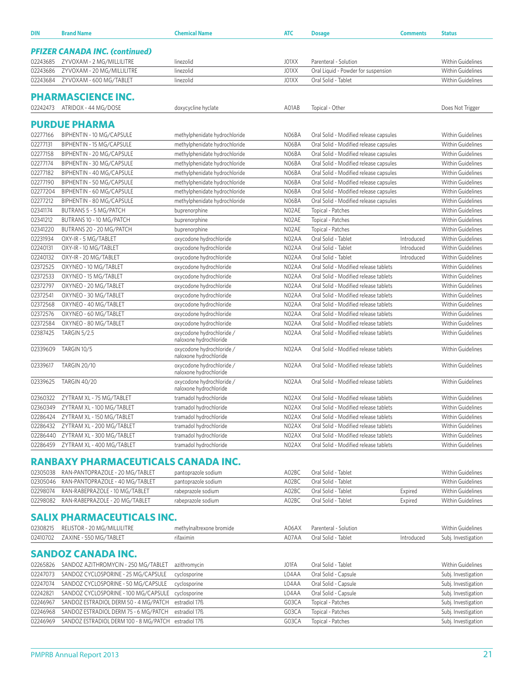| DIN      | <b>Brand Name</b>                          | <b>Chemical Name</b>                                | <b>ATC</b>         | <b>Dosage</b>                          | <b>Comments</b> | <b>Status</b>            |
|----------|--------------------------------------------|-----------------------------------------------------|--------------------|----------------------------------------|-----------------|--------------------------|
|          | <b>PFIZER CANADA INC. (continued)</b>      |                                                     |                    |                                        |                 |                          |
| 02243685 | ZYVOXAM - 2 MG/MILLILITRE                  | linezolid                                           | J01XX              | Parenteral - Solution                  |                 | <b>Within Guidelines</b> |
| 02243686 | ZYVOXAM - 20 MG/MILLILITRE                 | linezolid                                           | J01XX              | Oral Liquid - Powder for suspension    |                 | <b>Within Guidelines</b> |
| 02243684 | ZYVOXAM - 600 MG/TABLET                    | linezolid                                           | J01XX              | Oral Solid - Tablet                    |                 | <b>Within Guidelines</b> |
|          | <b>PHARMASCIENCE INC.</b>                  |                                                     |                    |                                        |                 |                          |
| 02242473 | ATRIDOX - 44 MG/DOSE                       | doxycycline hyclate                                 | A01AB              | Topical - Other                        |                 | Does Not Trigger         |
|          | <b>PURDUE PHARMA</b>                       |                                                     |                    |                                        |                 |                          |
| 02277166 | BIPHENTIN - 10 MG/CAPSULE                  | methylphenidate hydrochloride                       | N <sub>06</sub> BA | Oral Solid - Modified release capsules |                 | <b>Within Guidelines</b> |
| 02277131 | BIPHENTIN - 15 MG/CAPSULE                  | methylphenidate hydrochloride                       | N06BA              | Oral Solid - Modified release capsules |                 | <b>Within Guidelines</b> |
| 02277158 | BIPHENTIN - 20 MG/CAPSULE                  | methylphenidate hydrochloride                       | N06BA              | Oral Solid - Modified release capsules |                 | Within Guidelines        |
| 02277174 | BIPHENTIN - 30 MG/CAPSULE                  | methylphenidate hydrochloride                       | N06BA              | Oral Solid - Modified release capsules |                 | <b>Within Guidelines</b> |
| 02277182 | BIPHENTIN - 40 MG/CAPSULE                  | methylphenidate hydrochloride                       | N06BA              | Oral Solid - Modified release capsules |                 | <b>Within Guidelines</b> |
| 02277190 | BIPHENTIN - 50 MG/CAPSULE                  | methylphenidate hydrochloride                       | N06BA              | Oral Solid - Modified release capsules |                 | <b>Within Guidelines</b> |
| 02277204 | BIPHENTIN - 60 MG/CAPSULE                  | methylphenidate hydrochloride                       | NO6BA              | Oral Solid - Modified release capsules |                 | <b>Within Guidelines</b> |
| 02277212 | BIPHENTIN - 80 MG/CAPSULE                  | methylphenidate hydrochloride                       | N06BA              | Oral Solid - Modified release capsules |                 | <b>Within Guidelines</b> |
| 02341174 | BUTRANS 5 - 5 MG/PATCH                     | buprenorphine                                       | NO2AE              | Topical - Patches                      |                 | Within Guidelines        |
| 02341212 | BUTRANS 10 - 10 MG/PATCH                   | buprenorphine                                       | NO2AE              | Topical - Patches                      |                 | <b>Within Guidelines</b> |
| 02341220 | BUTRANS 20 - 20 MG/PATCH                   | buprenorphine                                       | NO2AE              | Topical - Patches                      |                 | Within Guidelines        |
| 02231934 | OXY-IR - 5 MG/TABLET                       | oxycodone hydrochloride                             | N02AA              | Oral Solid - Tablet                    | Introduced      | Within Guidelines        |
| 02240131 | OXY-IR - 10 MG/TABLET                      | oxycodone hydrochloride                             | N02AA              | Oral Solid - Tablet                    | Introduced      | <b>Within Guidelines</b> |
| 02240132 | OXY-IR - 20 MG/TABLET                      | oxycodone hydrochloride                             | N02AA              | Oral Solid - Tablet                    | Introduced      | <b>Within Guidelines</b> |
| 02372525 | OXYNEO - 10 MG/TABLET                      | oxycodone hydrochloride                             | N02AA              | Oral Solid - Modified release tablets  |                 | <b>Within Guidelines</b> |
| 02372533 | OXYNEO - 15 MG/TABLET                      | oxycodone hydrochloride                             | N02AA              | Oral Solid - Modified release tablets  |                 | <b>Within Guidelines</b> |
| 02372797 | OXYNEO - 20 MG/TABLET                      | oxycodone hydrochloride                             | N02AA              | Oral Solid - Modified release tablets  |                 | <b>Within Guidelines</b> |
| 02372541 | OXYNEO - 30 MG/TABLET                      | oxycodone hydrochloride                             | N02AA              | Oral Solid - Modified release tablets  |                 | <b>Within Guidelines</b> |
| 02372568 | OXYNEO - 40 MG/TABLET                      | oxycodone hydrochloride                             | N02AA              | Oral Solid - Modified release tablets  |                 | <b>Within Guidelines</b> |
| 02372576 | OXYNEO - 60 MG/TABLET                      | oxycodone hydrochloride                             | N02AA              | Oral Solid - Modified release tablets  |                 | <b>Within Guidelines</b> |
| 02372584 | OXYNEO - 80 MG/TABLET                      | oxycodone hydrochloride                             | N02AA              | Oral Solid - Modified release tablets  |                 | Within Guidelines        |
| 02387425 | <b>TARGIN 5/2.5</b>                        | oxycodone hydrochloride /                           | N02AA              | Oral Solid - Modified release tablets  |                 | <b>Within Guidelines</b> |
|          |                                            | naloxone hydrochloride                              |                    |                                        |                 |                          |
| 02339609 | TARGIN 10/5                                | oxycodone hydrochloride /<br>naloxone hydrochloride | N02AA              | Oral Solid - Modified release tablets  |                 | <b>Within Guidelines</b> |
| 02339617 | <b>TARGIN 20/10</b>                        | oxycodone hydrochloride /<br>naloxone hydrochloride | N02AA              | Oral Solid - Modified release tablets  |                 | <b>Within Guidelines</b> |
| 02339625 | <b>TARGIN 40/20</b>                        | oxycodone hydrochloride /<br>naloxone hydrochloride | N02AA              | Oral Solid - Modified release tablets  |                 | <b>Within Guidelines</b> |
| 02360322 | ZYTRAM XL - 75 MG/TABLET                   | tramadol hydrochloride                              | NO <sub>2</sub> AX | Oral Solid - Modified release tablets  |                 | <b>Within Guidelines</b> |
| 02360349 | ZYTRAM XL - 100 MG/TABLET                  | tramadol hydrochloride                              | NO <sub>2</sub> AX | Oral Solid - Modified release tablets  |                 | <b>Within Guidelines</b> |
| 02286424 | ZYTRAM XL - 150 MG/TABLET                  | tramadol hydrochloride                              | N02AX              | Oral Solid - Modified release tablets  |                 | <b>Within Guidelines</b> |
| 02286432 | ZYTRAM XL - 200 MG/TABLET                  | tramadol hydrochloride                              | N02AX              | Oral Solid - Modified release tablets  |                 | Within Guidelines        |
| 02286440 | ZYTRAM XL - 300 MG/TABLET                  | tramadol hydrochloride                              | N02AX              | Oral Solid - Modified release tablets  |                 | Within Guidelines        |
| 02286459 | ZYTRAM XL - 400 MG/TABLET                  | tramadol hydrochloride                              | N02AX              | Oral Solid - Modified release tablets  |                 | Within Guidelines        |
|          | <b>RANBAXY PHARMACEUTICALS CANADA INC.</b> |                                                     |                    |                                        |                 |                          |
| 02305038 | RAN-PANTOPRAZOLE - 20 MG/TABLET            | pantoprazole sodium                                 | A02BC              | Oral Solid - Tablet                    |                 | <b>Within Guidelines</b> |
| 02305046 | RAN-PANTOPRAZOLE - 40 MG/TABLET            | pantoprazole sodium                                 | A02BC              | Oral Solid - Tablet                    |                 | <b>Within Guidelines</b> |
| 02298074 | RAN-RABEPRAZOLE - 10 MG/TABLET             | rabeprazole sodium                                  | A02BC              | Oral Solid - Tablet                    | Expired         | <b>Within Guidelines</b> |
| 02298082 | RAN-RABEPRAZOLE - 20 MG/TABLET             | rabeprazole sodium                                  | A02BC              | Oral Solid - Tablet                    | Expired         | <b>Within Guidelines</b> |
|          | <b>SALIX PHARMACEUTICALS INC.</b>          |                                                     |                    |                                        |                 |                          |

| 02308215 | RELISTOR - 20 MG/MILLILITRE                          | methylnaltrexone bromide | A06AX | Parenteral - Solution |            | Within Guidelines   |
|----------|------------------------------------------------------|--------------------------|-------|-----------------------|------------|---------------------|
| 02410702 | ZAXINE - 550 MG/TABLET                               | rifaximin                | A07AA | Oral Solid - Tablet   | Introduced | Subj. Investigation |
|          | <b>SANDOZ CANADA INC.</b>                            |                          |       |                       |            |                     |
| 02265826 | SANDOZ AZITHROMYCIN - 250 MG/TABLET                  | azithromycin             | JO1FA | Oral Solid - Tablet   |            | Within Guidelines   |
| 02247073 | SANDOZ CYCLOSPORINE - 25 MG/CAPSULE                  | cyclosporine             | L04AA | Oral Solid - Capsule  |            | Subj. Investigation |
| 02247074 | SANDOZ CYCLOSPORINE - 50 MG/CAPSULE                  | cyclosporine             | L04AA | Oral Solid - Capsule  |            | Subj. Investigation |
| 02242821 | SANDOZ CYCLOSPORINE - 100 MG/CAPSULE                 | cyclosporine             | L04AA | Oral Solid - Capsule  |            | Subj. Investigation |
| 02246967 | SANDOZ ESTRADIOL DERM 50 - 4 MG/PATCH                | estradiol 17ß            | G03CA | Topical - Patches     |            | Subj. Investigation |
| 02246968 | SANDOZ ESTRADIOL DERM 75 - 6 MG/PATCH                | estradiol 17ß            | G03CA | Topical - Patches     |            | Subj. Investigation |
| 02246969 | SANDOZ ESTRADIOL DERM 100 - 8 MG/PATCH estradiol 17B |                          | G03CA | Topical - Patches     |            | Subj. Investigation |
|          |                                                      |                          |       |                       |            |                     |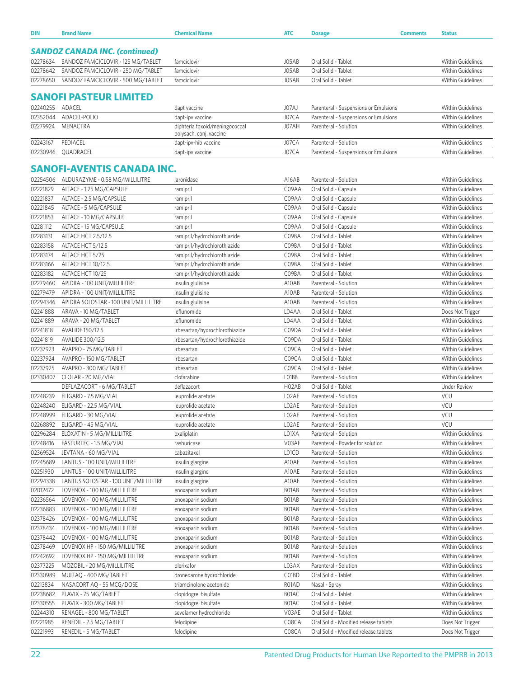| DIN                  | <b>Brand Name</b>                                | <b>Chemical Name</b>                                      | ATC                | <b>Dosage</b>                                                                  | <b>Comments</b> | <b>Status</b>                                 |
|----------------------|--------------------------------------------------|-----------------------------------------------------------|--------------------|--------------------------------------------------------------------------------|-----------------|-----------------------------------------------|
|                      |                                                  |                                                           |                    |                                                                                |                 |                                               |
|                      | <b>SANDOZ CANADA INC. (continued)</b>            |                                                           |                    |                                                                                |                 |                                               |
| 02278634             | SANDOZ FAMCICLOVIR - 125 MG/TABLET               | famciclovir                                               | J05AB              | Oral Solid - Tablet                                                            |                 | Within Guidelines                             |
| 02278642             | SANDOZ FAMCICLOVIR - 250 MG/TABLET               | famciclovir                                               | J05AB              | Oral Solid - Tablet                                                            |                 | Within Guidelines                             |
| 02278650             | SANDOZ FAMCICLOVIR - 500 MG/TABLET               | famciclovir                                               | J05AB              | Oral Solid - Tablet                                                            |                 | Within Guidelines                             |
|                      | <b>SANOFI PASTEUR LIMITED</b>                    |                                                           |                    |                                                                                |                 |                                               |
|                      |                                                  |                                                           |                    |                                                                                |                 |                                               |
| 02240255<br>02352044 | ADACEL<br>ADACEL-POLIO                           | dapt vaccine                                              | J07AJ              | Parenteral - Suspensions or Emulsions                                          |                 | <b>Within Guidelines</b>                      |
| 02279924             | MENACTRA                                         | dapt-ipv vaccine                                          | J07CA<br>J07AH     | Parenteral - Suspensions or Emulsions<br>Parenteral - Solution                 |                 | <b>Within Guidelines</b><br>Within Guidelines |
|                      |                                                  | diphteria toxoid/meningococcal<br>polysach. conj. vaccine |                    |                                                                                |                 |                                               |
| 02243167             | PEDIACEL                                         | dapt-ipv-hib vaccine                                      | J07CA              | Parenteral - Solution                                                          |                 | Within Guidelines                             |
| 02230946             | QUADRACEL                                        | dapt-ipv vaccine                                          | J07CA              | Parenteral - Suspensions or Emulsions                                          |                 | Within Guidelines                             |
|                      |                                                  |                                                           |                    |                                                                                |                 |                                               |
|                      | <b>SANOFI-AVENTIS CANADA INC.</b>                |                                                           |                    |                                                                                |                 |                                               |
| 02254506             | ALDURAZYME - 0.58 MG/MILLILITRE                  | laronidase                                                | A16AB              | Parenteral - Solution                                                          |                 | <b>Within Guidelines</b>                      |
| 02221829             | ALTACE - 1.25 MG/CAPSULE                         | ramipril                                                  | C09AA              | Oral Solid - Capsule                                                           |                 | <b>Within Guidelines</b>                      |
| 02221837             | ALTACE - 2.5 MG/CAPSULE                          | ramipril                                                  | C09AA              | Oral Solid - Capsule                                                           |                 | Within Guidelines                             |
| 02221845             | ALTACE - 5 MG/CAPSULE                            | ramipril                                                  | C09AA              | Oral Solid - Capsule                                                           |                 | <b>Within Guidelines</b>                      |
| 02221853             | ALTACE - 10 MG/CAPSULE                           | ramipril                                                  | C09AA              | Oral Solid - Capsule                                                           |                 | Within Guidelines                             |
| 02281112             | ALTACE - 15 MG/CAPSULE                           | ramipril                                                  | C09AA              | Oral Solid - Capsule                                                           |                 | Within Guidelines                             |
| 02283131             | ALTACE HCT 2.5/12.5                              | ramipril/hydrochlorothiazide                              | C09BA              | Oral Solid - Tablet                                                            |                 | Within Guidelines                             |
| 02283158             | ALTACE HCT 5/12.5                                | ramipril/hydrochlorothiazide                              | C09BA              | Oral Solid - Tablet                                                            |                 | <b>Within Guidelines</b>                      |
| 02283174             | ALTACE HCT 5/25                                  | ramipril/hydrochlorothiazide                              | C09BA              | Oral Solid - Tablet                                                            |                 | Within Guidelines                             |
| 02283166             | ALTACE HCT 10/12.5                               | ramipril/hydrochlorothiazide                              | C09BA              | Oral Solid - Tablet                                                            |                 | <b>Within Guidelines</b>                      |
| 02283182             | ALTACE HCT 10/25                                 | ramipril/hydrochlorothiazide                              | C09BA              | Oral Solid - Tablet                                                            |                 | Within Guidelines                             |
| 02279460             | APIDRA - 100 UNIT/MILLILITRE                     | insulin glulisine                                         | A10AB              | Parenteral - Solution                                                          |                 | Within Guidelines                             |
| 02279479             | APIDRA - 100 UNIT/MILLILITRE                     | insulin glulisine                                         | A10AB              | Parenteral - Solution                                                          |                 | <b>Within Guidelines</b>                      |
| 02294346             | APIDRA SOLOSTAR - 100 UNIT/MILLILITRE            | insulin glulisine                                         | A10AB              | Parenteral - Solution                                                          |                 | <b>Within Guidelines</b>                      |
| 02241888             | ARAVA - 10 MG/TABLET                             | leflunomide                                               | L04AA              | Oral Solid - Tablet                                                            |                 | Does Not Trigger                              |
| 02241889<br>02241818 | ARAVA - 20 MG/TABLET                             | leflunomide<br>irbesartan/hydrochlorothiazide             | L04AA<br>C09DA     | Oral Solid - Tablet<br>Oral Solid - Tablet                                     |                 | Within Guidelines<br>Within Guidelines        |
| 02241819             | AVALIDE 150/12.5<br>AVALIDE 300/12.5             | irbesartan/hydrochlorothiazide                            | C09DA              | Oral Solid - Tablet                                                            |                 | Within Guidelines                             |
| 02237923             | AVAPRO - 75 MG/TABLET                            | irbesartan                                                | C09CA              | Oral Solid - Tablet                                                            |                 | Within Guidelines                             |
| 02237924             | AVAPRO - 150 MG/TABLET                           | irbesartan                                                | C09CA              | Oral Solid - Tablet                                                            |                 | <b>Within Guidelines</b>                      |
| 02237925             | AVAPRO - 300 MG/TABLET                           | irbesartan                                                | C09CA              | Oral Solid - Tablet                                                            |                 | Within Guidelines                             |
| 02330407             | CLOLAR - 20 MG/VIAL                              | clofarabine                                               | LO1BB              | Parenteral - Solution                                                          |                 | Within Guidelines                             |
|                      | DEFLAZACORT - 6 MG/TABLET                        | deflazacort                                               | H <sub>02</sub> AB | Oral Solid - Tablet                                                            |                 | Under Review                                  |
| 02248239             | ELIGARD - 7.5 MG/VIAL                            | leuprolide acetate                                        | LO2AE              | Parenteral - Solution                                                          |                 | <b>VCU</b>                                    |
| 02248240             | ELIGARD - 22.5 MG/VIAL                           | leuprolide acetate                                        | LO2AE              | Parenteral - Solution                                                          |                 | VCU                                           |
| 02248999             | ELIGARD - 30 MG/VIAL                             | leuprolide acetate                                        | LO2AE              | Parenteral - Solution                                                          |                 | VCU                                           |
| 02268892             | ELIGARD - 45 MG/VIAL                             | leuprolide acetate                                        | LO <sub>2</sub> AE | Parenteral - Solution                                                          |                 | <b>VCU</b>                                    |
| 02296284             | ELOXATIN - 5 MG/MILLILITRE                       | oxaliplatin                                               | L01XA              | Parenteral - Solution                                                          |                 | Within Guidelines                             |
| 02248416             | FASTURTEC - 1.5 MG/VIAL                          | rasburicase                                               | V03AF              | Parenteral - Powder for solution                                               |                 | Within Guidelines                             |
| 02369524             | JEVTANA - 60 MG/VIAL                             | cabazitaxel                                               | L01CD              | Parenteral - Solution                                                          |                 | Within Guidelines                             |
| 02245689             | LANTUS - 100 UNIT/MILLILITRE                     | insulin glargine                                          | A10AE              | Parenteral - Solution                                                          |                 | Within Guidelines                             |
| 02251930             | LANTUS - 100 UNIT/MILLILITRE                     | insulin glargine                                          | A10AE              | Parenteral - Solution                                                          |                 | Within Guidelines                             |
| 02294338             | LANTUS SOLOSTAR - 100 UNIT/MILLILITRE            | insulin glargine                                          | A10AE              | Parenteral - Solution                                                          |                 | Within Guidelines                             |
| 02012472             | LOVENOX - 100 MG/MILLILITRE                      | enoxaparin sodium                                         | B01AB              | Parenteral - Solution                                                          |                 | <b>Within Guidelines</b>                      |
| 02236564             | LOVENOX - 100 MG/MILLILITRE                      | enoxaparin sodium                                         | BO1AB              | Parenteral - Solution                                                          |                 | Within Guidelines                             |
| 02236883             | LOVENOX - 100 MG/MILLILITRE                      | enoxaparin sodium                                         | B01AB              | Parenteral - Solution                                                          |                 | Within Guidelines                             |
| 02378426             | LOVENOX - 100 MG/MILLILITRE                      | enoxaparin sodium                                         | B01AB              | Parenteral - Solution                                                          |                 | Within Guidelines                             |
| 02378434             | LOVENOX - 100 MG/MILLILITRE                      | enoxaparin sodium                                         | BO1AB              | Parenteral - Solution                                                          |                 | Within Guidelines                             |
| 02378442             | LOVENOX - 100 MG/MILLILITRE                      | enoxaparin sodium                                         | BO1AB              | Parenteral - Solution                                                          |                 | Within Guidelines                             |
| 02378469             | LOVENOX HP - 150 MG/MILLILITRE                   | enoxaparin sodium                                         | BO1AB              | Parenteral - Solution                                                          |                 | Within Guidelines                             |
| 02242692             | LOVENOX HP - 150 MG/MILLILITRE                   | enoxaparin sodium                                         | BO1AB              | Parenteral - Solution                                                          |                 | Within Guidelines                             |
| 02377225             | MOZOBIL - 20 MG/MILLILITRE                       | plerixafor                                                | L03AX              | Parenteral - Solution                                                          |                 | Within Guidelines                             |
| 02330989             | MULTAQ - 400 MG/TABLET                           | dronedarone hydrochloride                                 | C01BD              | Oral Solid - Tablet                                                            |                 | Within Guidelines                             |
| 02213834             | NASACORT AQ - 55 MCG/DOSE                        | triamcinolone acetonide                                   | R01AD              | Nasal - Spray                                                                  |                 | Within Guidelines                             |
| 02238682             | PLAVIX - 75 MG/TABLET                            | clopidogrel bisulfate                                     | B01AC              | Oral Solid - Tablet                                                            |                 | Within Guidelines                             |
| 02330555             | PLAVIX - 300 MG/TABLET                           | clopidogrel bisulfate                                     | B01AC              | Oral Solid - Tablet                                                            |                 | Within Guidelines                             |
| 02244310             | RENAGEL - 800 MG/TABLET                          | sevelamer hydrochloride                                   | V03AE              | Oral Solid - Tablet                                                            |                 | Within Guidelines                             |
| 02221985<br>02221993 | RENEDIL - 2.5 MG/TABLET<br>RENEDIL - 5 MG/TABLET | felodipine<br>felodipine                                  | C08CA<br>C08CA     | Oral Solid - Modified release tablets<br>Oral Solid - Modified release tablets |                 | Does Not Trigger<br>Does Not Trigger          |
|                      |                                                  |                                                           |                    |                                                                                |                 |                                               |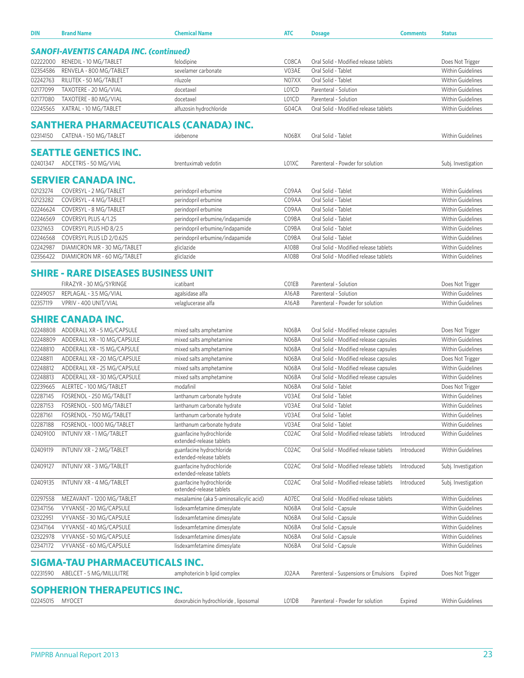| DIN                  | <b>Brand Name</b>                                   | <b>Chemical Name</b>                                       | <b>ATC</b>     | <b>Dosage</b>                                                | <b>Comments</b> | <b>Status</b>                                |
|----------------------|-----------------------------------------------------|------------------------------------------------------------|----------------|--------------------------------------------------------------|-----------------|----------------------------------------------|
|                      | <b>SANOFI-AVENTIS CANADA INC. (continued)</b>       |                                                            |                |                                                              |                 |                                              |
|                      | RENEDIL - 10 MG/TABLET                              |                                                            |                |                                                              |                 |                                              |
| 02222000<br>02354586 | RENVELA - 800 MG/TABLET                             | felodipine<br>sevelamer carbonate                          | C08CA<br>V03AE | Oral Solid - Modified release tablets<br>Oral Solid - Tablet |                 | Does Not Trigger<br><b>Within Guidelines</b> |
| 02242763             | RILUTEK - 50 MG/TABLET                              | riluzole                                                   | N07XX          | Oral Solid - Tablet                                          |                 | <b>Within Guidelines</b>                     |
| 02177099             | TAXOTERE - 20 MG/VIAL                               | docetaxel                                                  | L01CD          | Parenteral - Solution                                        |                 | <b>Within Guidelines</b>                     |
| 02177080             | TAXOTERE - 80 MG/VIAL                               | docetaxel                                                  | L01CD          | Parenteral - Solution                                        |                 | <b>Within Guidelines</b>                     |
| 02245565             | XATRAL - 10 MG/TABLET                               | alfuzosin hydrochloride                                    | G04CA          | Oral Solid - Modified release tablets                        |                 | <b>Within Guidelines</b>                     |
|                      |                                                     |                                                            |                |                                                              |                 |                                              |
|                      | SANTHERA PHARMACEUTICALS (CANADA) INC.              |                                                            |                |                                                              |                 |                                              |
| 02314150             | CATENA - 150 MG/TABLET                              | idebenone                                                  | NO6BX          | Oral Solid - Tablet                                          |                 | <b>Within Guidelines</b>                     |
|                      | <b>SEATTLE GENETICS INC.</b>                        |                                                            |                |                                                              |                 |                                              |
|                      | 02401347 ADCETRIS - 50 MG/VIAL                      | brentuximab vedotin                                        | L01XC          | Parenteral - Powder for solution                             |                 | Subj. Investigation                          |
|                      | SERVIER CANADA INC.                                 |                                                            |                |                                                              |                 |                                              |
| 02123274             | COVERSYL - 2 MG/TABLET                              | perindopril erbumine                                       | C09AA          | Oral Solid - Tablet                                          |                 | <b>Within Guidelines</b>                     |
| 02123282             | COVERSYL - 4 MG/TABLET                              | perindopril erbumine                                       | C09AA          | Oral Solid - Tablet                                          |                 | <b>Within Guidelines</b>                     |
| 02246624             | COVERSYL - 8 MG/TABLET                              | perindopril erbumine                                       | C09AA          | Oral Solid - Tablet                                          |                 | <b>Within Guidelines</b>                     |
| 02246569             | COVERSYL PLUS 4/1.25                                | perindopril erbumine/indapamide                            | C09BA          | Oral Solid - Tablet                                          |                 | <b>Within Guidelines</b>                     |
| 02321653             | COVERSYL PLUS HD 8/2.5                              | perindopril erbumine/indapamide                            | C09BA          | Oral Solid - Tablet                                          |                 | <b>Within Guidelines</b>                     |
| 02246568             | COVERSYL PLUS LD 2/0.625                            | perindopril erbumine/indapamide                            | C09BA          | Oral Solid - Tablet                                          |                 | <b>Within Guidelines</b>                     |
| 02242987             | DIAMICRON MR - 30 MG/TABLET                         | gliclazide                                                 | A10BB          | Oral Solid - Modified release tablets                        |                 | <b>Within Guidelines</b>                     |
| 02356422             | DIAMICRON MR - 60 MG/TABLET                         | gliclazide                                                 | A10BB          | Oral Solid - Modified release tablets                        |                 | <b>Within Guidelines</b>                     |
|                      | <b>SHIRE - RARE DISEASES BUSINESS UNIT</b>          |                                                            |                |                                                              |                 |                                              |
|                      | FIRAZYR - 30 MG/SYRINGE                             | icatibant                                                  | C01EB          | Parenteral - Solution                                        |                 | Does Not Trigger                             |
| 02249057             | REPLAGAL - 3.5 MG/VIAL                              | agalsidase alfa                                            | A16AB          | Parenteral - Solution                                        |                 | <b>Within Guidelines</b>                     |
| 02357119             | VPRIV - 400 UNIT/VIAL                               | velaglucerase alfa                                         | A16AB          | Parenteral - Powder for solution                             |                 | <b>Within Guidelines</b>                     |
|                      |                                                     |                                                            |                |                                                              |                 |                                              |
|                      | <b>SHIRE CANADA INC.</b>                            |                                                            |                |                                                              |                 |                                              |
| 02248808             | ADDERALL XR - 5 MG/CAPSULE                          | mixed salts amphetamine                                    | N06BA          | Oral Solid - Modified release capsules                       |                 | Does Not Trigger                             |
| 02248809             | ADDERALL XR - 10 MG/CAPSULE                         | mixed salts amphetamine                                    | N06BA          | Oral Solid - Modified release capsules                       |                 | <b>Within Guidelines</b>                     |
| 02248810             | ADDERALL XR - 15 MG/CAPSULE                         | mixed salts amphetamine                                    | N06BA          | Oral Solid - Modified release capsules                       |                 | <b>Within Guidelines</b>                     |
| 02248811             | ADDERALL XR - 20 MG/CAPSULE                         | mixed salts amphetamine                                    | N06BA          | Oral Solid - Modified release capsules                       |                 | Does Not Trigger                             |
| 02248812             | ADDERALL XR - 25 MG/CAPSULE                         | mixed salts amphetamine                                    | N06BA          | Oral Solid - Modified release capsules                       |                 | <b>Within Guidelines</b>                     |
| 02248813             | ADDERALL XR - 30 MG/CAPSULE                         | mixed salts amphetamine                                    | N06BA          | Oral Solid - Modified release capsules                       |                 | <b>Within Guidelines</b>                     |
| 02239665             | ALERTEC - 100 MG/TABLET<br>FOSRENOL - 250 MG/TABLET | modafinil                                                  | N06BA<br>V03AE | Oral Solid - Tablet                                          |                 | Does Not Trigger<br><b>Within Guidelines</b> |
| 02287145<br>02287153 | FOSRENOL - 500 MG/TABLET                            | lanthanum carbonate hydrate<br>lanthanum carbonate hydrate | V03AE          | Oral Solid - Tablet<br>Oral Solid - Tablet                   |                 | <b>Within Guidelines</b>                     |
| 02287161             | FOSRENOL - 750 MG/TABLET                            | lanthanum carbonate hydrate                                | V03AE          | Oral Solid - Tablet                                          |                 | <b>Within Guidelines</b>                     |
| 02287188             | FOSRENOL - 1000 MG/TABLET                           | lanthanum carbonate hydrate                                | V03AE          | Oral Solid - Tablet                                          |                 | <b>Within Guidelines</b>                     |
| 02409100             | INTUNIV XR - 1 MG/TABLET                            | guanfacine hydrochloride                                   | C02AC          | Oral Solid - Modified release tablets                        | Introduced      | <b>Within Guidelines</b>                     |
|                      |                                                     | extended-release tablets                                   |                |                                                              |                 |                                              |
| 02409119             | INTUNIV XR - 2 MG/TABLET                            | guanfacine hydrochloride<br>extended-release tablets       | C02AC          | Oral Solid - Modified release tablets                        | Introduced      | <b>Within Guidelines</b>                     |
| 02409127             | INTUNIV XR - 3 MG/TABLET                            | guanfacine hydrochloride<br>extended-release tablets       | C02AC          | Oral Solid - Modified release tablets                        | Introduced      | Subj. Investigation                          |
| 02409135             | INTUNIV XR - 4 MG/TABLET                            | guanfacine hydrochloride<br>extended-release tablets       | C02AC          | Oral Solid - Modified release tablets                        | Introduced      | Subj. Investigation                          |
| 02297558             | MEZAVANT - 1200 MG/TABLET                           | mesalamine (aka 5-aminosalicylic acid)                     | A07EC          | Oral Solid - Modified release tablets                        |                 | Within Guidelines                            |
| 02347156             | VYVANSE - 20 MG/CAPSULE                             | lisdexamfetamine dimesylate                                | N06BA          | Oral Solid - Capsule                                         |                 | <b>Within Guidelines</b>                     |
| 02322951             | VYVANSE - 30 MG/CAPSULE                             | lisdexamfetamine dimesylate                                | N06BA          | Oral Solid - Capsule                                         |                 | Within Guidelines                            |
| 02347164             | VYVANSE - 40 MG/CAPSULE                             | lisdexamfetamine dimesylate                                | N06BA          | Oral Solid - Capsule                                         |                 | <b>Within Guidelines</b>                     |
| 02322978             | VYVANSE - 50 MG/CAPSULE                             | lisdexamfetamine dimesylate                                | N06BA          | Oral Solid - Capsule                                         |                 | <b>Within Guidelines</b>                     |
| 02347172             | VYVANSE - 60 MG/CAPSULE                             | lisdexamfetamine dimesylate                                | N06BA          | Oral Solid - Capsule                                         |                 | Within Guidelines                            |
|                      | SIGMA-TAU PHARMACEUTICALS INC.                      |                                                            |                |                                                              |                 |                                              |
| 02231590             | ABELCET - 5 MG/MILLILITRE                           | amphotericin b lipid complex                               | J02AA          | Parenteral - Suspensions or Emulsions                        | Expired         | Does Not Trigger                             |
|                      | SOPHERION THERAPEUTICS INC.                         |                                                            |                |                                                              |                 |                                              |
| 02245015             | <b>MYOCET</b>                                       | doxorubicin hydrochloride, liposomal                       | LO1DB          | Parenteral - Powder for solution                             | Expired         | Within Guidelines                            |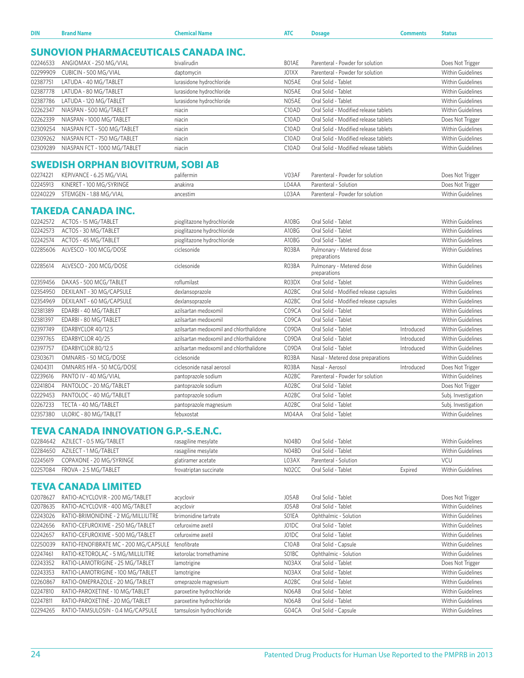| DIN<br>the property of the control of the control of | ыш | AT | ____ | . | natus<br>. |
|------------------------------------------------------|----|----|------|---|------------|
|                                                      |    |    |      |   |            |

## **SUNOVION PHARMACEUTICALS CANADA INC.**

| 02246533 | ANGIOMAX - 250 MG/VIAL       | bivalirudin              | BO1AE              | Parenteral - Powder for solution      | Does Not Trigger         |
|----------|------------------------------|--------------------------|--------------------|---------------------------------------|--------------------------|
| 02299909 | CUBICIN - 500 MG/VIAL        | daptomycin               | J01XX              | Parenteral - Powder for solution      | <b>Within Guidelines</b> |
| 02387751 | LATUDA - 40 MG/TABLET        | lurasidone hydrochloride | N05AE              | Oral Solid - Tablet                   | <b>Within Guidelines</b> |
| 02387778 | LATUDA - 80 MG/TABLET        | lurasidone hydrochloride | N05AE              | Oral Solid - Tablet                   | <b>Within Guidelines</b> |
| 02387786 | LATUDA - 120 MG/TABLET       | lurasidone hydrochloride | N05AE              | Oral Solid - Tablet                   | <b>Within Guidelines</b> |
| 02262347 | NIASPAN - 500 MG/TABLET      | niacin                   | C <sub>10</sub> AD | Oral Solid - Modified release tablets | <b>Within Guidelines</b> |
| 02262339 | NIASPAN - 1000 MG/TABLET     | niacin                   | C10AD              | Oral Solid - Modified release tablets | Does Not Trigger         |
| 02309254 | NIASPAN FCT - 500 MG/TABLET  | niacin                   | C <sub>10</sub> AD | Oral Solid - Modified release tablets | <b>Within Guidelines</b> |
| 02309262 | NIASPAN FCT - 750 MG/TABLET  | niacin                   | C <sub>10</sub> AD | Oral Solid - Modified release tablets | <b>Within Guidelines</b> |
| 02309289 | NIASPAN FCT - 1000 MG/TABLET | niacin                   | C10AD              | Oral Solid - Modified release tablets | <b>Within Guidelines</b> |

## **SWEDISH ORPHAN BIOVITRUM, SOBI AB**

| 02274221 | KEPIVANCE - 6.25 MG/VIAL        | palifermin | V03AF | Parenteral - Powder for solution | Does Not Trigger  |
|----------|---------------------------------|------------|-------|----------------------------------|-------------------|
| 02245913 | KINERET - 100 MG/SYRINGE        | anakinra   | 04AA  | Parenteral - Solution            | Does Not Trigger  |
|          | 02240229 STEMGEN - 1.88 MG/VIAL | ancestim   | .03AA | Parenteral - Powder for solution | Within Guidelines |

#### **TAKEDA CANADA INC.**

| 02242572 | ACTOS - 15 MG/TABLET      | pioglitazone hydrochloride              | A10BG | Oral Solid - Tablet                      |            | <b>Within Guidelines</b> |
|----------|---------------------------|-----------------------------------------|-------|------------------------------------------|------------|--------------------------|
| 02242573 | ACTOS - 30 MG/TABLET      | pioglitazone hydrochloride              | A10BG | Oral Solid - Tablet                      |            | Within Guidelines        |
| 02242574 | ACTOS - 45 MG/TABLET      | pioglitazone hydrochloride              | A10BG | Oral Solid - Tablet                      |            | <b>Within Guidelines</b> |
| 02285606 | ALVESCO - 100 MCG/DOSE    | ciclesonide                             | R03BA | Pulmonary - Metered dose<br>preparations |            | <b>Within Guidelines</b> |
| 02285614 | ALVESCO - 200 MCG/DOSE    | ciclesonide                             | R03BA | Pulmonary - Metered dose<br>preparations |            | Within Guidelines        |
| 02359456 | DAXAS - 500 MCG/TABLET    | roflumilast                             | R03DX | Oral Solid - Tablet                      |            | Within Guidelines        |
| 02354950 | DEXILANT - 30 MG/CAPSULE  | dexlansoprazole                         | A02BC | Oral Solid - Modified release capsules   |            | <b>Within Guidelines</b> |
| 02354969 | DEXILANT - 60 MG/CAPSULE  | dexlansoprazole                         | A02BC | Oral Solid - Modified release capsules   |            | Within Guidelines        |
| 02381389 | EDARBI - 40 MG/TABLET     | azilsartan medoxomil                    | C09CA | Oral Solid - Tablet                      |            | <b>Within Guidelines</b> |
| 02381397 | EDARBI - 80 MG/TABLET     | azilsartan medoxomil                    | C09CA | Oral Solid - Tablet                      |            | <b>Within Guidelines</b> |
| 02397749 | EDARBYCLOR 40/12.5        | azilsartan medoxomil and chlorthalidone | C09DA | Oral Solid - Tablet                      | Introduced | <b>Within Guidelines</b> |
| 02397765 | EDARBYCLOR 40/25          | azilsartan medoxomil and chlorthalidone | C09DA | Oral Solid - Tablet                      | Introduced | <b>Within Guidelines</b> |
| 02397757 | EDARBYCLOR 80/12.5        | azilsartan medoxomil and chlorthalidone | C09DA | Oral Solid - Tablet                      | Introduced | Within Guidelines        |
| 02303671 | OMNARIS - 50 MCG/DOSE     | ciclesonide                             | R03BA | Nasal - Metered dose preparations        |            | <b>Within Guidelines</b> |
| 02404311 | OMNARIS HFA - 50 MCG/DOSE | ciclesonide nasal aerosol               | R03BA | Nasal - Aerosol                          | Introduced | Does Not Trigger         |
| 02239616 | PANTO IV - 40 MG/VIAL     | pantoprazole sodium                     | A02BC | Parenteral - Powder for solution         |            | Within Guidelines        |
| 02241804 | PANTOLOC - 20 MG/TABLET   | pantoprazole sodium                     | A02BC | Oral Solid - Tablet                      |            | Does Not Trigger         |
| 02229453 | PANTOLOC - 40 MG/TABLET   | pantoprazole sodium                     | A02BC | Oral Solid - Tablet                      |            | Subj. Investigation      |
| 02267233 | TECTA - 40 MG/TABLET      | pantoprazole magnesium                  | A02BC | Oral Solid - Tablet                      |            | Subj. Investigation      |
| 02357380 | ULORIC - 80 MG/TABLET     | febuxostat                              | M04AA | Oral Solid - Tablet                      |            | Within Guidelines        |

### **TEVA CANADA INNOVATION G.P.-S.E.N.C.**

|          | 02284642 AZILECT - 0.5 MG/TABLET | rasagiline mesylate    | N04BD              | Oral Solid - Tablet   |         | Within Guidelines |
|----------|----------------------------------|------------------------|--------------------|-----------------------|---------|-------------------|
|          | 02284650 AZILECT - 1 MG/TABLET   | rasagiline mesylate    | N04BD              | Oral Solid - Tablet   |         | Within Guidelines |
| 02245619 | COPAXONE - 20 MG/SYRINGE         | glatiramer acetate     | LO3AX              | Parenteral - Solution |         | <b>VCU</b>        |
|          | 02257084 FROVA - 2.5 MG/TABLET   | frovatriptan succinate | NO <sub>2</sub> CC | Oral Solid - Tablet   | Expired | Within Guidelines |

### **TEVA CANADA LIMITED**

| 02078627 | RATIO-ACYCLOVIR - 200 MG/TABLET       | acyclovir                | J05AB              | Oral Solid - Tablet   | Does Not Trigger         |
|----------|---------------------------------------|--------------------------|--------------------|-----------------------|--------------------------|
| 02078635 | RATIO-ACYCLOVIR - 400 MG/TABLET       | acyclovir                | J05AB              | Oral Solid - Tablet   | <b>Within Guidelines</b> |
| 02243026 | RATIO-BRIMONIDINE - 2 MG/MILLILITRE   | brimonidine tartrate     | SO1EA              | Ophthalmic - Solution | <b>Within Guidelines</b> |
| 02242656 | RATIO-CEFUROXIME - 250 MG/TABLET      | cefuroxime axetil        | J01DC              | Oral Solid - Tablet   | Within Guidelines        |
| 02242657 | RATIO-CEFUROXIME - 500 MG/TABLET      | cefuroxime axetil        | J01DC              | Oral Solid - Tablet   | <b>Within Guidelines</b> |
| 02250039 | RATIO-FENOFIBRATE MC - 200 MG/CAPSULE | fenofibrate              | C <sub>10</sub> AB | Oral Solid - Capsule  | <b>Within Guidelines</b> |
| 02247461 | RATIO-KETOROLAC - 5 MG/MILLILITRE     | ketorolac tromethamine   | SO <sub>1</sub> BC | Ophthalmic - Solution | <b>Within Guidelines</b> |
| 02243352 | RATIO-LAMOTRIGINE - 25 MG/TABLET      | lamotrigine              | N03AX              | Oral Solid - Tablet   | Does Not Trigger         |
| 02243353 | RATIO-LAMOTRIGINE - 100 MG/TABLET     | lamotrigine              | N03AX              | Oral Solid - Tablet   | <b>Within Guidelines</b> |
| 02260867 | RATIO-OMEPRAZOLE - 20 MG/TABLET       | omeprazole magnesium     | A02BC              | Oral Solid - Tablet   | <b>Within Guidelines</b> |
| 02247810 | RATIO-PAROXETINE - 10 MG/TABLET       | paroxetine hydrochloride | N06AB              | Oral Solid - Tablet   | Within Guidelines        |
| 02247811 | RATIO-PAROXETINE - 20 MG/TABLET       | paroxetine hydrochloride | N06AB              | Oral Solid - Tablet   | <b>Within Guidelines</b> |
| 02294265 | RATIO-TAMSULOSIN - 0.4 MG/CAPSULE     | tamsulosin hydrochloride | G04CA              | Oral Solid - Capsule  | <b>Within Guidelines</b> |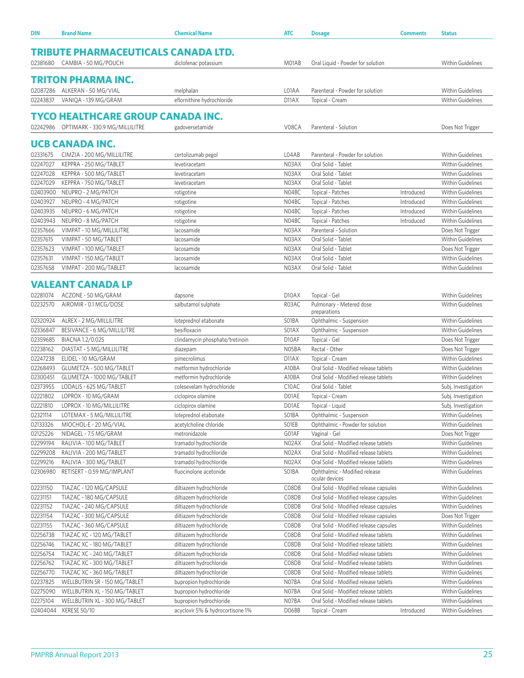| DIN                                        | <b>Brand Name</b>                        | <b>Chemical Name</b>             | <b>ATC</b>         | <b>Dosage</b>                                   | <b>Comments</b> | <b>Status</b>            |  |  |
|--------------------------------------------|------------------------------------------|----------------------------------|--------------------|-------------------------------------------------|-----------------|--------------------------|--|--|
| <b>TRIBUTE PHARMACEUTICALS CANADA LTD.</b> |                                          |                                  |                    |                                                 |                 |                          |  |  |
|                                            | 02381680 CAMBIA - 50 MG/POUCH            | diclofenac potassium             | M01AB              | Oral Liquid - Powder for solution               |                 | Within Guidelines        |  |  |
|                                            | TRITON PHARMA INC.                       |                                  |                    |                                                 |                 |                          |  |  |
|                                            |                                          |                                  |                    |                                                 |                 |                          |  |  |
| 02087286                                   | ALKERAN - 50 MG/VIAL                     | melphalan                        | L01AA              | Parenteral - Powder for solution                |                 | <b>Within Guidelines</b> |  |  |
| 02243837                                   | VANIQA - 139 MG/GRAM                     | eflornithine hydrochloride       | D <sub>11</sub> AX | Topical - Cream                                 |                 | <b>Within Guidelines</b> |  |  |
|                                            | <b>TYCO HEALTHCARE GROUP CANADA INC.</b> |                                  |                    |                                                 |                 |                          |  |  |
| 02242986                                   | OPTIMARK - 330.9 MG/MILLILITRE           | gadoversetamide                  | V08CA              | Parenteral - Solution                           |                 | Does Not Trigger         |  |  |
|                                            |                                          |                                  |                    |                                                 |                 |                          |  |  |
|                                            | UCB CANADA INC.                          |                                  |                    |                                                 |                 |                          |  |  |
| 02331675                                   | CIMZIA - 200 MG/MILLILITRE               | certolizumab pegol               | L04AB              | Parenteral - Powder for solution                |                 | Within Guidelines        |  |  |
| 02247027                                   | KEPPRA - 250 MG/TABLET                   | levetiracetam                    | N03AX              | Oral Solid - Tablet                             |                 | <b>Within Guidelines</b> |  |  |
| 02247028                                   | KEPPRA - 500 MG/TABLET                   | levetiracetam                    | N03AX              | Oral Solid - Tablet                             |                 | Within Guidelines        |  |  |
| 02247029                                   | KEPPRA - 750 MG/TABLET                   | levetiracetam                    | N03AX              | Oral Solid - Tablet                             |                 | <b>Within Guidelines</b> |  |  |
| 02403900                                   | NEUPRO - 2 MG/PATCH                      | rotigotine                       | N04BC              | Topical - Patches                               | Introduced      | <b>Within Guidelines</b> |  |  |
| 02403927                                   | NEUPRO - 4 MG/PATCH                      | rotigotine                       | N04BC              | Topical - Patches                               | Introduced      | <b>Within Guidelines</b> |  |  |
| 02403935                                   | NEUPRO - 6 MG/PATCH                      | rotigotine                       | N04BC              | Topical - Patches                               | Introduced      | <b>Within Guidelines</b> |  |  |
| 02403943                                   | NEUPRO - 8 MG/PATCH                      | rotigotine                       | N04BC              | Topical - Patches                               | Introduced      | <b>Within Guidelines</b> |  |  |
| 02357666                                   | VIMPAT - 10 MG/MILLILITRE                | lacosamide                       | N03AX              | Parenteral - Solution                           |                 | Does Not Trigger         |  |  |
| 02357615                                   | VIMPAT - 50 MG/TABLET                    | lacosamide                       | N03AX              | Oral Solid - Tablet                             |                 | <b>Within Guidelines</b> |  |  |
| 02357623                                   | VIMPAT - 100 MG/TABLET                   | lacosamide                       | N03AX              | Oral Solid - Tablet                             |                 | Does Not Trigger         |  |  |
| 02357631                                   | VIMPAT - 150 MG/TABLET                   | lacosamide                       | N03AX              | Oral Solid - Tablet                             |                 | <b>Within Guidelines</b> |  |  |
| 02357658                                   | VIMPAT - 200 MG/TABLET                   | lacosamide                       | N03AX              | Oral Solid - Tablet                             |                 | <b>Within Guidelines</b> |  |  |
|                                            |                                          |                                  |                    |                                                 |                 |                          |  |  |
|                                            | VALEANT CANADA LP                        |                                  |                    |                                                 |                 |                          |  |  |
| 02281074                                   | ACZONE - 50 MG/GRAM                      | dapsone                          | D <sub>10</sub> AX | Topical - Gel                                   |                 | Within Guidelines        |  |  |
| 02232570                                   | AIROMIR - 0.1 MCG/DOSE                   | salbutamol sulphate              | R03AC              | Pulmonary - Metered dose<br>preparations        |                 | <b>Within Guidelines</b> |  |  |
| 02320924                                   | ALREX - 2 MG/MILLILITRE                  | loteprednol etabonate            | S01BA              | Ophthalmic - Suspension                         |                 | <b>Within Guidelines</b> |  |  |
| 02336847                                   | BESIVANCE - 6 MG/MILLILITRE              | besifloxacin                     | S01AX              | Ophthalmic - Suspension                         |                 | Within Guidelines        |  |  |
| 02359685                                   | BIACNA 1.2/0.025                         | clindamycin phosphate/tretinoin  | D10AF              | Topical - Gel                                   |                 | Does Not Trigger         |  |  |
| 02238162                                   | DIASTAT - 5 MG/MILLILITRE                | diazepam                         | N05BA              | Rectal - Other                                  |                 | Does Not Trigger         |  |  |
| 02247238                                   | ELIDEL - 10 MG/GRAM                      | pimecrolimus                     | D <sub>11</sub> AX | Topical - Cream                                 |                 | Within Guidelines        |  |  |
| 02268493                                   | GLUMETZA - 500 MG/TABLET                 | metformin hydrochloride          | A10BA              | Oral Solid - Modified release tablets           |                 | Within Guidelines        |  |  |
| 02300451                                   | GLUMETZA - 1000 MG/TABLET                | metformin hydrochloride          | A10BA              | Oral Solid - Modified release tablets           |                 | Within Guidelines        |  |  |
| 02373955                                   | LODALIS - 625 MG/TABLET                  | colesevelam hydrochloride        | C10AC              | Oral Solid - Tablet                             |                 | Subj. Investigation      |  |  |
| 02221802                                   | LOPROX - 10 MG/GRAM                      | ciclopirox olamine               | D01AE              | Topical - Cream                                 |                 | Subj. Investigation      |  |  |
| 02221810                                   | LOPROX - 10 MG/MILLILITRE                | ciclopirox olamine               | D01AE              | Topical - Liquid                                |                 | Subj. Investigation      |  |  |
| 02321114                                   | LOTEMAX - 5 MG/MILLILITRE                | loteprednol etabonate            | S01BA              | Ophthalmic - Suspension                         |                 | Within Guidelines        |  |  |
| 02133326                                   | MIOCHOL-E - 20 MG/VIAL                   | acetylcholine chloride           | SO1EB              | Ophthalmic - Powder for solution                |                 | Within Guidelines        |  |  |
| 02125226                                   | NIDAGEL - 7.5 MG/GRAM                    | metronidazole                    | G01AF              | Vaginal - Gel                                   |                 | Does Not Trigger         |  |  |
| 02299194                                   | RALIVIA - 100 MG/TABLET                  | tramadol hydrochloride           | N02AX              | Oral Solid - Modified release tablets           |                 | Within Guidelines        |  |  |
| 02299208                                   | RALIVIA - 200 MG/TABLET                  | tramadol hydrochloride           | N02AX              | Oral Solid - Modified release tablets           |                 | Within Guidelines        |  |  |
| 02299216                                   | RALIVIA - 300 MG/TABLET                  | tramadol hydrochloride           | NO <sub>2</sub> AX | Oral Solid - Modified release tablets           |                 | Within Guidelines        |  |  |
| 02306980                                   | RETISERT - 0.59 MG/IMPLANT               | fluocinolone acetonide           | S01BA              | Ophthalmic - Modified release<br>ocular devices |                 | Within Guidelines        |  |  |
| 02231150                                   | TIAZAC - 120 MG/CAPSULE                  | diltiazem hydrochloride          | C08DB              | Oral Solid - Modified release capsules          |                 | Within Guidelines        |  |  |
| 02231151                                   | TIAZAC - 180 MG/CAPSULE                  | diltiazem hydrochloride          | C08DB              | Oral Solid - Modified release capsules          |                 | Within Guidelines        |  |  |
| 02231152                                   | TIAZAC - 240 MG/CAPSULE                  | diltiazem hydrochloride          | C08DB              | Oral Solid - Modified release capsules          |                 | Within Guidelines        |  |  |
| 02231154                                   | TIAZAC - 300 MG/CAPSULE                  | diltiazem hydrochloride          | C08DB              | Oral Solid - Modified release capsules          |                 | Does Not Trigger         |  |  |
| 02231155                                   | TIAZAC - 360 MG/CAPSULE                  | diltiazem hydrochloride          | C08DB              | Oral Solid - Modified release capsules          |                 | Within Guidelines        |  |  |
| 02256738                                   | TIAZAC XC - 120 MG/TABLET                | diltiazem hydrochloride          | C08DB              | Oral Solid - Modified release tablets           |                 | Within Guidelines        |  |  |
| 02256746                                   | TIAZAC XC - 180 MG/TABLET                | diltiazem hydrochloride          | C08DB              | Oral Solid - Modified release tablets           |                 | Within Guidelines        |  |  |
| 02256754                                   | TIAZAC XC - 240 MG/TABLET                | diltiazem hydrochloride          | C08DB              | Oral Solid - Modified release tablets           |                 | Within Guidelines        |  |  |
| 02256762                                   | TIAZAC XC - 300 MG/TABLET                | diltiazem hydrochloride          | C08DB              | Oral Solid - Modified release tablets           |                 | Within Guidelines        |  |  |
| 02256770                                   | TIAZAC XC - 360 MG/TABLET                | diltiazem hydrochloride          | C08DB              | Oral Solid - Modified release tablets           |                 | Within Guidelines        |  |  |
| 02237825                                   | WELLBUTRIN SR - 150 MG/TABLET            | bupropion hydrochloride          | N07BA              | Oral Solid - Modified release tablets           |                 | Within Guidelines        |  |  |
| 02275090                                   | WELLBUTRIN XL - 150 MG/TABLET            | bupropion hydrochloride          | N07BA              | Oral Solid - Modified release tablets           |                 | Within Guidelines        |  |  |
| 02275104                                   | WELLBUTRIN XL - 300 MG/TABLET            | bupropion hydrochloride          | N07BA              | Oral Solid - Modified release tablets           |                 | Within Guidelines        |  |  |
|                                            | 02404044 XERESE 50/10                    | acyclovir 5% & hydrocortisone 1% | D06BB              | Topical - Cream                                 | Introduced      | Within Guidelines        |  |  |